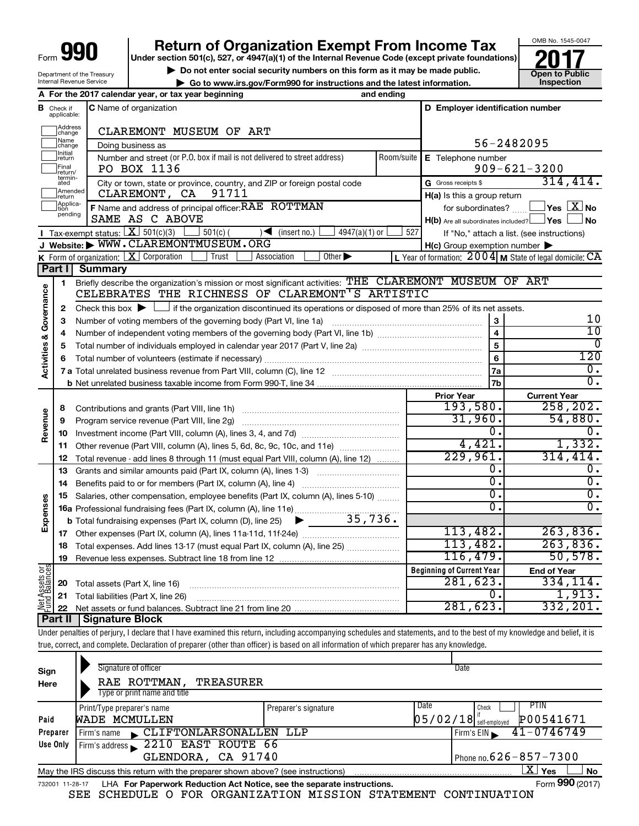| Form · | 991 |
|--------|-----|
|        |     |

Department of the Treasury Internal Revenue Service

# **990 Return of Organization Exempt From Income Tax 1990 2017 Divide the section 501(c)**, 527, or 4947(a)(1) of the Internal Revenue Code (except private foundations) **2017**

**Under section 501(c), 527, or 4947(a)(1) of the Internal Revenue Code (except private foundations)**

▶ Do not enter social security numbers on this form as it may be made public.<br>
▶ Go to www.irs.gov/Form990 for instructions and the latest information. **Devertion** inspection

**| Go to www.irs.gov/Form990 for instructions and the latest information. Inspection**



|                                |                               | A For the 2017 calendar year, or tax year beginning                                                                                                                     | and ending |                                                     |                                                           |
|--------------------------------|-------------------------------|-------------------------------------------------------------------------------------------------------------------------------------------------------------------------|------------|-----------------------------------------------------|-----------------------------------------------------------|
|                                | <b>B</b> Check if applicable: | C Name of organization                                                                                                                                                  |            | D Employer identification number                    |                                                           |
|                                | Address<br>change             | CLAREMONT MUSEUM OF ART                                                                                                                                                 |            |                                                     |                                                           |
|                                | Name<br>change                | Doing business as                                                                                                                                                       |            |                                                     | 56-2482095                                                |
|                                | Initial<br>return             | Number and street (or P.O. box if mail is not delivered to street address)                                                                                              | Room/suite | E Telephone number                                  |                                                           |
|                                | Final<br>return/              | PO BOX 1136                                                                                                                                                             |            |                                                     | $909 - 621 - 3200$                                        |
|                                | termin-<br>ated               | City or town, state or province, country, and ZIP or foreign postal code                                                                                                |            | G Gross receipts \$                                 | 314, 414.                                                 |
|                                | Amended<br>return             | CLAREMONT, CA<br>91711                                                                                                                                                  |            | $H(a)$ is this a group return                       |                                                           |
|                                | Applica-<br>Ition<br>pending  | F Name and address of principal officer: RAE ROTTMAN                                                                                                                    |            | for subordinates?                                   | $\Box$ Yes $[\overline{\mathrm{X}}]$ No                   |
|                                |                               | SAME AS C ABOVE                                                                                                                                                         |            | $H(b)$ Are all subordinates included? $\Box$ Yes    | <b>No</b>                                                 |
|                                |                               | <b>I</b> Tax exempt status: $\boxed{\mathbf{X}}$ 501(c)(3)<br>$4947(a)(1)$ or<br>$501(c)$ (<br>$\sqrt{\frac{1}{1}}$ (insert no.)                                        | 527        |                                                     | If "No," attach a list. (see instructions)                |
|                                |                               | J Website: WWW.CLAREMONTMUSEUM.ORG                                                                                                                                      |            | $H(c)$ Group exemption number $\blacktriangleright$ |                                                           |
|                                |                               | Other $\blacktriangleright$<br><b>K</b> Form of organization: $X$ Corporation<br>Trust<br>Association                                                                   |            |                                                     | L Year of formation: $2004$ M State of legal domicile: CA |
|                                | Part I                        | Summary                                                                                                                                                                 |            |                                                     |                                                           |
|                                | $\mathbf{1}$                  | Briefly describe the organization's mission or most significant activities: THE CLAREMONT MUSEUM OF ART<br>CELEBRATES THE RICHNESS OF CLAREMONT <sup>T</sup> S ARTISTIC |            |                                                     |                                                           |
| Activities & Governance        |                               |                                                                                                                                                                         |            |                                                     |                                                           |
|                                | 2                             | Check this box $\blacktriangleright$ $\Box$ if the organization discontinued its operations or disposed of more than 25% of its net assets.                             |            |                                                     | 10                                                        |
|                                | 3<br>4                        | Number of voting members of the governing body (Part VI, line 1a)                                                                                                       |            | 3<br>$\overline{\mathbf{4}}$                        | $\overline{10}$                                           |
|                                | 5                             |                                                                                                                                                                         |            | 5                                                   | 0                                                         |
|                                | 6                             |                                                                                                                                                                         |            | 6                                                   | $\overline{120}$                                          |
|                                |                               |                                                                                                                                                                         |            | 7a                                                  | $\overline{0}$ .                                          |
|                                |                               |                                                                                                                                                                         |            | 7b                                                  | $\overline{0}$ .                                          |
|                                |                               |                                                                                                                                                                         |            | <b>Prior Year</b>                                   | <b>Current Year</b>                                       |
|                                | 8                             | Contributions and grants (Part VIII, line 1h)                                                                                                                           |            | 193,580.                                            | 258, 202.                                                 |
| Revenue                        | 9                             | Program service revenue (Part VIII, line 2g)                                                                                                                            |            | 31,960.                                             | 54,880.                                                   |
|                                | 10                            |                                                                                                                                                                         |            | σ.                                                  | 0.                                                        |
|                                | 11                            | Other revenue (Part VIII, column (A), lines 5, 6d, 8c, 9c, 10c, and 11e)                                                                                                |            | 4,421.                                              | 1,332.                                                    |
|                                | 12                            | Total revenue - add lines 8 through 11 (must equal Part VIII, column (A), line 12)                                                                                      |            | 229,961.                                            | 314, 414.                                                 |
|                                | 13                            | Grants and similar amounts paid (Part IX, column (A), lines 1-3)                                                                                                        |            | 0.                                                  | $\overline{0}$ .                                          |
|                                | 14                            | Benefits paid to or for members (Part IX, column (A), line 4)                                                                                                           |            | $\overline{0}$ .                                    | $\overline{0}$ .                                          |
|                                | 15                            | Salaries, other compensation, employee benefits (Part IX, column (A), lines 5-10)                                                                                       |            | σ.                                                  | $\overline{0}$ .                                          |
| Expenses                       |                               | 16a Professional fundraising fees (Part IX, column (A), line 11e)                                                                                                       |            | 0.                                                  | $\overline{0}$ .                                          |
|                                |                               | 35,736.<br><b>b</b> Total fundraising expenses (Part IX, column (D), line 25)<br>$\blacktriangleright$                                                                  |            |                                                     |                                                           |
|                                | 17                            |                                                                                                                                                                         |            | 113,482.                                            | 263,836.                                                  |
|                                | 18                            | Total expenses. Add lines 13-17 (must equal Part IX, column (A), line 25)                                                                                               |            | 113,482.                                            | 263,836.                                                  |
|                                | 19                            |                                                                                                                                                                         |            | 116,479.                                            | 50, 578.                                                  |
| Net Assets or<br>Fund Balances |                               |                                                                                                                                                                         |            | <b>Beginning of Current Year</b>                    | <b>End of Year</b>                                        |
|                                | 20                            | Total assets (Part X, line 16)                                                                                                                                          |            | 281,623.                                            | 334, 114.                                                 |
|                                | 21                            | Total liabilities (Part X, line 26)                                                                                                                                     |            | Ο.                                                  | 1,913.                                                    |
|                                | 22                            |                                                                                                                                                                         |            | 281,623.                                            | 332, 201.                                                 |
|                                | Part II                       | <b>Signature Block</b>                                                                                                                                                  |            |                                                     |                                                           |

Under penalties of perjury, I declare that I have examined this return, including accompanying schedules and statements, and to the best of my knowledge and belief, it is true, correct, and complete. Declaration of preparer (other than officer) is based on all information of which preparer has any knowledge.

| Sign<br>Here                                                                                                          | Signature of officer<br>RAE ROTTMAN,<br>TREASURER<br>Type or print name and title |                      | Date                                      |                              |  |  |
|-----------------------------------------------------------------------------------------------------------------------|-----------------------------------------------------------------------------------|----------------------|-------------------------------------------|------------------------------|--|--|
| Paid                                                                                                                  | Print/Type preparer's name<br><b>WADE MCMULLEN</b>                                | Preparer's signature | Date<br>Check<br>$05/02/18$ self-employed | PTIN<br>P00541671            |  |  |
| Preparer                                                                                                              | CLIFTONLARSONALLEN<br>Firm's name                                                 | LLP                  | Firm's EIN                                | $41 - 0746749$               |  |  |
| Use Only                                                                                                              | 2210 EAST ROUTE 66<br>Firm's address                                              |                      |                                           |                              |  |  |
|                                                                                                                       | GLENDORA, CA 91740                                                                |                      |                                           | Phone no. $626 - 857 - 7300$ |  |  |
| $\mathbf{X}$<br>Yes<br><b>No</b><br>May the IRS discuss this return with the preparer shown above? (see instructions) |                                                                                   |                      |                                           |                              |  |  |
| Form 990 (2017)<br>LHA For Paperwork Reduction Act Notice, see the separate instructions.<br>732001 11-28-17          |                                                                                   |                      |                                           |                              |  |  |

SEE SCHEDULE O FOR ORGANIZATION MISSION STATEMENT CONTINUATION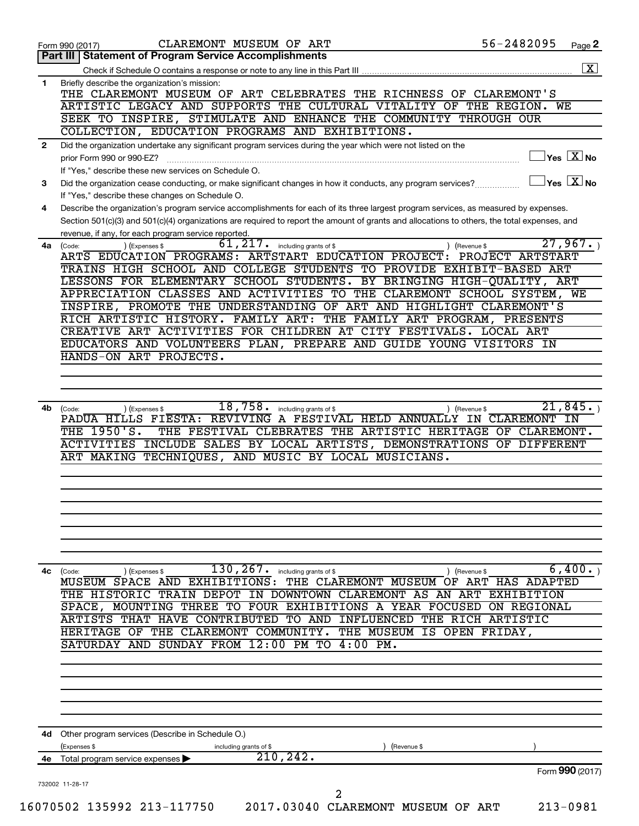| 56-2482095<br>CLAREMONT MUSEUM OF ART<br>Form 990 (2017)<br><b>Statement of Program Service Accomplishments</b><br>Part III<br>Briefly describe the organization's mission:<br>$\mathbf{1}$<br>THE CLAREMONT MUSEUM OF ART CELEBRATES THE RICHNESS OF CLAREMONT'S<br>ARTISTIC LEGACY AND SUPPORTS THE CULTURAL VITALITY OF THE REGION. WE<br>SEEK TO INSPIRE, STIMULATE AND ENHANCE THE COMMUNITY THROUGH OUR<br>COLLECTION, EDUCATION PROGRAMS AND EXHIBITIONS.<br>Did the organization undertake any significant program services during the year which were not listed on the<br>$\mathbf{2}$<br>prior Form 990 or 990-EZ?<br>If "Yes," describe these new services on Schedule O.<br>Did the organization cease conducting, or make significant changes in how it conducts, any program services?<br>3<br>If "Yes," describe these changes on Schedule O.<br>Describe the organization's program service accomplishments for each of its three largest program services, as measured by expenses.<br>4<br>Section 501(c)(3) and 501(c)(4) organizations are required to report the amount of grants and allocations to others, the total expenses, and<br>revenue, if any, for each program service reported.<br>61, 217.<br>including grants of \$<br>$4a$ (Code:<br>(Expenses \$<br>(Revenue \$<br>ARTS EDUCATION PROGRAMS: ARTSTART EDUCATION PROJECT: PROJECT ARTSTART<br>TRAINS HIGH SCHOOL AND COLLEGE STUDENTS TO PROVIDE EXHIBIT-BASED ART<br>LESSONS FOR ELEMENTARY SCHOOL STUDENTS. BY BRINGING HIGH-QUALITY, ART<br>APPRECIATION CLASSES AND ACTIVITIES TO THE CLAREMONT SCHOOL SYSTEM, WE<br>INSPIRE, PROMOTE THE UNDERSTANDING OF ART AND HIGHLIGHT CLAREMONT'S<br>RICH ARTISTIC HISTORY. FAMILY ART: THE FAMILY ART PROGRAM, PRESENTS<br>CREATIVE ART ACTIVITIES FOR CHILDREN AT CITY FESTIVALS. LOCAL ART<br>EDUCATORS AND VOLUNTEERS PLAN, PREPARE AND GUIDE YOUNG VISITORS IN<br>HANDS-ON ART PROJECTS.<br>18,758.<br>including grants of \$<br>4b<br>(Code:<br>(Expenses \$<br>(Revenue \$<br>PADUA HILLS FIESTA: REVIVING A FESTIVAL HELD ANNUALLY IN CLAREMONT IN<br>THE 1950'S.<br>ACTIVITIES INCLUDE SALES BY LOCAL ARTISTS, DEMONSTRATIONS OF DIFFERENT<br>ART MAKING TECHNIQUES, AND MUSIC BY LOCAL MUSICIANS.<br>$130, 267$ . including grants of \$<br>4c (Code:<br>) (Expenses \$<br>) (Revenue \$<br>MUSEUM SPACE AND EXHIBITIONS: THE CLAREMONT MUSEUM OF ART HAS ADAPTED<br>THE HISTORIC TRAIN DEPOT IN DOWNTOWN CLAREMONT AS AN ART EXHIBITION<br>SPACE, MOUNTING THREE TO FOUR EXHIBITIONS A YEAR FOCUSED ON REGIONAL<br>ARTISTS THAT HAVE CONTRIBUTED TO AND INFLUENCED THE RICH ARTISTIC<br>HERITAGE OF THE CLAREMONT COMMUNITY. THE MUSEUM IS OPEN FRIDAY,<br>SATURDAY AND SUNDAY FROM 12:00 PM TO 4:00 PM.<br>Other program services (Describe in Schedule O.)<br>4d<br>(Expenses \$<br>including grants of \$<br>(Revenue \$<br>210, 242.<br>Total program service expenses<br>4е<br>732002 11-28-17<br>$\overline{a}$<br>16070502 135992 213-117750<br>2017.03040 CLAREMONT MUSEUM OF ART |                                                                                                                                                                                                                                                |  |  |
|-------------------------------------------------------------------------------------------------------------------------------------------------------------------------------------------------------------------------------------------------------------------------------------------------------------------------------------------------------------------------------------------------------------------------------------------------------------------------------------------------------------------------------------------------------------------------------------------------------------------------------------------------------------------------------------------------------------------------------------------------------------------------------------------------------------------------------------------------------------------------------------------------------------------------------------------------------------------------------------------------------------------------------------------------------------------------------------------------------------------------------------------------------------------------------------------------------------------------------------------------------------------------------------------------------------------------------------------------------------------------------------------------------------------------------------------------------------------------------------------------------------------------------------------------------------------------------------------------------------------------------------------------------------------------------------------------------------------------------------------------------------------------------------------------------------------------------------------------------------------------------------------------------------------------------------------------------------------------------------------------------------------------------------------------------------------------------------------------------------------------------------------------------------------------------------------------------------------------------------------------------------------------------------------------------------------------------------------------------------------------------------------------------------------------------------------------------------------------------------------------------------------------------------------------------------------------------------------------------------------------------------------------------------------------------------------------------------------------------------------------------------------------------------------------------------------------------------------------------------------------------------------------------------------------------------------------------------------------------------------------------------------------------------|------------------------------------------------------------------------------------------------------------------------------------------------------------------------------------------------------------------------------------------------|--|--|
|                                                                                                                                                                                                                                                                                                                                                                                                                                                                                                                                                                                                                                                                                                                                                                                                                                                                                                                                                                                                                                                                                                                                                                                                                                                                                                                                                                                                                                                                                                                                                                                                                                                                                                                                                                                                                                                                                                                                                                                                                                                                                                                                                                                                                                                                                                                                                                                                                                                                                                                                                                                                                                                                                                                                                                                                                                                                                                                                                                                                                                     | Page 2<br>$\overline{\mathbf{X}}$<br>$\sqrt{\mathsf{Yes}\ \mathbf{X}}$ No<br>$\overline{\ }$ Yes $\overline{\phantom{a}X}$ No<br>27,967.<br>21,845.<br>THE FESTIVAL CLEBRATES THE ARTISTIC HERITAGE OF CLAREMONT.<br>6,400.<br>Form 990 (2017) |  |  |
|                                                                                                                                                                                                                                                                                                                                                                                                                                                                                                                                                                                                                                                                                                                                                                                                                                                                                                                                                                                                                                                                                                                                                                                                                                                                                                                                                                                                                                                                                                                                                                                                                                                                                                                                                                                                                                                                                                                                                                                                                                                                                                                                                                                                                                                                                                                                                                                                                                                                                                                                                                                                                                                                                                                                                                                                                                                                                                                                                                                                                                     |                                                                                                                                                                                                                                                |  |  |
|                                                                                                                                                                                                                                                                                                                                                                                                                                                                                                                                                                                                                                                                                                                                                                                                                                                                                                                                                                                                                                                                                                                                                                                                                                                                                                                                                                                                                                                                                                                                                                                                                                                                                                                                                                                                                                                                                                                                                                                                                                                                                                                                                                                                                                                                                                                                                                                                                                                                                                                                                                                                                                                                                                                                                                                                                                                                                                                                                                                                                                     |                                                                                                                                                                                                                                                |  |  |
|                                                                                                                                                                                                                                                                                                                                                                                                                                                                                                                                                                                                                                                                                                                                                                                                                                                                                                                                                                                                                                                                                                                                                                                                                                                                                                                                                                                                                                                                                                                                                                                                                                                                                                                                                                                                                                                                                                                                                                                                                                                                                                                                                                                                                                                                                                                                                                                                                                                                                                                                                                                                                                                                                                                                                                                                                                                                                                                                                                                                                                     |                                                                                                                                                                                                                                                |  |  |
|                                                                                                                                                                                                                                                                                                                                                                                                                                                                                                                                                                                                                                                                                                                                                                                                                                                                                                                                                                                                                                                                                                                                                                                                                                                                                                                                                                                                                                                                                                                                                                                                                                                                                                                                                                                                                                                                                                                                                                                                                                                                                                                                                                                                                                                                                                                                                                                                                                                                                                                                                                                                                                                                                                                                                                                                                                                                                                                                                                                                                                     |                                                                                                                                                                                                                                                |  |  |
|                                                                                                                                                                                                                                                                                                                                                                                                                                                                                                                                                                                                                                                                                                                                                                                                                                                                                                                                                                                                                                                                                                                                                                                                                                                                                                                                                                                                                                                                                                                                                                                                                                                                                                                                                                                                                                                                                                                                                                                                                                                                                                                                                                                                                                                                                                                                                                                                                                                                                                                                                                                                                                                                                                                                                                                                                                                                                                                                                                                                                                     |                                                                                                                                                                                                                                                |  |  |
|                                                                                                                                                                                                                                                                                                                                                                                                                                                                                                                                                                                                                                                                                                                                                                                                                                                                                                                                                                                                                                                                                                                                                                                                                                                                                                                                                                                                                                                                                                                                                                                                                                                                                                                                                                                                                                                                                                                                                                                                                                                                                                                                                                                                                                                                                                                                                                                                                                                                                                                                                                                                                                                                                                                                                                                                                                                                                                                                                                                                                                     |                                                                                                                                                                                                                                                |  |  |
|                                                                                                                                                                                                                                                                                                                                                                                                                                                                                                                                                                                                                                                                                                                                                                                                                                                                                                                                                                                                                                                                                                                                                                                                                                                                                                                                                                                                                                                                                                                                                                                                                                                                                                                                                                                                                                                                                                                                                                                                                                                                                                                                                                                                                                                                                                                                                                                                                                                                                                                                                                                                                                                                                                                                                                                                                                                                                                                                                                                                                                     |                                                                                                                                                                                                                                                |  |  |
|                                                                                                                                                                                                                                                                                                                                                                                                                                                                                                                                                                                                                                                                                                                                                                                                                                                                                                                                                                                                                                                                                                                                                                                                                                                                                                                                                                                                                                                                                                                                                                                                                                                                                                                                                                                                                                                                                                                                                                                                                                                                                                                                                                                                                                                                                                                                                                                                                                                                                                                                                                                                                                                                                                                                                                                                                                                                                                                                                                                                                                     |                                                                                                                                                                                                                                                |  |  |
|                                                                                                                                                                                                                                                                                                                                                                                                                                                                                                                                                                                                                                                                                                                                                                                                                                                                                                                                                                                                                                                                                                                                                                                                                                                                                                                                                                                                                                                                                                                                                                                                                                                                                                                                                                                                                                                                                                                                                                                                                                                                                                                                                                                                                                                                                                                                                                                                                                                                                                                                                                                                                                                                                                                                                                                                                                                                                                                                                                                                                                     |                                                                                                                                                                                                                                                |  |  |
|                                                                                                                                                                                                                                                                                                                                                                                                                                                                                                                                                                                                                                                                                                                                                                                                                                                                                                                                                                                                                                                                                                                                                                                                                                                                                                                                                                                                                                                                                                                                                                                                                                                                                                                                                                                                                                                                                                                                                                                                                                                                                                                                                                                                                                                                                                                                                                                                                                                                                                                                                                                                                                                                                                                                                                                                                                                                                                                                                                                                                                     |                                                                                                                                                                                                                                                |  |  |
|                                                                                                                                                                                                                                                                                                                                                                                                                                                                                                                                                                                                                                                                                                                                                                                                                                                                                                                                                                                                                                                                                                                                                                                                                                                                                                                                                                                                                                                                                                                                                                                                                                                                                                                                                                                                                                                                                                                                                                                                                                                                                                                                                                                                                                                                                                                                                                                                                                                                                                                                                                                                                                                                                                                                                                                                                                                                                                                                                                                                                                     |                                                                                                                                                                                                                                                |  |  |
|                                                                                                                                                                                                                                                                                                                                                                                                                                                                                                                                                                                                                                                                                                                                                                                                                                                                                                                                                                                                                                                                                                                                                                                                                                                                                                                                                                                                                                                                                                                                                                                                                                                                                                                                                                                                                                                                                                                                                                                                                                                                                                                                                                                                                                                                                                                                                                                                                                                                                                                                                                                                                                                                                                                                                                                                                                                                                                                                                                                                                                     |                                                                                                                                                                                                                                                |  |  |
|                                                                                                                                                                                                                                                                                                                                                                                                                                                                                                                                                                                                                                                                                                                                                                                                                                                                                                                                                                                                                                                                                                                                                                                                                                                                                                                                                                                                                                                                                                                                                                                                                                                                                                                                                                                                                                                                                                                                                                                                                                                                                                                                                                                                                                                                                                                                                                                                                                                                                                                                                                                                                                                                                                                                                                                                                                                                                                                                                                                                                                     |                                                                                                                                                                                                                                                |  |  |
|                                                                                                                                                                                                                                                                                                                                                                                                                                                                                                                                                                                                                                                                                                                                                                                                                                                                                                                                                                                                                                                                                                                                                                                                                                                                                                                                                                                                                                                                                                                                                                                                                                                                                                                                                                                                                                                                                                                                                                                                                                                                                                                                                                                                                                                                                                                                                                                                                                                                                                                                                                                                                                                                                                                                                                                                                                                                                                                                                                                                                                     |                                                                                                                                                                                                                                                |  |  |
|                                                                                                                                                                                                                                                                                                                                                                                                                                                                                                                                                                                                                                                                                                                                                                                                                                                                                                                                                                                                                                                                                                                                                                                                                                                                                                                                                                                                                                                                                                                                                                                                                                                                                                                                                                                                                                                                                                                                                                                                                                                                                                                                                                                                                                                                                                                                                                                                                                                                                                                                                                                                                                                                                                                                                                                                                                                                                                                                                                                                                                     |                                                                                                                                                                                                                                                |  |  |
|                                                                                                                                                                                                                                                                                                                                                                                                                                                                                                                                                                                                                                                                                                                                                                                                                                                                                                                                                                                                                                                                                                                                                                                                                                                                                                                                                                                                                                                                                                                                                                                                                                                                                                                                                                                                                                                                                                                                                                                                                                                                                                                                                                                                                                                                                                                                                                                                                                                                                                                                                                                                                                                                                                                                                                                                                                                                                                                                                                                                                                     |                                                                                                                                                                                                                                                |  |  |
|                                                                                                                                                                                                                                                                                                                                                                                                                                                                                                                                                                                                                                                                                                                                                                                                                                                                                                                                                                                                                                                                                                                                                                                                                                                                                                                                                                                                                                                                                                                                                                                                                                                                                                                                                                                                                                                                                                                                                                                                                                                                                                                                                                                                                                                                                                                                                                                                                                                                                                                                                                                                                                                                                                                                                                                                                                                                                                                                                                                                                                     |                                                                                                                                                                                                                                                |  |  |
|                                                                                                                                                                                                                                                                                                                                                                                                                                                                                                                                                                                                                                                                                                                                                                                                                                                                                                                                                                                                                                                                                                                                                                                                                                                                                                                                                                                                                                                                                                                                                                                                                                                                                                                                                                                                                                                                                                                                                                                                                                                                                                                                                                                                                                                                                                                                                                                                                                                                                                                                                                                                                                                                                                                                                                                                                                                                                                                                                                                                                                     |                                                                                                                                                                                                                                                |  |  |
|                                                                                                                                                                                                                                                                                                                                                                                                                                                                                                                                                                                                                                                                                                                                                                                                                                                                                                                                                                                                                                                                                                                                                                                                                                                                                                                                                                                                                                                                                                                                                                                                                                                                                                                                                                                                                                                                                                                                                                                                                                                                                                                                                                                                                                                                                                                                                                                                                                                                                                                                                                                                                                                                                                                                                                                                                                                                                                                                                                                                                                     |                                                                                                                                                                                                                                                |  |  |
|                                                                                                                                                                                                                                                                                                                                                                                                                                                                                                                                                                                                                                                                                                                                                                                                                                                                                                                                                                                                                                                                                                                                                                                                                                                                                                                                                                                                                                                                                                                                                                                                                                                                                                                                                                                                                                                                                                                                                                                                                                                                                                                                                                                                                                                                                                                                                                                                                                                                                                                                                                                                                                                                                                                                                                                                                                                                                                                                                                                                                                     |                                                                                                                                                                                                                                                |  |  |
|                                                                                                                                                                                                                                                                                                                                                                                                                                                                                                                                                                                                                                                                                                                                                                                                                                                                                                                                                                                                                                                                                                                                                                                                                                                                                                                                                                                                                                                                                                                                                                                                                                                                                                                                                                                                                                                                                                                                                                                                                                                                                                                                                                                                                                                                                                                                                                                                                                                                                                                                                                                                                                                                                                                                                                                                                                                                                                                                                                                                                                     |                                                                                                                                                                                                                                                |  |  |
|                                                                                                                                                                                                                                                                                                                                                                                                                                                                                                                                                                                                                                                                                                                                                                                                                                                                                                                                                                                                                                                                                                                                                                                                                                                                                                                                                                                                                                                                                                                                                                                                                                                                                                                                                                                                                                                                                                                                                                                                                                                                                                                                                                                                                                                                                                                                                                                                                                                                                                                                                                                                                                                                                                                                                                                                                                                                                                                                                                                                                                     |                                                                                                                                                                                                                                                |  |  |
|                                                                                                                                                                                                                                                                                                                                                                                                                                                                                                                                                                                                                                                                                                                                                                                                                                                                                                                                                                                                                                                                                                                                                                                                                                                                                                                                                                                                                                                                                                                                                                                                                                                                                                                                                                                                                                                                                                                                                                                                                                                                                                                                                                                                                                                                                                                                                                                                                                                                                                                                                                                                                                                                                                                                                                                                                                                                                                                                                                                                                                     |                                                                                                                                                                                                                                                |  |  |
|                                                                                                                                                                                                                                                                                                                                                                                                                                                                                                                                                                                                                                                                                                                                                                                                                                                                                                                                                                                                                                                                                                                                                                                                                                                                                                                                                                                                                                                                                                                                                                                                                                                                                                                                                                                                                                                                                                                                                                                                                                                                                                                                                                                                                                                                                                                                                                                                                                                                                                                                                                                                                                                                                                                                                                                                                                                                                                                                                                                                                                     |                                                                                                                                                                                                                                                |  |  |
|                                                                                                                                                                                                                                                                                                                                                                                                                                                                                                                                                                                                                                                                                                                                                                                                                                                                                                                                                                                                                                                                                                                                                                                                                                                                                                                                                                                                                                                                                                                                                                                                                                                                                                                                                                                                                                                                                                                                                                                                                                                                                                                                                                                                                                                                                                                                                                                                                                                                                                                                                                                                                                                                                                                                                                                                                                                                                                                                                                                                                                     |                                                                                                                                                                                                                                                |  |  |
|                                                                                                                                                                                                                                                                                                                                                                                                                                                                                                                                                                                                                                                                                                                                                                                                                                                                                                                                                                                                                                                                                                                                                                                                                                                                                                                                                                                                                                                                                                                                                                                                                                                                                                                                                                                                                                                                                                                                                                                                                                                                                                                                                                                                                                                                                                                                                                                                                                                                                                                                                                                                                                                                                                                                                                                                                                                                                                                                                                                                                                     |                                                                                                                                                                                                                                                |  |  |
|                                                                                                                                                                                                                                                                                                                                                                                                                                                                                                                                                                                                                                                                                                                                                                                                                                                                                                                                                                                                                                                                                                                                                                                                                                                                                                                                                                                                                                                                                                                                                                                                                                                                                                                                                                                                                                                                                                                                                                                                                                                                                                                                                                                                                                                                                                                                                                                                                                                                                                                                                                                                                                                                                                                                                                                                                                                                                                                                                                                                                                     |                                                                                                                                                                                                                                                |  |  |
|                                                                                                                                                                                                                                                                                                                                                                                                                                                                                                                                                                                                                                                                                                                                                                                                                                                                                                                                                                                                                                                                                                                                                                                                                                                                                                                                                                                                                                                                                                                                                                                                                                                                                                                                                                                                                                                                                                                                                                                                                                                                                                                                                                                                                                                                                                                                                                                                                                                                                                                                                                                                                                                                                                                                                                                                                                                                                                                                                                                                                                     |                                                                                                                                                                                                                                                |  |  |
|                                                                                                                                                                                                                                                                                                                                                                                                                                                                                                                                                                                                                                                                                                                                                                                                                                                                                                                                                                                                                                                                                                                                                                                                                                                                                                                                                                                                                                                                                                                                                                                                                                                                                                                                                                                                                                                                                                                                                                                                                                                                                                                                                                                                                                                                                                                                                                                                                                                                                                                                                                                                                                                                                                                                                                                                                                                                                                                                                                                                                                     |                                                                                                                                                                                                                                                |  |  |
|                                                                                                                                                                                                                                                                                                                                                                                                                                                                                                                                                                                                                                                                                                                                                                                                                                                                                                                                                                                                                                                                                                                                                                                                                                                                                                                                                                                                                                                                                                                                                                                                                                                                                                                                                                                                                                                                                                                                                                                                                                                                                                                                                                                                                                                                                                                                                                                                                                                                                                                                                                                                                                                                                                                                                                                                                                                                                                                                                                                                                                     |                                                                                                                                                                                                                                                |  |  |
|                                                                                                                                                                                                                                                                                                                                                                                                                                                                                                                                                                                                                                                                                                                                                                                                                                                                                                                                                                                                                                                                                                                                                                                                                                                                                                                                                                                                                                                                                                                                                                                                                                                                                                                                                                                                                                                                                                                                                                                                                                                                                                                                                                                                                                                                                                                                                                                                                                                                                                                                                                                                                                                                                                                                                                                                                                                                                                                                                                                                                                     |                                                                                                                                                                                                                                                |  |  |
|                                                                                                                                                                                                                                                                                                                                                                                                                                                                                                                                                                                                                                                                                                                                                                                                                                                                                                                                                                                                                                                                                                                                                                                                                                                                                                                                                                                                                                                                                                                                                                                                                                                                                                                                                                                                                                                                                                                                                                                                                                                                                                                                                                                                                                                                                                                                                                                                                                                                                                                                                                                                                                                                                                                                                                                                                                                                                                                                                                                                                                     |                                                                                                                                                                                                                                                |  |  |
|                                                                                                                                                                                                                                                                                                                                                                                                                                                                                                                                                                                                                                                                                                                                                                                                                                                                                                                                                                                                                                                                                                                                                                                                                                                                                                                                                                                                                                                                                                                                                                                                                                                                                                                                                                                                                                                                                                                                                                                                                                                                                                                                                                                                                                                                                                                                                                                                                                                                                                                                                                                                                                                                                                                                                                                                                                                                                                                                                                                                                                     |                                                                                                                                                                                                                                                |  |  |
|                                                                                                                                                                                                                                                                                                                                                                                                                                                                                                                                                                                                                                                                                                                                                                                                                                                                                                                                                                                                                                                                                                                                                                                                                                                                                                                                                                                                                                                                                                                                                                                                                                                                                                                                                                                                                                                                                                                                                                                                                                                                                                                                                                                                                                                                                                                                                                                                                                                                                                                                                                                                                                                                                                                                                                                                                                                                                                                                                                                                                                     |                                                                                                                                                                                                                                                |  |  |
|                                                                                                                                                                                                                                                                                                                                                                                                                                                                                                                                                                                                                                                                                                                                                                                                                                                                                                                                                                                                                                                                                                                                                                                                                                                                                                                                                                                                                                                                                                                                                                                                                                                                                                                                                                                                                                                                                                                                                                                                                                                                                                                                                                                                                                                                                                                                                                                                                                                                                                                                                                                                                                                                                                                                                                                                                                                                                                                                                                                                                                     |                                                                                                                                                                                                                                                |  |  |
|                                                                                                                                                                                                                                                                                                                                                                                                                                                                                                                                                                                                                                                                                                                                                                                                                                                                                                                                                                                                                                                                                                                                                                                                                                                                                                                                                                                                                                                                                                                                                                                                                                                                                                                                                                                                                                                                                                                                                                                                                                                                                                                                                                                                                                                                                                                                                                                                                                                                                                                                                                                                                                                                                                                                                                                                                                                                                                                                                                                                                                     | $213 - 0981$                                                                                                                                                                                                                                   |  |  |
|                                                                                                                                                                                                                                                                                                                                                                                                                                                                                                                                                                                                                                                                                                                                                                                                                                                                                                                                                                                                                                                                                                                                                                                                                                                                                                                                                                                                                                                                                                                                                                                                                                                                                                                                                                                                                                                                                                                                                                                                                                                                                                                                                                                                                                                                                                                                                                                                                                                                                                                                                                                                                                                                                                                                                                                                                                                                                                                                                                                                                                     |                                                                                                                                                                                                                                                |  |  |
|                                                                                                                                                                                                                                                                                                                                                                                                                                                                                                                                                                                                                                                                                                                                                                                                                                                                                                                                                                                                                                                                                                                                                                                                                                                                                                                                                                                                                                                                                                                                                                                                                                                                                                                                                                                                                                                                                                                                                                                                                                                                                                                                                                                                                                                                                                                                                                                                                                                                                                                                                                                                                                                                                                                                                                                                                                                                                                                                                                                                                                     |                                                                                                                                                                                                                                                |  |  |
|                                                                                                                                                                                                                                                                                                                                                                                                                                                                                                                                                                                                                                                                                                                                                                                                                                                                                                                                                                                                                                                                                                                                                                                                                                                                                                                                                                                                                                                                                                                                                                                                                                                                                                                                                                                                                                                                                                                                                                                                                                                                                                                                                                                                                                                                                                                                                                                                                                                                                                                                                                                                                                                                                                                                                                                                                                                                                                                                                                                                                                     |                                                                                                                                                                                                                                                |  |  |
|                                                                                                                                                                                                                                                                                                                                                                                                                                                                                                                                                                                                                                                                                                                                                                                                                                                                                                                                                                                                                                                                                                                                                                                                                                                                                                                                                                                                                                                                                                                                                                                                                                                                                                                                                                                                                                                                                                                                                                                                                                                                                                                                                                                                                                                                                                                                                                                                                                                                                                                                                                                                                                                                                                                                                                                                                                                                                                                                                                                                                                     |                                                                                                                                                                                                                                                |  |  |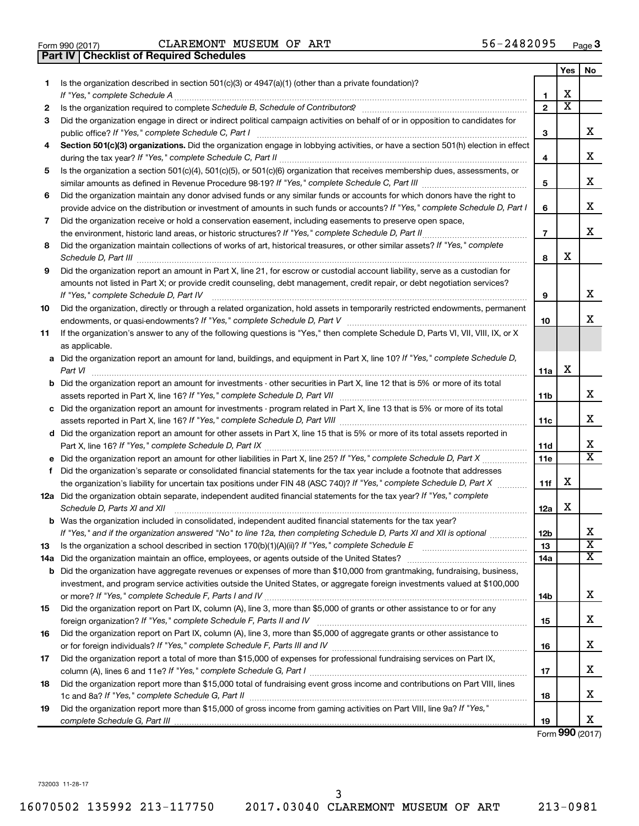|  | Form 990 (2017) |
|--|-----------------|

Form 990 (2017)  $CLAREMONT$   $MUSEUM$  OF  $ART$   $56-2482095$   $Page$ 

|     | <b>Checklist of Required Schedules</b><br><b>Part IV</b>                                                                                                                                                                            |                |                         |                              |
|-----|-------------------------------------------------------------------------------------------------------------------------------------------------------------------------------------------------------------------------------------|----------------|-------------------------|------------------------------|
|     |                                                                                                                                                                                                                                     |                | Yes                     | No.                          |
| 1   | Is the organization described in section $501(c)(3)$ or $4947(a)(1)$ (other than a private foundation)?                                                                                                                             |                |                         |                              |
|     |                                                                                                                                                                                                                                     | 1              | X                       |                              |
| 2   |                                                                                                                                                                                                                                     | $\mathbf{2}$   | $\overline{\textbf{X}}$ |                              |
| 3   | Did the organization engage in direct or indirect political campaign activities on behalf of or in opposition to candidates for                                                                                                     |                |                         |                              |
|     |                                                                                                                                                                                                                                     | 3              |                         | x                            |
| 4   | Section 501(c)(3) organizations. Did the organization engage in lobbying activities, or have a section 501(h) election in effect                                                                                                    |                |                         |                              |
|     |                                                                                                                                                                                                                                     | 4              |                         | х                            |
| 5   | Is the organization a section 501(c)(4), 501(c)(5), or 501(c)(6) organization that receives membership dues, assessments, or                                                                                                        |                |                         |                              |
|     |                                                                                                                                                                                                                                     | 5              |                         | х                            |
| 6   | Did the organization maintain any donor advised funds or any similar funds or accounts for which donors have the right to                                                                                                           |                |                         |                              |
|     | provide advice on the distribution or investment of amounts in such funds or accounts? If "Yes," complete Schedule D, Part I                                                                                                        | 6              |                         | х                            |
| 7   | Did the organization receive or hold a conservation easement, including easements to preserve open space,                                                                                                                           |                |                         |                              |
|     |                                                                                                                                                                                                                                     | $\overline{7}$ |                         | х                            |
| 8   | Did the organization maintain collections of works of art, historical treasures, or other similar assets? If "Yes," complete                                                                                                        |                |                         |                              |
|     | Schedule D, Part III <b>Marting Community</b> Construction of the Construction of the Construction of the Construction of the Construction of the Construction of the Construction of the Construction of the Construction of the C | 8              | X                       |                              |
| 9   | Did the organization report an amount in Part X, line 21, for escrow or custodial account liability, serve as a custodian for                                                                                                       |                |                         |                              |
|     | amounts not listed in Part X; or provide credit counseling, debt management, credit repair, or debt negotiation services?                                                                                                           |                |                         |                              |
|     | If "Yes," complete Schedule D, Part IV                                                                                                                                                                                              | 9              |                         | х                            |
| 10  | Did the organization, directly or through a related organization, hold assets in temporarily restricted endowments, permanent                                                                                                       |                |                         |                              |
|     |                                                                                                                                                                                                                                     | 10             |                         | x                            |
| 11  | If the organization's answer to any of the following questions is "Yes," then complete Schedule D, Parts VI, VII, VIII, IX, or X                                                                                                    |                |                         |                              |
|     | as applicable.                                                                                                                                                                                                                      |                |                         |                              |
|     | a Did the organization report an amount for land, buildings, and equipment in Part X, line 10? If "Yes," complete Schedule D,                                                                                                       |                |                         |                              |
|     | Part VI                                                                                                                                                                                                                             | 11a            | X                       |                              |
|     | <b>b</b> Did the organization report an amount for investments - other securities in Part X, line 12 that is 5% or more of its total                                                                                                |                |                         |                              |
|     |                                                                                                                                                                                                                                     | 11b            |                         | x                            |
|     | c Did the organization report an amount for investments - program related in Part X, line 13 that is 5% or more of its total                                                                                                        |                |                         |                              |
|     |                                                                                                                                                                                                                                     | 11c            |                         | х                            |
|     | d Did the organization report an amount for other assets in Part X, line 15 that is 5% or more of its total assets reported in                                                                                                      |                |                         |                              |
|     |                                                                                                                                                                                                                                     | 11d            |                         | х                            |
|     |                                                                                                                                                                                                                                     | 11e            |                         | $\overline{\texttt{x}}$      |
|     | f Did the organization's separate or consolidated financial statements for the tax year include a footnote that addresses                                                                                                           |                |                         |                              |
|     | the organization's liability for uncertain tax positions under FIN 48 (ASC 740)? If "Yes," complete Schedule D, Part X                                                                                                              | 11f            | X                       |                              |
|     | 12a Did the organization obtain separate, independent audited financial statements for the tax year? If "Yes," complete                                                                                                             |                |                         |                              |
|     | Schedule D, Parts XI and XII                                                                                                                                                                                                        | 12a            | X                       |                              |
|     | <b>b</b> Was the organization included in consolidated, independent audited financial statements for the tax year?                                                                                                                  |                |                         |                              |
|     | If "Yes," and if the organization answered "No" to line 12a, then completing Schedule D, Parts XI and XII is optional                                                                                                               | 12b            |                         | х<br>$\overline{\textbf{x}}$ |
| 13  |                                                                                                                                                                                                                                     | 13             |                         | $\overline{\textbf{X}}$      |
| 14a |                                                                                                                                                                                                                                     | 14a            |                         |                              |
| b   | Did the organization have aggregate revenues or expenses of more than \$10,000 from grantmaking, fundraising, business,                                                                                                             |                |                         |                              |
|     | investment, and program service activities outside the United States, or aggregate foreign investments valued at \$100,000                                                                                                          |                |                         | х                            |
|     | Did the organization report on Part IX, column (A), line 3, more than \$5,000 of grants or other assistance to or for any                                                                                                           | 14b            |                         |                              |
| 15  |                                                                                                                                                                                                                                     |                |                         | х                            |
| 16  | Did the organization report on Part IX, column (A), line 3, more than \$5,000 of aggregate grants or other assistance to                                                                                                            | 15             |                         |                              |
|     |                                                                                                                                                                                                                                     | 16             |                         | х                            |
| 17  | Did the organization report a total of more than \$15,000 of expenses for professional fundraising services on Part IX,                                                                                                             |                |                         |                              |
|     |                                                                                                                                                                                                                                     | 17             |                         | X                            |
| 18  | Did the organization report more than \$15,000 total of fundraising event gross income and contributions on Part VIII, lines                                                                                                        |                |                         |                              |
|     |                                                                                                                                                                                                                                     | 18             |                         | х                            |
| 19  | Did the organization report more than \$15,000 of gross income from gaming activities on Part VIII, line 9a? If "Yes,"                                                                                                              |                |                         |                              |
|     |                                                                                                                                                                                                                                     | 19             |                         | X                            |
|     |                                                                                                                                                                                                                                     |                |                         |                              |

Form (2017) **990**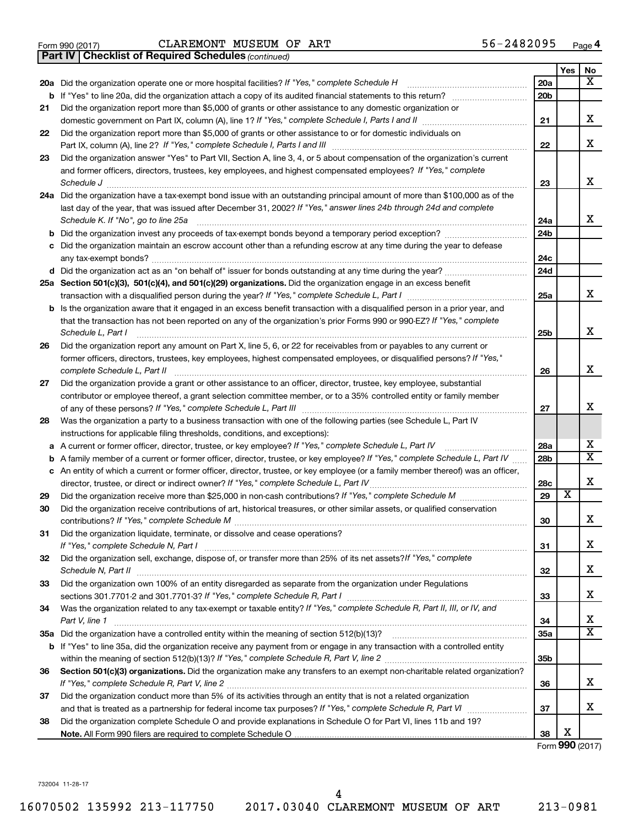|  | Form 990 (2017) |
|--|-----------------|
|  |                 |

Form 990 (2017)  $CLAREMONT$   $MUSEUM$  OF  $ART$   $56-2482095$   $Page$ 

*(continued)* **Part IV Checklist of Required Schedules**

|    |                                                                                                                                                                                                                             |                 | Yes                   | No                           |
|----|-----------------------------------------------------------------------------------------------------------------------------------------------------------------------------------------------------------------------------|-----------------|-----------------------|------------------------------|
|    | 20a Did the organization operate one or more hospital facilities? If "Yes," complete Schedule H                                                                                                                             | 20a             |                       | x                            |
|    |                                                                                                                                                                                                                             | 20 <sub>b</sub> |                       |                              |
| 21 | Did the organization report more than \$5,000 of grants or other assistance to any domestic organization or                                                                                                                 |                 |                       |                              |
|    |                                                                                                                                                                                                                             | 21              |                       | x                            |
| 22 | Did the organization report more than \$5,000 of grants or other assistance to or for domestic individuals on                                                                                                               | 22              |                       | X                            |
| 23 | Did the organization answer "Yes" to Part VII, Section A, line 3, 4, or 5 about compensation of the organization's current                                                                                                  |                 |                       |                              |
|    | and former officers, directors, trustees, key employees, and highest compensated employees? If "Yes," complete                                                                                                              |                 |                       |                              |
|    | Schedule J                                                                                                                                                                                                                  | 23              |                       | x                            |
|    | 24a Did the organization have a tax-exempt bond issue with an outstanding principal amount of more than \$100,000 as of the                                                                                                 |                 |                       |                              |
|    | last day of the year, that was issued after December 31, 2002? If "Yes," answer lines 24b through 24d and complete                                                                                                          |                 |                       |                              |
|    | Schedule K. If "No", go to line 25a                                                                                                                                                                                         | 24a             |                       | x                            |
| b  | Did the organization invest any proceeds of tax-exempt bonds beyond a temporary period exception?                                                                                                                           | 24 <sub>b</sub> |                       |                              |
| с  | Did the organization maintain an escrow account other than a refunding escrow at any time during the year to defease                                                                                                        |                 |                       |                              |
|    |                                                                                                                                                                                                                             | 24c             |                       |                              |
|    |                                                                                                                                                                                                                             | 24d             |                       |                              |
|    | 25a Section 501(c)(3), 501(c)(4), and 501(c)(29) organizations. Did the organization engage in an excess benefit                                                                                                            |                 |                       |                              |
|    | transaction with a disqualified person during the year? If "Yes," complete Schedule L, Part I [ [ [ [ [ [ ] ]                                                                                                               | 25a             |                       | x                            |
|    | <b>b</b> Is the organization aware that it engaged in an excess benefit transaction with a disqualified person in a prior year, and                                                                                         |                 |                       |                              |
|    | that the transaction has not been reported on any of the organization's prior Forms 990 or 990-EZ? If "Yes," complete<br>Schedule L, Part I                                                                                 | 25b             |                       | X                            |
| 26 | Did the organization report any amount on Part X, line 5, 6, or 22 for receivables from or payables to any current or                                                                                                       |                 |                       |                              |
|    | former officers, directors, trustees, key employees, highest compensated employees, or disqualified persons? If "Yes,"                                                                                                      |                 |                       |                              |
|    |                                                                                                                                                                                                                             | 26              |                       | x                            |
| 27 | Did the organization provide a grant or other assistance to an officer, director, trustee, key employee, substantial                                                                                                        |                 |                       |                              |
|    | contributor or employee thereof, a grant selection committee member, or to a 35% controlled entity or family member                                                                                                         |                 |                       |                              |
|    |                                                                                                                                                                                                                             | 27              |                       | х                            |
| 28 | Was the organization a party to a business transaction with one of the following parties (see Schedule L, Part IV                                                                                                           |                 |                       |                              |
|    | instructions for applicable filing thresholds, conditions, and exceptions):                                                                                                                                                 |                 |                       |                              |
| а  | A current or former officer, director, trustee, or key employee? If "Yes," complete Schedule L, Part IV                                                                                                                     | 28a             |                       | x<br>$\overline{\mathtt{x}}$ |
| b  | A family member of a current or former officer, director, trustee, or key employee? If "Yes," complete Schedule L, Part IV                                                                                                  | 28 <sub>b</sub> |                       |                              |
|    | c An entity of which a current or former officer, director, trustee, or key employee (or a family member thereof) was an officer,<br>director, trustee, or direct or indirect owner? If "Yes," complete Schedule L, Part IV | 28c             |                       | X                            |
| 29 |                                                                                                                                                                                                                             | 29              | $\overline{\text{x}}$ |                              |
| 30 | Did the organization receive contributions of art, historical treasures, or other similar assets, or qualified conservation                                                                                                 |                 |                       |                              |
|    |                                                                                                                                                                                                                             | 30              |                       | x                            |
| 31 | Did the organization liquidate, terminate, or dissolve and cease operations?                                                                                                                                                |                 |                       |                              |
|    |                                                                                                                                                                                                                             | 31              |                       | х                            |
| 32 | Did the organization sell, exchange, dispose of, or transfer more than 25% of its net assets? If "Yes," complete                                                                                                            |                 |                       |                              |
|    | Schedule N, Part II                                                                                                                                                                                                         | 32              |                       | x                            |
| 33 | Did the organization own 100% of an entity disregarded as separate from the organization under Regulations                                                                                                                  |                 |                       |                              |
|    |                                                                                                                                                                                                                             | 33              |                       | х                            |
| 34 | Was the organization related to any tax-exempt or taxable entity? If "Yes," complete Schedule R, Part II, III, or IV, and                                                                                                   | 34              |                       | х                            |
|    | Part V, line 1                                                                                                                                                                                                              | 35a             |                       | $\overline{\mathtt{x}}$      |
|    | b If "Yes" to line 35a, did the organization receive any payment from or engage in any transaction with a controlled entity                                                                                                 |                 |                       |                              |
|    |                                                                                                                                                                                                                             | 35 <sub>b</sub> |                       |                              |
| 36 | Section 501(c)(3) organizations. Did the organization make any transfers to an exempt non-charitable related organization?                                                                                                  |                 |                       |                              |
|    |                                                                                                                                                                                                                             | 36              |                       | x                            |
| 37 | Did the organization conduct more than 5% of its activities through an entity that is not a related organization                                                                                                            |                 |                       |                              |
|    |                                                                                                                                                                                                                             | 37              |                       | x                            |
| 38 | Did the organization complete Schedule O and provide explanations in Schedule O for Part VI, lines 11b and 19?                                                                                                              |                 |                       |                              |
|    |                                                                                                                                                                                                                             | 38              | х                     |                              |

Form (2017) **990**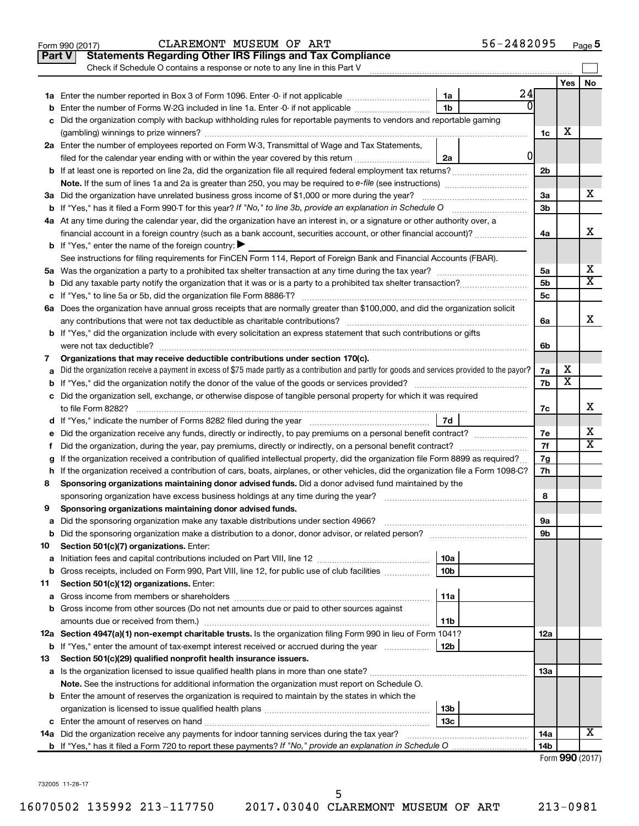|    | 56-2482095<br>CLAREMONT MUSEUM OF ART<br>Form 990 (2017)                                                                                        |                 |                 | Page 5 |
|----|-------------------------------------------------------------------------------------------------------------------------------------------------|-----------------|-----------------|--------|
|    | <b>Statements Regarding Other IRS Filings and Tax Compliance</b><br><b>Part V</b>                                                               |                 |                 |        |
|    | Check if Schedule O contains a response or note to any line in this Part V                                                                      |                 |                 |        |
|    |                                                                                                                                                 |                 | Yes             | No     |
|    | 24<br>1a                                                                                                                                        |                 |                 |        |
| b  | ΩI<br>1 <sub>b</sub><br>Enter the number of Forms W-2G included in line 1a. Enter -0- if not applicable                                         |                 |                 |        |
| с  | Did the organization comply with backup withholding rules for reportable payments to vendors and reportable gaming                              |                 |                 |        |
|    |                                                                                                                                                 | 1c              | х               |        |
|    | 2a Enter the number of employees reported on Form W-3, Transmittal of Wage and Tax Statements,                                                  |                 |                 |        |
|    | <sup>0</sup><br>filed for the calendar year ending with or within the year covered by this return<br>2a                                         |                 |                 |        |
|    |                                                                                                                                                 | 2 <sub>b</sub>  |                 |        |
|    | Note. If the sum of lines 1a and 2a is greater than 250, you may be required to e-file (see instructions) <i></i>                               |                 |                 |        |
|    | 3a Did the organization have unrelated business gross income of \$1,000 or more during the year?                                                | 3a              |                 | x      |
|    | <b>b</b> If "Yes," has it filed a Form 990-T for this year? If "No," to line 3b, provide an explanation in Schedule O manumum                   | 3 <sub>b</sub>  |                 |        |
|    | 4a At any time during the calendar year, did the organization have an interest in, or a signature or other authority over, a                    |                 |                 |        |
|    | financial account in a foreign country (such as a bank account, securities account, or other financial account)?                                | 4a              |                 | х      |
|    | <b>b</b> If "Yes," enter the name of the foreign country: $\blacktriangleright$                                                                 |                 |                 |        |
|    | See instructions for filing requirements for FinCEN Form 114, Report of Foreign Bank and Financial Accounts (FBAR).                             |                 |                 |        |
|    |                                                                                                                                                 | 5a              |                 | х      |
| b  |                                                                                                                                                 | 5 <sub>b</sub>  |                 | X      |
| с  |                                                                                                                                                 | 5c              |                 |        |
|    | 6a Does the organization have annual gross receipts that are normally greater than \$100,000, and did the organization solicit                  |                 |                 |        |
|    |                                                                                                                                                 | 6a              |                 | х      |
|    | <b>b</b> If "Yes," did the organization include with every solicitation an express statement that such contributions or gifts                   |                 |                 |        |
|    | were not tax deductible?                                                                                                                        | 6b              |                 |        |
| 7  | Organizations that may receive deductible contributions under section 170(c).                                                                   |                 |                 |        |
| а  | Did the organization receive a payment in excess of \$75 made partly as a contribution and partly for goods and services provided to the payor? | 7a              | х               |        |
| b  |                                                                                                                                                 | 7b              | х               |        |
|    | c Did the organization sell, exchange, or otherwise dispose of tangible personal property for which it was required                             |                 |                 |        |
|    |                                                                                                                                                 | 7с              |                 | х      |
|    | 7d                                                                                                                                              |                 |                 |        |
| е  |                                                                                                                                                 | 7e              |                 | X      |
| f. | Did the organization, during the year, pay premiums, directly or indirectly, on a personal benefit contract?                                    | 7f              |                 | x      |
| g  | If the organization received a contribution of qualified intellectual property, did the organization file Form 8899 as required?                | 7g              |                 |        |
|    | h If the organization received a contribution of cars, boats, airplanes, or other vehicles, did the organization file a Form 1098-C?            | 7h              |                 |        |
| 8  | Sponsoring organizations maintaining donor advised funds. Did a donor advised fund maintained by the                                            |                 |                 |        |
|    |                                                                                                                                                 | 8               |                 |        |
|    | Sponsoring organizations maintaining donor advised funds.                                                                                       |                 |                 |        |
| а  | Did the sponsoring organization make any taxable distributions under section 4966?                                                              | 9a              |                 |        |
| b  |                                                                                                                                                 | 9b              |                 |        |
| 10 | Section 501(c)(7) organizations. Enter:                                                                                                         |                 |                 |        |
| а  | 10a                                                                                                                                             |                 |                 |        |
| b  | 10 <sub>b</sub><br>Gross receipts, included on Form 990, Part VIII, line 12, for public use of club facilities                                  |                 |                 |        |
| 11 | Section 501(c)(12) organizations. Enter:                                                                                                        |                 |                 |        |
| а  | 11a                                                                                                                                             |                 |                 |        |
| b  | Gross income from other sources (Do not net amounts due or paid to other sources against                                                        |                 |                 |        |
|    | 11b                                                                                                                                             |                 |                 |        |
|    | 12a Section 4947(a)(1) non-exempt charitable trusts. Is the organization filing Form 990 in lieu of Form 1041?                                  | 12a             |                 |        |
|    | 12b<br><b>b</b> If "Yes," enter the amount of tax-exempt interest received or accrued during the year                                           |                 |                 |        |
| 13 | Section 501(c)(29) qualified nonprofit health insurance issuers.                                                                                |                 |                 |        |
|    | a Is the organization licensed to issue qualified health plans in more than one state?                                                          | 13a             |                 |        |
|    | Note. See the instructions for additional information the organization must report on Schedule O.                                               |                 |                 |        |
|    | <b>b</b> Enter the amount of reserves the organization is required to maintain by the states in which the                                       |                 |                 |        |
|    | 13b                                                                                                                                             |                 |                 |        |
|    | 13 <sub>c</sub>                                                                                                                                 |                 |                 |        |
|    | 14a Did the organization receive any payments for indoor tanning services during the tax year?                                                  | 14a             |                 | x      |
|    |                                                                                                                                                 | 14 <sub>b</sub> |                 |        |
|    |                                                                                                                                                 |                 | Form 990 (2017) |        |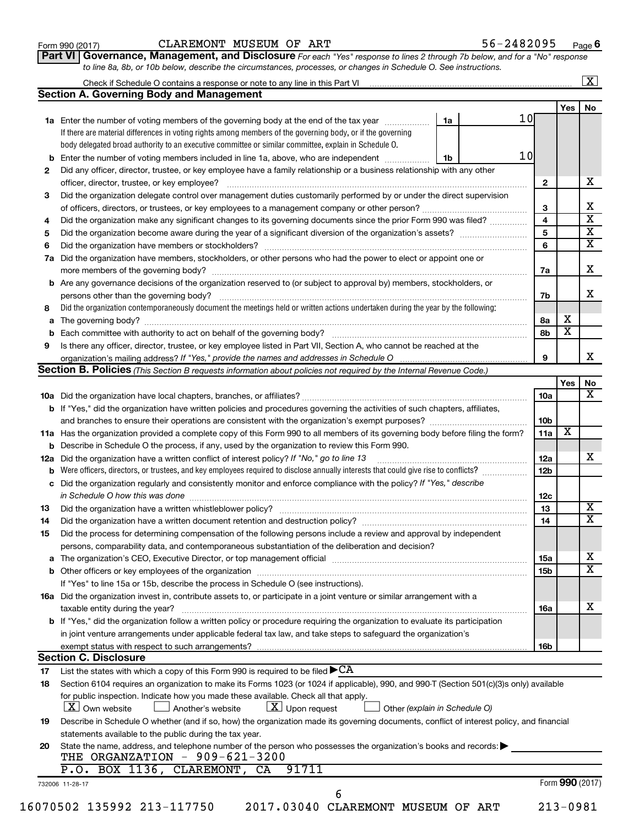| Form 990 (2017) |  |
|-----------------|--|
|-----------------|--|

### Form 990 (2017)  $CLAREMONT$   $MUSEUM$  OF  $ART$   $56-2482095$   $Page$

56-2482095 Page 6

| Part VI   Governance, Management, and Disclosure For each "Yes" response to lines 2 through 7b below, and for a "No" response |  |
|-------------------------------------------------------------------------------------------------------------------------------|--|
| to line 8a, 8b, or 10b below, describe the circumstances, processes, or changes in Schedule O. See instructions.              |  |

|    | Check if Schedule O contains a response or note to any line in this Part VI [11] [12] [12] [12] [12] [12] Check if Schedule O contains a response or note to any line in this Part VI                                          |                 |                         | $\overline{\mathbf{X}}$ |
|----|--------------------------------------------------------------------------------------------------------------------------------------------------------------------------------------------------------------------------------|-----------------|-------------------------|-------------------------|
|    | <b>Section A. Governing Body and Management</b>                                                                                                                                                                                |                 |                         |                         |
|    | 10 <sub>l</sub>                                                                                                                                                                                                                |                 | Yes                     | No                      |
|    | 1a<br>1a Enter the number of voting members of the governing body at the end of the tax year                                                                                                                                   |                 |                         |                         |
|    | If there are material differences in voting rights among members of the governing body, or if the governing                                                                                                                    |                 |                         |                         |
|    | body delegated broad authority to an executive committee or similar committee, explain in Schedule O.<br>10                                                                                                                    |                 |                         |                         |
|    | <b>b</b> Enter the number of voting members included in line 1a, above, who are independent <i>manumum</i><br>1b                                                                                                               |                 |                         |                         |
| 2  | Did any officer, director, trustee, or key employee have a family relationship or a business relationship with any other                                                                                                       |                 |                         |                         |
|    | officer, director, trustee, or key employee?                                                                                                                                                                                   | $\mathbf{2}$    |                         |                         |
| 3  | Did the organization delegate control over management duties customarily performed by or under the direct supervision                                                                                                          |                 |                         |                         |
|    | of officers, directors, or trustees, or key employees to a management company or other person?                                                                                                                                 | 3               |                         |                         |
| 4  | Did the organization make any significant changes to its governing documents since the prior Form 990 was filed?                                                                                                               | $\overline{4}$  |                         |                         |
| 5  |                                                                                                                                                                                                                                | 5               |                         |                         |
| 6  |                                                                                                                                                                                                                                | 6               |                         |                         |
|    | 7a Did the organization have members, stockholders, or other persons who had the power to elect or appoint one or                                                                                                              |                 |                         |                         |
|    |                                                                                                                                                                                                                                | 7a              |                         |                         |
|    | <b>b</b> Are any governance decisions of the organization reserved to (or subject to approval by) members, stockholders, or                                                                                                    |                 |                         |                         |
|    | persons other than the governing body?                                                                                                                                                                                         | 7b              |                         |                         |
| 8  | Did the organization contemporaneously document the meetings held or written actions undertaken during the year by the following:                                                                                              |                 |                         |                         |
|    |                                                                                                                                                                                                                                | 8a              | х                       |                         |
|    |                                                                                                                                                                                                                                | 8b              | $\overline{\mathbf{x}}$ |                         |
| 9  | Is there any officer, director, trustee, or key employee listed in Part VII, Section A, who cannot be reached at the                                                                                                           |                 |                         |                         |
|    |                                                                                                                                                                                                                                | 9               |                         |                         |
|    | Section B. Policies (This Section B requests information about policies not required by the Internal Revenue Code.)                                                                                                            |                 |                         |                         |
|    |                                                                                                                                                                                                                                |                 | Yes                     |                         |
|    |                                                                                                                                                                                                                                |                 |                         |                         |
|    |                                                                                                                                                                                                                                | 10a             |                         |                         |
|    | <b>b</b> If "Yes," did the organization have written policies and procedures governing the activities of such chapters, affiliates,                                                                                            |                 |                         |                         |
|    |                                                                                                                                                                                                                                | 10 <sub>b</sub> |                         |                         |
|    | 11a Has the organization provided a complete copy of this Form 990 to all members of its governing body before filing the form?                                                                                                | 11a             | X                       |                         |
|    | <b>b</b> Describe in Schedule O the process, if any, used by the organization to review this Form 990.                                                                                                                         |                 |                         |                         |
|    | <b>12a</b> Did the organization have a written conflict of interest policy? If "No," go to line 13                                                                                                                             | 12a             |                         |                         |
|    |                                                                                                                                                                                                                                | 12 <sub>b</sub> |                         |                         |
|    | c Did the organization regularly and consistently monitor and enforce compliance with the policy? If "Yes," describe                                                                                                           |                 |                         |                         |
|    | in Schedule O how this was done manufactured and contact the state of the state of the state of the state of t                                                                                                                 | 12c             |                         |                         |
| 13 |                                                                                                                                                                                                                                | 13              |                         |                         |
| 14 |                                                                                                                                                                                                                                | 14              |                         |                         |
| 15 | Did the process for determining compensation of the following persons include a review and approval by independent                                                                                                             |                 |                         |                         |
|    | persons, comparability data, and contemporaneous substantiation of the deliberation and decision?                                                                                                                              |                 |                         |                         |
|    | a The organization's CEO, Executive Director, or top management official manufaction content content content content of the Theorem and The Theorem and The Theorem and The Theorem and The Theorem and The Theorem and The Th | 15a             |                         |                         |
|    |                                                                                                                                                                                                                                | 15b             |                         |                         |
|    | If "Yes" to line 15a or 15b, describe the process in Schedule O (see instructions).                                                                                                                                            |                 |                         |                         |
|    | 16a Did the organization invest in, contribute assets to, or participate in a joint venture or similar arrangement with a                                                                                                      |                 |                         |                         |
|    | taxable entity during the year?                                                                                                                                                                                                | 16a             |                         |                         |
|    | b If "Yes," did the organization follow a written policy or procedure requiring the organization to evaluate its participation                                                                                                 |                 |                         |                         |
|    |                                                                                                                                                                                                                                |                 |                         |                         |
|    | in joint venture arrangements under applicable federal tax law, and take steps to safeguard the organization's                                                                                                                 |                 |                         |                         |
|    |                                                                                                                                                                                                                                | 16b             |                         |                         |
|    | <b>Section C. Disclosure</b>                                                                                                                                                                                                   |                 |                         |                         |
| 17 | List the states with which a copy of this Form 990 is required to be filed $\blacktriangleright$ CA                                                                                                                            |                 |                         |                         |
| 18 | Section 6104 requires an organization to make its Forms 1023 (or 1024 if applicable), 990, and 990-T (Section 501(c)(3)s only) available                                                                                       |                 |                         |                         |
|    | for public inspection. Indicate how you made these available. Check all that apply.                                                                                                                                            |                 |                         |                         |
|    | $X$ Own website<br>$\lfloor x \rfloor$ Upon request<br>Another's website<br>Other (explain in Schedule O)                                                                                                                      |                 |                         |                         |
| 19 | Describe in Schedule O whether (and if so, how) the organization made its governing documents, conflict of interest policy, and financial                                                                                      |                 |                         |                         |
|    | statements available to the public during the tax year.                                                                                                                                                                        |                 |                         |                         |
| 20 | State the name, address, and telephone number of the person who possesses the organization's books and records:                                                                                                                |                 |                         |                         |
|    | THE ORGANZATION - 909-621-3200                                                                                                                                                                                                 |                 |                         |                         |
|    | 91711<br>P.O. BOX 1136, CLAREMONT,<br>CA                                                                                                                                                                                       |                 |                         |                         |
|    | 732006 11-28-17                                                                                                                                                                                                                |                 | Form 990 (2017)         |                         |
|    | 6                                                                                                                                                                                                                              |                 |                         |                         |
|    | 16070502 135992 213-117750<br>2017.03040 CLAREMONT MUSEUM OF ART                                                                                                                                                               |                 | $213 - 0981$            |                         |
|    |                                                                                                                                                                                                                                |                 |                         |                         |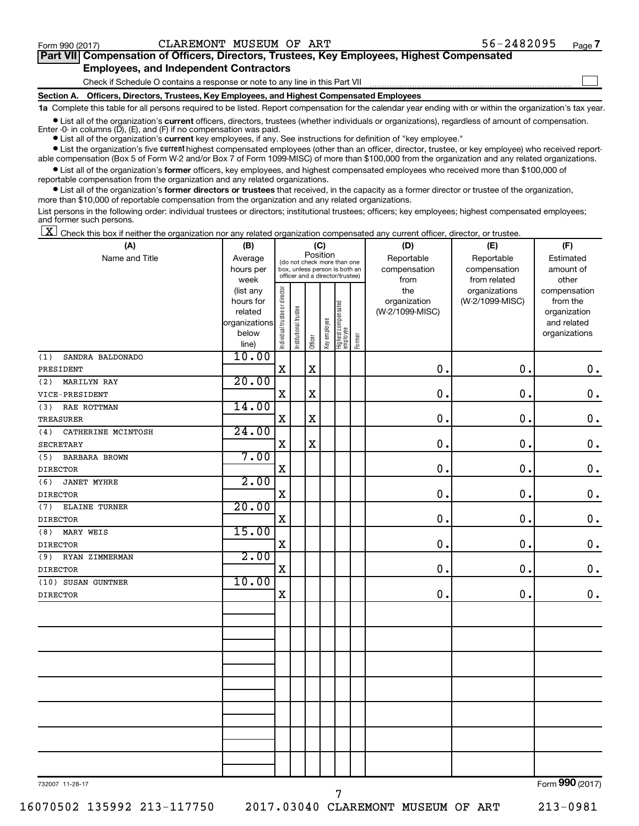$\Box$ 

| Part VII Compensation of Officers, Directors, Trustees, Key Employees, Highest Compensated |
|--------------------------------------------------------------------------------------------|
| <b>Employees, and Independent Contractors</b>                                              |

Check if Schedule O contains a response or note to any line in this Part VII

**Section A. Officers, Directors, Trustees, Key Employees, and Highest Compensated Employees**

**1a**  Complete this table for all persons required to be listed. Report compensation for the calendar year ending with or within the organization's tax year.

**•** List all of the organization's current officers, directors, trustees (whether individuals or organizations), regardless of amount of compensation. Enter -0- in columns  $(D)$ ,  $(E)$ , and  $(F)$  if no compensation was paid.

**•** List all of the organization's **current** key employees, if any. See instructions for definition of "key employee."

**•** List the organization's five current highest compensated employees (other than an officer, director, trustee, or key employee) who received reportable compensation (Box 5 of Form W-2 and/or Box 7 of Form 1099-MISC) of more than \$100,000 from the organization and any related organizations.

**•** List all of the organization's former officers, key employees, and highest compensated employees who received more than \$100,000 of reportable compensation from the organization and any related organizations.

**•** List all of the organization's former directors or trustees that received, in the capacity as a former director or trustee of the organization, more than \$10,000 of reportable compensation from the organization and any related organizations.

List persons in the following order: individual trustees or directors; institutional trustees; officers; key employees; highest compensated employees; and former such persons.

 $\boxed{\textbf{X}}$  Check this box if neither the organization nor any related organization compensated any current officer, director, or trustee.

| (A)                         | (B)                  |                                |                                                                  |             | (C)          |                                 |        | (D)                             | (E)             | (F)                      |
|-----------------------------|----------------------|--------------------------------|------------------------------------------------------------------|-------------|--------------|---------------------------------|--------|---------------------------------|-----------------|--------------------------|
| Name and Title              | Average              |                                | (do not check more than one                                      | Position    |              |                                 |        | Reportable                      | Reportable      | Estimated                |
|                             | hours per            |                                | box, unless person is both an<br>officer and a director/trustee) |             |              |                                 |        | compensation                    | compensation    | amount of                |
|                             | week                 |                                |                                                                  |             |              |                                 |        | from                            | from related    | other                    |
|                             | (list any            |                                |                                                                  |             |              |                                 |        | the                             | organizations   | compensation             |
|                             | hours for<br>related |                                |                                                                  |             |              |                                 |        | organization<br>(W-2/1099-MISC) | (W-2/1099-MISC) | from the<br>organization |
|                             | organizations        |                                |                                                                  |             |              |                                 |        |                                 |                 | and related              |
|                             | below                |                                |                                                                  |             |              |                                 |        |                                 |                 | organizations            |
|                             | line)                | Individual trustee or director | Institutional trustee                                            | Officer     | Key employee | Highest compensated<br>employee | Former |                                 |                 |                          |
| SANDRA BALDONADO<br>(1)     | 10.00                |                                |                                                                  |             |              |                                 |        |                                 |                 |                          |
| PRESIDENT                   |                      | $\mathbf X$                    |                                                                  | $\mathbf X$ |              |                                 |        | $\mathbf 0$ .                   | 0.              | $\mathbf 0$ .            |
| <b>MARILYN RAY</b><br>(2)   | 20.00                |                                |                                                                  |             |              |                                 |        |                                 |                 |                          |
| VICE-PRESIDENT              |                      | $\overline{\mathbf{X}}$        |                                                                  | $\mathbf X$ |              |                                 |        | $\mathbf 0$ .                   | $\mathbf 0$ .   | $\mathbf 0$ .            |
| RAE ROTTMAN<br>(3)          | 14.00                |                                |                                                                  |             |              |                                 |        |                                 |                 |                          |
| <b>TREASURER</b>            |                      | $\mathbf X$                    |                                                                  | $\mathbf X$ |              |                                 |        | $\mathbf 0$ .                   | 0.              | $\mathbf 0$ .            |
| (4)<br>CATHERINE MCINTOSH   | 24.00                |                                |                                                                  |             |              |                                 |        |                                 |                 |                          |
| <b>SECRETARY</b>            |                      | $\mathbf X$                    |                                                                  | $\mathbf X$ |              |                                 |        | 0.                              | 0.              | $\mathbf 0$ .            |
| <b>BARBARA BROWN</b><br>(5) | 7.00                 |                                |                                                                  |             |              |                                 |        |                                 |                 |                          |
| <b>DIRECTOR</b>             |                      | X                              |                                                                  |             |              |                                 |        | $\mathbf 0$ .                   | $\mathbf 0$ .   | $\mathbf 0$ .            |
| (6)<br><b>JANET MYHRE</b>   | 2.00                 |                                |                                                                  |             |              |                                 |        |                                 |                 |                          |
| <b>DIRECTOR</b>             |                      | $\mathbf X$                    |                                                                  |             |              |                                 |        | $\mathbf 0$ .                   | $\mathbf 0$ .   | $\mathbf 0$ .            |
| <b>ELAINE TURNER</b><br>(7) | 20.00                |                                |                                                                  |             |              |                                 |        |                                 |                 |                          |
| <b>DIRECTOR</b>             |                      | $\mathbf X$                    |                                                                  |             |              |                                 |        | 0.                              | $\mathbf 0$ .   | $\mathbf 0$ .            |
| (8)<br>MARY WEIS            | 15.00                |                                |                                                                  |             |              |                                 |        |                                 |                 |                          |
| <b>DIRECTOR</b>             |                      | $\mathbf X$                    |                                                                  |             |              |                                 |        | 0.                              | $\mathbf{0}$ .  | $\mathbf 0$ .            |
| RYAN ZIMMERMAN<br>(9)       | 2.00                 |                                |                                                                  |             |              |                                 |        |                                 |                 |                          |
| <b>DIRECTOR</b>             |                      | X                              |                                                                  |             |              |                                 |        | $\mathbf 0$ .                   | 0.              | 0.                       |
| (10) SUSAN GUNTNER          | 10.00                |                                |                                                                  |             |              |                                 |        |                                 |                 |                          |
| <b>DIRECTOR</b>             |                      | $\mathbf X$                    |                                                                  |             |              |                                 |        | 0.                              | 0.              | $\mathbf 0$ .            |
|                             |                      |                                |                                                                  |             |              |                                 |        |                                 |                 |                          |
|                             |                      |                                |                                                                  |             |              |                                 |        |                                 |                 |                          |
|                             |                      |                                |                                                                  |             |              |                                 |        |                                 |                 |                          |
|                             |                      |                                |                                                                  |             |              |                                 |        |                                 |                 |                          |
|                             |                      |                                |                                                                  |             |              |                                 |        |                                 |                 |                          |
|                             |                      |                                |                                                                  |             |              |                                 |        |                                 |                 |                          |
|                             |                      |                                |                                                                  |             |              |                                 |        |                                 |                 |                          |
|                             |                      |                                |                                                                  |             |              |                                 |        |                                 |                 |                          |
|                             |                      |                                |                                                                  |             |              |                                 |        |                                 |                 |                          |
|                             |                      |                                |                                                                  |             |              |                                 |        |                                 |                 |                          |
|                             |                      |                                |                                                                  |             |              |                                 |        |                                 |                 |                          |
|                             |                      |                                |                                                                  |             |              |                                 |        |                                 |                 |                          |
|                             |                      |                                |                                                                  |             |              |                                 |        |                                 |                 |                          |
|                             |                      |                                |                                                                  |             |              |                                 |        |                                 |                 | $\overline{a}$           |

732007 11-28-17

7

Form (2017) **990**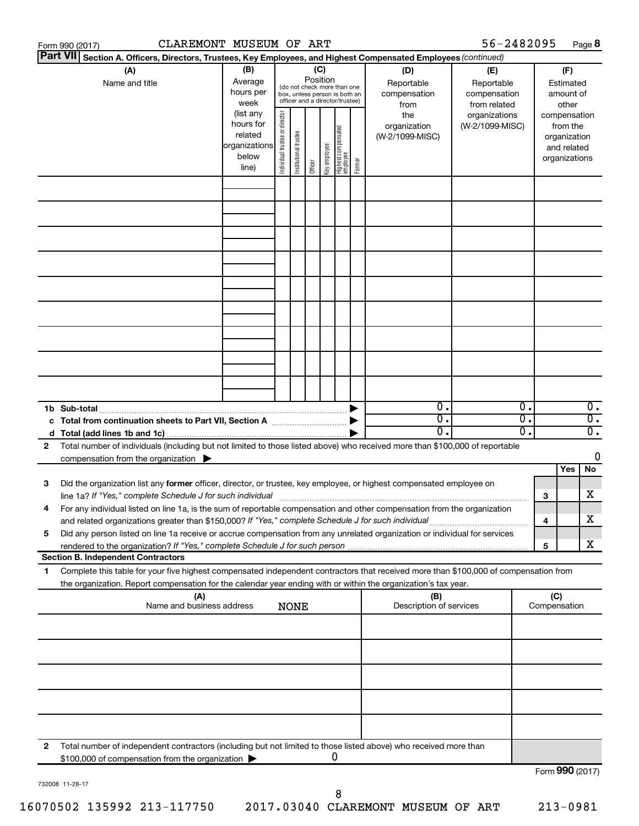|                 | CLAREMONT MUSEUM OF ART<br>Form 990 (2017)                                                                                           |               |                                |                       |          |              |                                   |        |                         | 56-2482095      |    |                 |               | Page 8           |
|-----------------|--------------------------------------------------------------------------------------------------------------------------------------|---------------|--------------------------------|-----------------------|----------|--------------|-----------------------------------|--------|-------------------------|-----------------|----|-----------------|---------------|------------------|
| <b>Part VII</b> | Section A. Officers, Directors, Trustees, Key Employees, and Highest Compensated Employees (continued)                               |               |                                |                       |          |              |                                   |        |                         |                 |    |                 |               |                  |
|                 | (A)                                                                                                                                  | (B)           |                                |                       | (C)      |              |                                   |        | (D)                     | (E)             |    |                 | (F)           |                  |
|                 | Name and title                                                                                                                       | Average       |                                |                       | Position |              | (do not check more than one       |        | Reportable              | Reportable      |    |                 | Estimated     |                  |
|                 |                                                                                                                                      | hours per     |                                |                       |          |              | box, unless person is both an     |        | compensation            | compensation    |    |                 | amount of     |                  |
|                 |                                                                                                                                      | week          |                                |                       |          |              | officer and a director/trustee)   |        | from                    | from related    |    |                 | other         |                  |
|                 |                                                                                                                                      | (list any     |                                |                       |          |              |                                   |        | the                     | organizations   |    |                 | compensation  |                  |
|                 |                                                                                                                                      | hours for     | Individual trustee or director |                       |          |              |                                   |        | organization            | (W-2/1099-MISC) |    |                 | from the      |                  |
|                 |                                                                                                                                      | related       |                                | Institutional trustee |          |              | Highest compensated<br>  employee |        | (W-2/1099-MISC)         |                 |    |                 | organization  |                  |
|                 |                                                                                                                                      | organizations |                                |                       |          | Key employee |                                   |        |                         |                 |    |                 | and related   |                  |
|                 |                                                                                                                                      | below         |                                |                       |          |              |                                   | Former |                         |                 |    |                 | organizations |                  |
|                 |                                                                                                                                      | line)         |                                |                       | Officer  |              |                                   |        |                         |                 |    |                 |               |                  |
|                 |                                                                                                                                      |               |                                |                       |          |              |                                   |        |                         |                 |    |                 |               |                  |
|                 |                                                                                                                                      |               |                                |                       |          |              |                                   |        |                         |                 |    |                 |               |                  |
|                 |                                                                                                                                      |               |                                |                       |          |              |                                   |        |                         |                 |    |                 |               |                  |
|                 |                                                                                                                                      |               |                                |                       |          |              |                                   |        |                         |                 |    |                 |               |                  |
|                 |                                                                                                                                      |               |                                |                       |          |              |                                   |        |                         |                 |    |                 |               |                  |
|                 |                                                                                                                                      |               |                                |                       |          |              |                                   |        |                         |                 |    |                 |               |                  |
|                 |                                                                                                                                      |               |                                |                       |          |              |                                   |        |                         |                 |    |                 |               |                  |
|                 |                                                                                                                                      |               |                                |                       |          |              |                                   |        |                         |                 |    |                 |               |                  |
|                 |                                                                                                                                      |               |                                |                       |          |              |                                   |        |                         |                 |    |                 |               |                  |
|                 |                                                                                                                                      |               |                                |                       |          |              |                                   |        |                         |                 |    |                 |               |                  |
|                 |                                                                                                                                      |               |                                |                       |          |              |                                   |        |                         |                 |    |                 |               |                  |
|                 |                                                                                                                                      |               |                                |                       |          |              |                                   |        |                         |                 |    |                 |               |                  |
|                 |                                                                                                                                      |               |                                |                       |          |              |                                   |        |                         |                 |    |                 |               |                  |
|                 |                                                                                                                                      |               |                                |                       |          |              |                                   |        |                         |                 |    |                 |               |                  |
|                 |                                                                                                                                      |               |                                |                       |          |              |                                   |        |                         |                 |    |                 |               |                  |
|                 |                                                                                                                                      |               |                                |                       |          |              |                                   |        |                         |                 |    |                 |               |                  |
|                 |                                                                                                                                      |               |                                |                       |          |              |                                   |        |                         |                 |    |                 |               |                  |
|                 |                                                                                                                                      |               |                                |                       |          |              |                                   |        |                         |                 |    |                 |               |                  |
|                 |                                                                                                                                      |               |                                |                       |          |              |                                   |        | $\mathbf{0}$ .          |                 | 0. |                 |               | $\overline{0}$ . |
|                 | 1b Sub-total                                                                                                                         |               |                                |                       |          |              |                                   |        | $\overline{0}$ .        |                 | σ. |                 |               |                  |
|                 | c Total from continuation sheets to Part VII, Section A manufactured by                                                              |               |                                |                       |          |              |                                   |        | $0$ .                   |                 |    |                 |               | $\overline{0}$ . |
|                 |                                                                                                                                      |               |                                |                       |          |              |                                   |        |                         |                 | О. |                 |               | $\overline{0}$ . |
| 2               | Total number of individuals (including but not limited to those listed above) who received more than \$100,000 of reportable         |               |                                |                       |          |              |                                   |        |                         |                 |    |                 |               |                  |
|                 | compensation from the organization $\blacktriangleright$                                                                             |               |                                |                       |          |              |                                   |        |                         |                 |    |                 |               | 0                |
|                 |                                                                                                                                      |               |                                |                       |          |              |                                   |        |                         |                 |    |                 | Yes           | No               |
| 3               | Did the organization list any former officer, director, or trustee, key employee, or highest compensated employee on                 |               |                                |                       |          |              |                                   |        |                         |                 |    |                 |               |                  |
|                 | line 1a? If "Yes," complete Schedule J for such individual manufactured content to the set of the set of the s                       |               |                                |                       |          |              |                                   |        |                         |                 |    | 3               |               | х                |
|                 | For any individual listed on line 1a, is the sum of reportable compensation and other compensation from the organization             |               |                                |                       |          |              |                                   |        |                         |                 |    |                 |               |                  |
|                 | and related organizations greater than \$150,000? If "Yes," complete Schedule J for such individual                                  |               |                                |                       |          |              |                                   |        |                         |                 |    | 4               |               | х                |
| 5               | Did any person listed on line 1a receive or accrue compensation from any unrelated organization or individual for services           |               |                                |                       |          |              |                                   |        |                         |                 |    |                 |               |                  |
|                 |                                                                                                                                      |               |                                |                       |          |              |                                   |        |                         |                 |    | 5               |               | х                |
|                 | <b>Section B. Independent Contractors</b>                                                                                            |               |                                |                       |          |              |                                   |        |                         |                 |    |                 |               |                  |
| 1.              | Complete this table for your five highest compensated independent contractors that received more than \$100,000 of compensation from |               |                                |                       |          |              |                                   |        |                         |                 |    |                 |               |                  |
|                 | the organization. Report compensation for the calendar year ending with or within the organization's tax year.                       |               |                                |                       |          |              |                                   |        |                         |                 |    |                 |               |                  |
|                 | (A)                                                                                                                                  |               |                                |                       |          |              |                                   |        | (B)                     |                 |    | (C)             |               |                  |
|                 | Name and business address                                                                                                            |               |                                | <b>NONE</b>           |          |              |                                   |        | Description of services |                 |    | Compensation    |               |                  |
|                 |                                                                                                                                      |               |                                |                       |          |              |                                   |        |                         |                 |    |                 |               |                  |
|                 |                                                                                                                                      |               |                                |                       |          |              |                                   |        |                         |                 |    |                 |               |                  |
|                 |                                                                                                                                      |               |                                |                       |          |              |                                   |        |                         |                 |    |                 |               |                  |
|                 |                                                                                                                                      |               |                                |                       |          |              |                                   |        |                         |                 |    |                 |               |                  |
|                 |                                                                                                                                      |               |                                |                       |          |              |                                   |        |                         |                 |    |                 |               |                  |
|                 |                                                                                                                                      |               |                                |                       |          |              |                                   |        |                         |                 |    |                 |               |                  |
|                 |                                                                                                                                      |               |                                |                       |          |              |                                   |        |                         |                 |    |                 |               |                  |
|                 |                                                                                                                                      |               |                                |                       |          |              |                                   |        |                         |                 |    |                 |               |                  |
|                 |                                                                                                                                      |               |                                |                       |          |              |                                   |        |                         |                 |    |                 |               |                  |
|                 |                                                                                                                                      |               |                                |                       |          |              |                                   |        |                         |                 |    |                 |               |                  |
|                 |                                                                                                                                      |               |                                |                       |          |              |                                   |        |                         |                 |    |                 |               |                  |
| 2               | Total number of independent contractors (including but not limited to those listed above) who received more than                     |               |                                |                       |          |              | 0                                 |        |                         |                 |    |                 |               |                  |
|                 | \$100,000 of compensation from the organization                                                                                      |               |                                |                       |          |              |                                   |        |                         |                 |    |                 |               |                  |
|                 |                                                                                                                                      |               |                                |                       |          |              |                                   |        |                         |                 |    | Form 990 (2017) |               |                  |

732008 11-28-17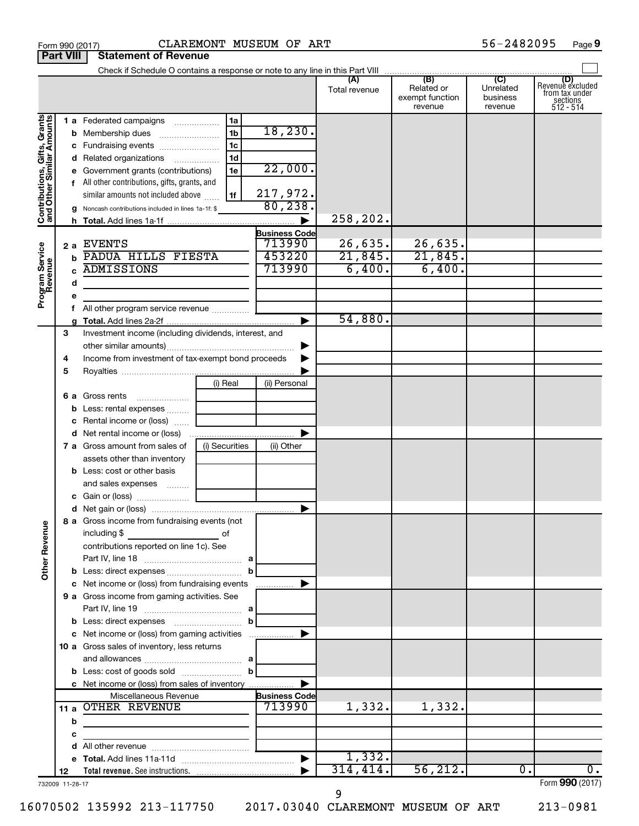|                                                           |                 |                                                                                                |                |                       | Total revenue | (B)<br>Related or<br>exempt function<br>revenue | (C)<br>Unrelated<br>business<br>revenue | (D)<br>Revenue excluded<br>from tax under<br>sections<br>512 - 514 |
|-----------------------------------------------------------|-----------------|------------------------------------------------------------------------------------------------|----------------|-----------------------|---------------|-------------------------------------------------|-----------------------------------------|--------------------------------------------------------------------|
|                                                           |                 | 1 a Federated campaigns                                                                        | 1a             |                       |               |                                                 |                                         |                                                                    |
| Contributions, Gifts, Grants<br>and Other Similar Amounts |                 | <b>b</b> Membership dues                                                                       | 1 <sub>b</sub> | 18, 230.              |               |                                                 |                                         |                                                                    |
|                                                           |                 | c Fundraising events                                                                           | 1c             |                       |               |                                                 |                                         |                                                                    |
|                                                           |                 | d Related organizations                                                                        | 1 <sub>d</sub> |                       |               |                                                 |                                         |                                                                    |
|                                                           |                 | e Government grants (contributions)                                                            | 1e             | 22,000.               |               |                                                 |                                         |                                                                    |
|                                                           |                 | f All other contributions, gifts, grants, and                                                  |                |                       |               |                                                 |                                         |                                                                    |
|                                                           |                 | similar amounts not included above                                                             | 1f             | 217,972.              |               |                                                 |                                         |                                                                    |
|                                                           |                 | g Noncash contributions included in lines 1a-1f: \$                                            |                | 80, 238.              |               |                                                 |                                         |                                                                    |
|                                                           |                 |                                                                                                |                |                       | 258,202.      |                                                 |                                         |                                                                    |
|                                                           |                 |                                                                                                |                | <b>Business Code</b>  |               |                                                 |                                         |                                                                    |
|                                                           |                 | 2 a EVENTS                                                                                     |                | 713990                | 26,635.       | 26,635.                                         |                                         |                                                                    |
|                                                           |                 | <b>b PADUA HILLS FIESTA</b>                                                                    |                | 453220                | 21,845.       | 21,845.                                         |                                         |                                                                    |
|                                                           |                 | <b>ADMISSIONS</b>                                                                              |                | 713990                | 6,400.        | 6,400.                                          |                                         |                                                                    |
| Program Service<br>Revenue                                | d               |                                                                                                |                |                       |               |                                                 |                                         |                                                                    |
|                                                           | е               |                                                                                                |                |                       |               |                                                 |                                         |                                                                    |
|                                                           |                 | All other program service revenue                                                              |                |                       |               |                                                 |                                         |                                                                    |
|                                                           |                 |                                                                                                |                |                       | 54,880.       |                                                 |                                         |                                                                    |
|                                                           | 3               | Investment income (including dividends, interest, and                                          |                |                       |               |                                                 |                                         |                                                                    |
|                                                           |                 |                                                                                                |                |                       |               |                                                 |                                         |                                                                    |
|                                                           | 4               | Income from investment of tax-exempt bond proceeds                                             |                |                       |               |                                                 |                                         |                                                                    |
|                                                           | 5               |                                                                                                |                |                       |               |                                                 |                                         |                                                                    |
|                                                           |                 |                                                                                                | (i) Real       | (ii) Personal         |               |                                                 |                                         |                                                                    |
|                                                           |                 | 6 a Gross rents<br>. 1                                                                         |                |                       |               |                                                 |                                         |                                                                    |
|                                                           |                 | <b>b</b> Less: rental expenses                                                                 |                |                       |               |                                                 |                                         |                                                                    |
|                                                           |                 | Rental income or (loss)                                                                        |                |                       |               |                                                 |                                         |                                                                    |
|                                                           |                 |                                                                                                |                |                       |               |                                                 |                                         |                                                                    |
|                                                           |                 | 7 a Gross amount from sales of                                                                 | (i) Securities | (ii) Other            |               |                                                 |                                         |                                                                    |
|                                                           |                 | assets other than inventory                                                                    |                |                       |               |                                                 |                                         |                                                                    |
|                                                           |                 | <b>b</b> Less: cost or other basis                                                             |                |                       |               |                                                 |                                         |                                                                    |
|                                                           |                 | and sales expenses                                                                             |                |                       |               |                                                 |                                         |                                                                    |
|                                                           |                 |                                                                                                |                |                       |               |                                                 |                                         |                                                                    |
|                                                           |                 |                                                                                                |                | ▶                     |               |                                                 |                                         |                                                                    |
| ٩                                                         |                 | 8 a Gross income from fundraising events (not                                                  |                |                       |               |                                                 |                                         |                                                                    |
|                                                           |                 | including \$                                                                                   | of             |                       |               |                                                 |                                         |                                                                    |
|                                                           |                 | contributions reported on line 1c). See                                                        |                |                       |               |                                                 |                                         |                                                                    |
| Other Rever                                               |                 |                                                                                                |                |                       |               |                                                 |                                         |                                                                    |
|                                                           |                 |                                                                                                | b              |                       |               |                                                 |                                         |                                                                    |
|                                                           |                 | c Net income or (loss) from fundraising events<br>9 a Gross income from gaming activities. See |                |                       |               |                                                 |                                         |                                                                    |
|                                                           |                 |                                                                                                |                |                       |               |                                                 |                                         |                                                                    |
|                                                           |                 |                                                                                                | b              |                       |               |                                                 |                                         |                                                                    |
|                                                           |                 | c Net income or (loss) from gaming activities                                                  |                |                       |               |                                                 |                                         |                                                                    |
|                                                           |                 | 10 a Gross sales of inventory, less returns                                                    |                |                       |               |                                                 |                                         |                                                                    |
|                                                           |                 |                                                                                                |                |                       |               |                                                 |                                         |                                                                    |
|                                                           |                 |                                                                                                |                |                       |               |                                                 |                                         |                                                                    |
|                                                           |                 | c Net income or (loss) from sales of inventory                                                 |                |                       |               |                                                 |                                         |                                                                    |
|                                                           |                 | Miscellaneous Revenue                                                                          |                | <b>Business Code</b>  |               |                                                 |                                         |                                                                    |
|                                                           |                 | 11 a OTHER REVENUE                                                                             |                | 713990                | 1,332.        | 1,332.                                          |                                         |                                                                    |
|                                                           | b               |                                                                                                |                |                       |               |                                                 |                                         |                                                                    |
|                                                           | c               |                                                                                                |                |                       |               |                                                 |                                         |                                                                    |
|                                                           | d               |                                                                                                |                |                       |               |                                                 |                                         |                                                                    |
|                                                           |                 |                                                                                                |                | $\blacktriangleright$ | 1,332.        |                                                 |                                         |                                                                    |
|                                                           | 12              |                                                                                                |                |                       | 314, 414.     | 56, 212.                                        | 0.                                      | $\overline{0}$ .                                                   |
|                                                           | 732009 11-28-17 |                                                                                                |                |                       |               |                                                 |                                         | Form 990 (2017)                                                    |

16070502 135992 213-117750 2017.03040 CLAREMONT MUSEUM OF ART 213-0981

**Part VIII Statement of Revenue**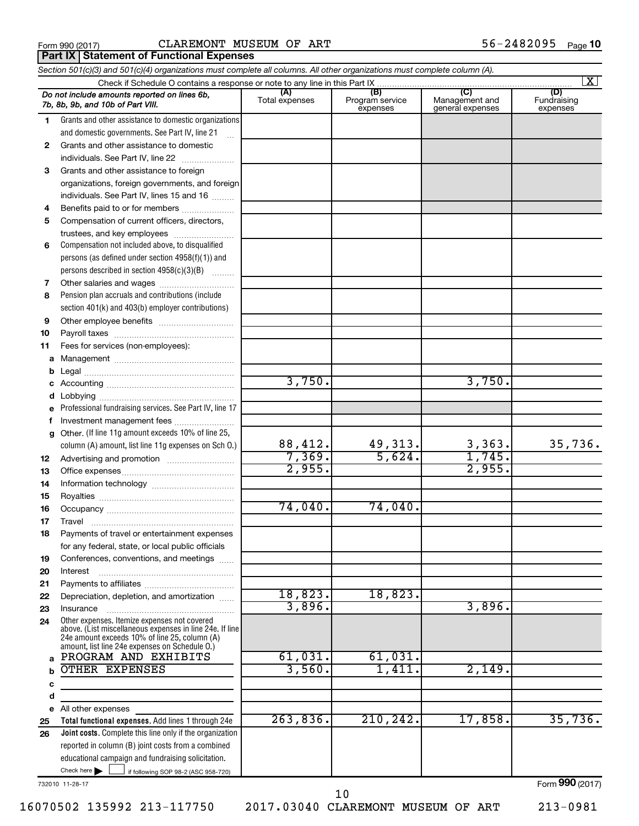**Part IX | Statement of Functional Expenses** 

|              | Section 501(c)(3) and 501(c)(4) organizations must complete all columns. All other organizations must complete column (A). |                          |                                    |                                           |                                |
|--------------|----------------------------------------------------------------------------------------------------------------------------|--------------------------|------------------------------------|-------------------------------------------|--------------------------------|
|              |                                                                                                                            |                          |                                    |                                           | $\overline{\mathbf{x}}$        |
|              | Do not include amounts reported on lines 6b,<br>7b, 8b, 9b, and 10b of Part VIII.                                          | (A)<br>Total expenses    | (B)<br>Program service<br>expenses | (C)<br>Management and<br>general expenses | (D)<br>Fundraising<br>expenses |
| 1.           | Grants and other assistance to domestic organizations                                                                      |                          |                                    |                                           |                                |
|              | and domestic governments. See Part IV, line 21                                                                             |                          |                                    |                                           |                                |
| $\mathbf{2}$ | Grants and other assistance to domestic                                                                                    |                          |                                    |                                           |                                |
|              | individuals. See Part IV, line 22                                                                                          |                          |                                    |                                           |                                |
| 3            | Grants and other assistance to foreign                                                                                     |                          |                                    |                                           |                                |
|              | organizations, foreign governments, and foreign                                                                            |                          |                                    |                                           |                                |
|              | individuals. See Part IV, lines 15 and 16                                                                                  |                          |                                    |                                           |                                |
| 4            | Benefits paid to or for members                                                                                            |                          |                                    |                                           |                                |
| 5            |                                                                                                                            |                          |                                    |                                           |                                |
|              | Compensation of current officers, directors,                                                                               |                          |                                    |                                           |                                |
|              | trustees, and key employees                                                                                                |                          |                                    |                                           |                                |
| 6            | Compensation not included above, to disqualified                                                                           |                          |                                    |                                           |                                |
|              | persons (as defined under section 4958(f)(1)) and                                                                          |                          |                                    |                                           |                                |
|              | persons described in section 4958(c)(3)(B)                                                                                 |                          |                                    |                                           |                                |
| 7            |                                                                                                                            |                          |                                    |                                           |                                |
| 8            | Pension plan accruals and contributions (include                                                                           |                          |                                    |                                           |                                |
|              | section 401(k) and 403(b) employer contributions)                                                                          |                          |                                    |                                           |                                |
| 9            |                                                                                                                            |                          |                                    |                                           |                                |
| 10           |                                                                                                                            |                          |                                    |                                           |                                |
| 11           | Fees for services (non-employees):                                                                                         |                          |                                    |                                           |                                |
| а            |                                                                                                                            |                          |                                    |                                           |                                |
| b            |                                                                                                                            | 3,750.                   |                                    | 3,750.                                    |                                |
|              |                                                                                                                            |                          |                                    |                                           |                                |
| d            |                                                                                                                            |                          |                                    |                                           |                                |
| е            | Professional fundraising services. See Part IV, line 17                                                                    |                          |                                    |                                           |                                |
| f            | Investment management fees                                                                                                 |                          |                                    |                                           |                                |
| g            | Other. (If line 11g amount exceeds 10% of line 25,                                                                         |                          |                                    |                                           | 35,736.                        |
|              | column (A) amount, list line 11g expenses on Sch O.)                                                                       | $\frac{88,412.}{7,369.}$ | $\frac{49,313.}{5,624.}$           | $\frac{3,363}{1,745}$                     |                                |
| 12           |                                                                                                                            | 2,955.                   |                                    | 2,955.                                    |                                |
| 13           |                                                                                                                            |                          |                                    |                                           |                                |
| 14           |                                                                                                                            |                          |                                    |                                           |                                |
| 15           |                                                                                                                            | 74,040.                  | 74,040.                            |                                           |                                |
| 16           |                                                                                                                            |                          |                                    |                                           |                                |
| 17           |                                                                                                                            |                          |                                    |                                           |                                |
| 18           | Payments of travel or entertainment expenses                                                                               |                          |                                    |                                           |                                |
|              | for any federal, state, or local public officials                                                                          |                          |                                    |                                           |                                |
| 19           | Conferences, conventions, and meetings                                                                                     |                          |                                    |                                           |                                |
| 20           | Interest                                                                                                                   |                          |                                    |                                           |                                |
| 21<br>22     | Depreciation, depletion, and amortization                                                                                  | 18,823.                  | 18,823.                            |                                           |                                |
| 23           | Insurance                                                                                                                  | 3,896.                   |                                    | 3,896.                                    |                                |
| 24           | Other expenses. Itemize expenses not covered                                                                               |                          |                                    |                                           |                                |
|              | above. (List miscellaneous expenses in line 24e. If line                                                                   |                          |                                    |                                           |                                |
|              | 24e amount exceeds 10% of line 25, column (A)<br>amount, list line 24e expenses on Schedule O.)                            |                          |                                    |                                           |                                |
| a            | PROGRAM AND EXHIBITS                                                                                                       | 61,031.                  | 61,031.                            |                                           |                                |
| b            | OTHER EXPENSES                                                                                                             | 3,560.                   | 1,411.                             | 2,149.                                    |                                |
| с            |                                                                                                                            |                          |                                    |                                           |                                |
| d            |                                                                                                                            |                          |                                    |                                           |                                |
|              | e All other expenses                                                                                                       |                          |                                    |                                           |                                |
| 25           | Total functional expenses. Add lines 1 through 24e                                                                         | 263,836.                 | 210, 242.                          | 17,858.                                   | 35,736.                        |
| 26           | Joint costs. Complete this line only if the organization                                                                   |                          |                                    |                                           |                                |
|              | reported in column (B) joint costs from a combined                                                                         |                          |                                    |                                           |                                |
|              | educational campaign and fundraising solicitation.                                                                         |                          |                                    |                                           |                                |
|              | Check here $\blacktriangleright$<br>if following SOP 98-2 (ASC 958-720)                                                    |                          |                                    |                                           |                                |

732010 11-28-17

Form (2017) **990**

16070502 135992 213-117750 2017.03040 CLAREMONT MUSEUM OF ART 213-0981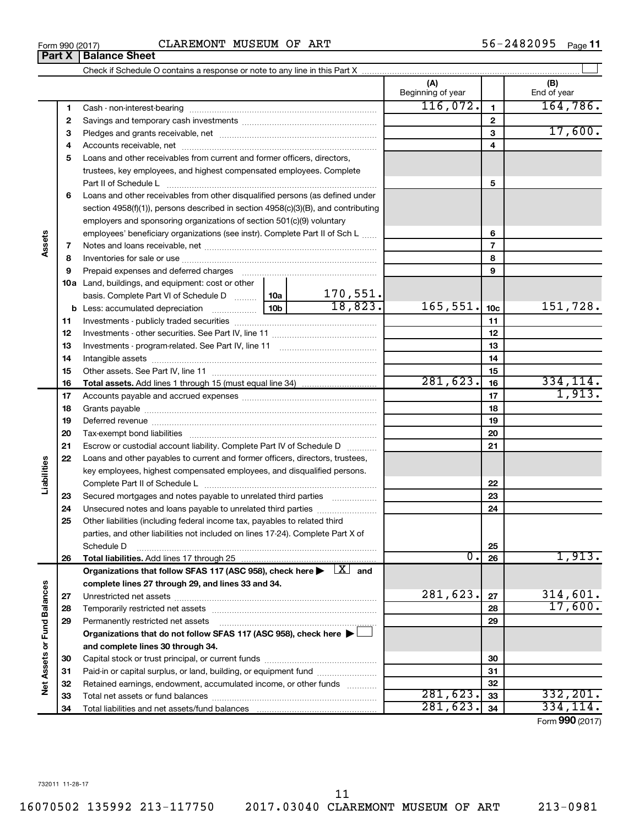| Form 990 (2017) | CLAREMONT MUSEUM OF ART | 56-2482095<br>Page 11 |
|-----------------|-------------------------|-----------------------|
|-----------------|-------------------------|-----------------------|

| Part X                      |          | <b>Balance Sheet</b>                                                                                                         |                      |                          |                 |                        |
|-----------------------------|----------|------------------------------------------------------------------------------------------------------------------------------|----------------------|--------------------------|-----------------|------------------------|
|                             |          |                                                                                                                              |                      |                          |                 |                        |
|                             |          |                                                                                                                              |                      | (A)<br>Beginning of year |                 | (B)<br>End of year     |
|                             | 1        |                                                                                                                              |                      | 116,072.                 | $\mathbf{1}$    | 164, 786.              |
|                             | 2        |                                                                                                                              |                      |                          | $\mathbf{2}$    |                        |
|                             | 3        |                                                                                                                              |                      |                          | 3               | 17,600.                |
|                             | 4        |                                                                                                                              |                      |                          | 4               |                        |
|                             | 5        | Loans and other receivables from current and former officers, directors,                                                     |                      |                          |                 |                        |
|                             |          | trustees, key employees, and highest compensated employees. Complete                                                         |                      |                          |                 |                        |
|                             |          | Part II of Schedule L                                                                                                        |                      |                          | 5               |                        |
|                             | 6        | Loans and other receivables from other disqualified persons (as defined under                                                |                      |                          |                 |                        |
|                             |          | section $4958(f)(1)$ , persons described in section $4958(c)(3)(B)$ , and contributing                                       |                      |                          |                 |                        |
|                             |          | employers and sponsoring organizations of section 501(c)(9) voluntary                                                        |                      |                          |                 |                        |
|                             |          | employees' beneficiary organizations (see instr). Complete Part II of Sch L                                                  |                      |                          | 6               |                        |
| Assets                      | 7        |                                                                                                                              |                      |                          | $\overline{7}$  |                        |
|                             | 8        |                                                                                                                              |                      |                          | 8               |                        |
|                             | 9        |                                                                                                                              |                      |                          | 9               |                        |
|                             |          | <b>10a</b> Land, buildings, and equipment: cost or other                                                                     |                      |                          |                 |                        |
|                             |          | basis. Complete Part VI of Schedule D  10a                                                                                   | 170,551.             |                          |                 |                        |
|                             |          |                                                                                                                              | $\overline{18,823.}$ | 165,551.                 | 10 <sub>c</sub> | 151,728.               |
|                             | 11       |                                                                                                                              |                      |                          | 11              |                        |
|                             | 12       |                                                                                                                              |                      |                          | 12              |                        |
|                             | 13       |                                                                                                                              |                      |                          | 13              |                        |
|                             | 14       |                                                                                                                              |                      |                          | 14              |                        |
|                             | 15       |                                                                                                                              |                      |                          | 15              |                        |
|                             | 16       |                                                                                                                              |                      | 281,623.                 | 16              | 334, 114.              |
|                             | 17       |                                                                                                                              |                      |                          | 17              | 1,913.                 |
|                             | 18       |                                                                                                                              |                      |                          | 18              |                        |
|                             | 19       |                                                                                                                              |                      |                          | 19              |                        |
|                             | 20       |                                                                                                                              |                      |                          | 20              |                        |
|                             | 21       | Escrow or custodial account liability. Complete Part IV of Schedule D                                                        |                      |                          | 21              |                        |
|                             | 22       | Loans and other payables to current and former officers, directors, trustees,                                                |                      |                          |                 |                        |
| Liabilities                 |          | key employees, highest compensated employees, and disqualified persons.                                                      |                      |                          |                 |                        |
|                             |          |                                                                                                                              |                      |                          | 22              |                        |
|                             | 23       | Secured mortgages and notes payable to unrelated third parties                                                               |                      |                          | 23              |                        |
|                             | 24       |                                                                                                                              |                      |                          | 24              |                        |
|                             | 25       | Other liabilities (including federal income tax, payables to related third                                                   |                      |                          |                 |                        |
|                             |          | parties, and other liabilities not included on lines 17-24). Complete Part X of                                              |                      |                          |                 |                        |
|                             |          | Schedule D                                                                                                                   |                      |                          | 25              |                        |
|                             | 26       | Total liabilities. Add lines 17 through 25                                                                                   |                      | 0.                       | 26              | 1,913.                 |
|                             |          | Organizations that follow SFAS 117 (ASC 958), check here $\blacktriangleright \begin{array}{c} \boxed{X} \\ \end{array}$ and |                      |                          |                 |                        |
|                             |          | complete lines 27 through 29, and lines 33 and 34.                                                                           |                      |                          |                 |                        |
|                             | 27       |                                                                                                                              |                      | 281,623.                 | 27              | 314,601.<br>17,600.    |
|                             | 28       |                                                                                                                              |                      |                          | 28              |                        |
|                             | 29       | Permanently restricted net assets                                                                                            |                      |                          | 29              |                        |
|                             |          | Organizations that do not follow SFAS 117 (ASC 958), check here ▶ □                                                          |                      |                          |                 |                        |
| Net Assets or Fund Balances |          | and complete lines 30 through 34.                                                                                            |                      |                          |                 |                        |
|                             | 30       |                                                                                                                              |                      |                          | 30              |                        |
|                             | 31       | Paid-in or capital surplus, or land, building, or equipment fund                                                             |                      |                          | 31              |                        |
|                             |          | Retained earnings, endowment, accumulated income, or other funds                                                             |                      |                          | 32              |                        |
|                             | 32       |                                                                                                                              |                      |                          |                 |                        |
|                             | 33<br>34 |                                                                                                                              |                      | 281,623.<br>281,623.     | 33<br>34        | 332, 201.<br>334, 114. |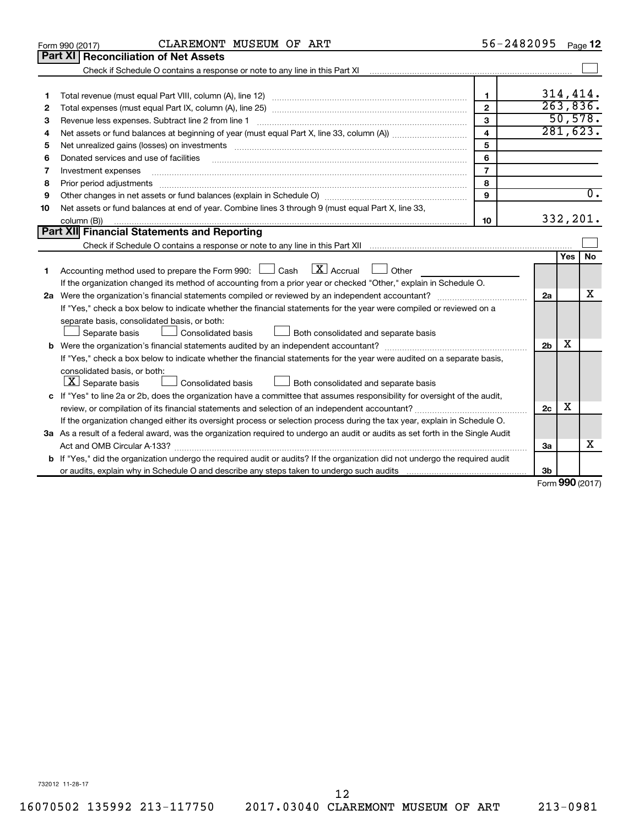|    | CLAREMONT MUSEUM OF ART<br>Form 990 (2017)                                                                                                                                                                                                                                                                                                                                                                                                                                   | 56-2482095              |                |                     | Page 12          |
|----|------------------------------------------------------------------------------------------------------------------------------------------------------------------------------------------------------------------------------------------------------------------------------------------------------------------------------------------------------------------------------------------------------------------------------------------------------------------------------|-------------------------|----------------|---------------------|------------------|
|    | Part XI   Reconciliation of Net Assets                                                                                                                                                                                                                                                                                                                                                                                                                                       |                         |                |                     |                  |
|    |                                                                                                                                                                                                                                                                                                                                                                                                                                                                              |                         |                |                     |                  |
|    |                                                                                                                                                                                                                                                                                                                                                                                                                                                                              |                         |                |                     |                  |
| 1  |                                                                                                                                                                                                                                                                                                                                                                                                                                                                              | $\mathbf{1}$            |                |                     | 314,414.         |
| 2  |                                                                                                                                                                                                                                                                                                                                                                                                                                                                              | $\mathbf{2}$            |                |                     | 263,836.         |
| З  | Revenue less expenses. Subtract line 2 from line 1                                                                                                                                                                                                                                                                                                                                                                                                                           | 3                       |                |                     | 50,578.          |
| 4  |                                                                                                                                                                                                                                                                                                                                                                                                                                                                              | $\overline{\mathbf{4}}$ |                |                     | 281,623.         |
| 5  |                                                                                                                                                                                                                                                                                                                                                                                                                                                                              | 5                       |                |                     |                  |
| 6  | Donated services and use of facilities                                                                                                                                                                                                                                                                                                                                                                                                                                       | 6                       |                |                     |                  |
| 7  | Investment expenses                                                                                                                                                                                                                                                                                                                                                                                                                                                          | $\overline{7}$          |                |                     |                  |
| 8  | Prior period adjustments<br>$\begin{minipage}{0.5\textwidth} \begin{tabular}{ l l l } \hline \multicolumn{1}{ l l l } \hline \multicolumn{1}{ l l } \hline \multicolumn{1}{ l } \multicolumn{1}{ l } \hline \multicolumn{1}{ l } \multicolumn{1}{ l } \multicolumn{1}{ l } \hline \multicolumn{1}{ l } \multicolumn{1}{ l } \multicolumn{1}{ l } \hline \multicolumn{1}{ l } \multicolumn{1}{ l } \hline \multicolumn{1}{ l } \multicolumn{1}{ l } \hline \multicolumn{1}{ $ | 8                       |                |                     |                  |
| 9  |                                                                                                                                                                                                                                                                                                                                                                                                                                                                              | 9                       |                |                     | $\overline{0}$ . |
| 10 | Net assets or fund balances at end of year. Combine lines 3 through 9 (must equal Part X, line 33,                                                                                                                                                                                                                                                                                                                                                                           |                         |                |                     |                  |
|    | column (B))                                                                                                                                                                                                                                                                                                                                                                                                                                                                  | 10                      |                |                     | 332,201.         |
|    | Part XII Financial Statements and Reporting                                                                                                                                                                                                                                                                                                                                                                                                                                  |                         |                |                     |                  |
|    |                                                                                                                                                                                                                                                                                                                                                                                                                                                                              |                         |                |                     |                  |
|    |                                                                                                                                                                                                                                                                                                                                                                                                                                                                              |                         |                | Yes                 | No               |
| 1. | $\lfloor$ X $\rfloor$ Accrual<br>Accounting method used to prepare the Form 990: $\Box$ Cash<br>$\Box$ Other                                                                                                                                                                                                                                                                                                                                                                 |                         |                |                     |                  |
|    | If the organization changed its method of accounting from a prior year or checked "Other," explain in Schedule O.                                                                                                                                                                                                                                                                                                                                                            |                         |                |                     |                  |
|    |                                                                                                                                                                                                                                                                                                                                                                                                                                                                              |                         | 2a             |                     | х                |
|    | If "Yes," check a box below to indicate whether the financial statements for the year were compiled or reviewed on a                                                                                                                                                                                                                                                                                                                                                         |                         |                |                     |                  |
|    | separate basis, consolidated basis, or both:                                                                                                                                                                                                                                                                                                                                                                                                                                 |                         |                |                     |                  |
|    | Both consolidated and separate basis<br>Separate basis<br>Consolidated basis                                                                                                                                                                                                                                                                                                                                                                                                 |                         |                |                     |                  |
|    |                                                                                                                                                                                                                                                                                                                                                                                                                                                                              |                         | 2 <sub>b</sub> | х                   |                  |
|    | If "Yes," check a box below to indicate whether the financial statements for the year were audited on a separate basis,                                                                                                                                                                                                                                                                                                                                                      |                         |                |                     |                  |
|    | consolidated basis, or both:                                                                                                                                                                                                                                                                                                                                                                                                                                                 |                         |                |                     |                  |
|    | $ \mathbf{X} $ Separate basis<br>Consolidated basis<br>Both consolidated and separate basis                                                                                                                                                                                                                                                                                                                                                                                  |                         |                |                     |                  |
|    | c If "Yes" to line 2a or 2b, does the organization have a committee that assumes responsibility for oversight of the audit,                                                                                                                                                                                                                                                                                                                                                  |                         |                |                     |                  |
|    |                                                                                                                                                                                                                                                                                                                                                                                                                                                                              |                         | 2c             | х                   |                  |
|    | If the organization changed either its oversight process or selection process during the tax year, explain in Schedule O.                                                                                                                                                                                                                                                                                                                                                    |                         |                |                     |                  |
|    | 3a As a result of a federal award, was the organization required to undergo an audit or audits as set forth in the Single Audit                                                                                                                                                                                                                                                                                                                                              |                         |                |                     |                  |
|    |                                                                                                                                                                                                                                                                                                                                                                                                                                                                              |                         | За             |                     | X                |
|    | <b>b</b> If "Yes," did the organization undergo the required audit or audits? If the organization did not undergo the required audit                                                                                                                                                                                                                                                                                                                                         |                         |                |                     |                  |
|    |                                                                                                                                                                                                                                                                                                                                                                                                                                                                              |                         | 3b             |                     |                  |
|    |                                                                                                                                                                                                                                                                                                                                                                                                                                                                              |                         |                | $000 \, \text{GeV}$ |                  |

Form (2017) **990**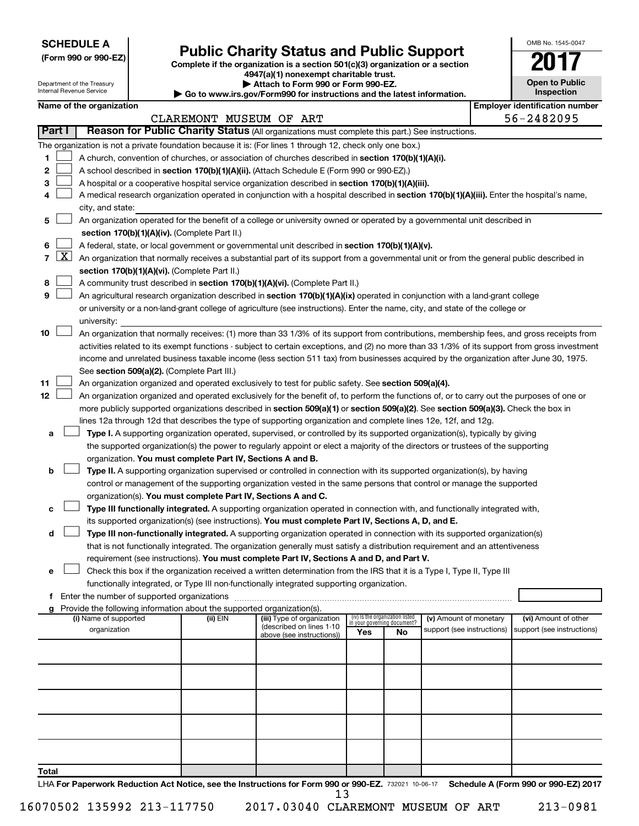**SCHEDULE A**

Department of the Treasury

# Form 990 or 990-EZ)<br>
Complete if the organization is a section 501(c)(3) organization or a section<br> **Public Charity Status and Public Support**

**4947(a)(1) nonexempt charitable trust.**

**| Attach to Form 990 or Form 990-EZ.** 

|   | OMB No. 1545-0047                   |
|---|-------------------------------------|
|   |                                     |
|   | <b>Open to Public</b><br>Inspection |
| Ń | entification nu                     |

|                |              | Internal Revenue Service |                                                                                    | Go to www.irs.gov/Form990 for instructions and the latest information.                                                                     |                                    |    |                            | Inspection                                                                                                                                    |
|----------------|--------------|--------------------------|------------------------------------------------------------------------------------|--------------------------------------------------------------------------------------------------------------------------------------------|------------------------------------|----|----------------------------|-----------------------------------------------------------------------------------------------------------------------------------------------|
|                |              | Name of the organization |                                                                                    |                                                                                                                                            |                                    |    |                            | <b>Employer identification number</b>                                                                                                         |
|                |              |                          | CLAREMONT MUSEUM OF ART                                                            |                                                                                                                                            |                                    |    |                            | 56-2482095                                                                                                                                    |
|                | Part I       |                          |                                                                                    | Reason for Public Charity Status (All organizations must complete this part.) See instructions.                                            |                                    |    |                            |                                                                                                                                               |
|                |              |                          |                                                                                    | The organization is not a private foundation because it is: (For lines 1 through 12, check only one box.)                                  |                                    |    |                            |                                                                                                                                               |
| 1              |              |                          |                                                                                    | A church, convention of churches, or association of churches described in section 170(b)(1)(A)(i).                                         |                                    |    |                            |                                                                                                                                               |
| 2              |              |                          |                                                                                    | A school described in section 170(b)(1)(A)(ii). (Attach Schedule E (Form 990 or 990-EZ).)                                                  |                                    |    |                            |                                                                                                                                               |
| з              |              |                          |                                                                                    | A hospital or a cooperative hospital service organization described in section 170(b)(1)(A)(iii).                                          |                                    |    |                            |                                                                                                                                               |
| 4              |              |                          |                                                                                    | A medical research organization operated in conjunction with a hospital described in section 170(b)(1)(A)(iii). Enter the hospital's name, |                                    |    |                            |                                                                                                                                               |
|                |              | city, and state:         |                                                                                    |                                                                                                                                            |                                    |    |                            |                                                                                                                                               |
| 5.             |              |                          |                                                                                    | An organization operated for the benefit of a college or university owned or operated by a governmental unit described in                  |                                    |    |                            |                                                                                                                                               |
|                |              |                          | section 170(b)(1)(A)(iv). (Complete Part II.)                                      |                                                                                                                                            |                                    |    |                            |                                                                                                                                               |
| 6              |              |                          |                                                                                    | A federal, state, or local government or governmental unit described in section 170(b)(1)(A)(v).                                           |                                    |    |                            |                                                                                                                                               |
| $\overline{7}$ | <u>  X  </u> |                          |                                                                                    | An organization that normally receives a substantial part of its support from a governmental unit or from the general public described in  |                                    |    |                            |                                                                                                                                               |
|                |              |                          | section 170(b)(1)(A)(vi). (Complete Part II.)                                      |                                                                                                                                            |                                    |    |                            |                                                                                                                                               |
| 8              |              |                          |                                                                                    | A community trust described in section 170(b)(1)(A)(vi). (Complete Part II.)                                                               |                                    |    |                            |                                                                                                                                               |
| 9              |              |                          |                                                                                    | An agricultural research organization described in section 170(b)(1)(A)(ix) operated in conjunction with a land-grant college              |                                    |    |                            |                                                                                                                                               |
|                |              |                          |                                                                                    | or university or a non-land-grant college of agriculture (see instructions). Enter the name, city, and state of the college or             |                                    |    |                            |                                                                                                                                               |
|                |              | university:              |                                                                                    |                                                                                                                                            |                                    |    |                            |                                                                                                                                               |
| 10             |              |                          |                                                                                    | An organization that normally receives: (1) more than 33 1/3% of its support from contributions, membership fees, and gross receipts from  |                                    |    |                            |                                                                                                                                               |
|                |              |                          |                                                                                    |                                                                                                                                            |                                    |    |                            | activities related to its exempt functions - subject to certain exceptions, and (2) no more than 33 1/3% of its support from gross investment |
|                |              |                          |                                                                                    | income and unrelated business taxable income (less section 511 tax) from businesses acquired by the organization after June 30, 1975.      |                                    |    |                            |                                                                                                                                               |
|                |              |                          | See section 509(a)(2). (Complete Part III.)                                        |                                                                                                                                            |                                    |    |                            |                                                                                                                                               |
| 11             |              |                          |                                                                                    | An organization organized and operated exclusively to test for public safety. See section 509(a)(4).                                       |                                    |    |                            |                                                                                                                                               |
| 12             |              |                          |                                                                                    | An organization organized and operated exclusively for the benefit of, to perform the functions of, or to carry out the purposes of one or |                                    |    |                            |                                                                                                                                               |
|                |              |                          |                                                                                    | more publicly supported organizations described in section 509(a)(1) or section 509(a)(2). See section 509(a)(3). Check the box in         |                                    |    |                            |                                                                                                                                               |
|                |              |                          |                                                                                    | lines 12a through 12d that describes the type of supporting organization and complete lines 12e, 12f, and 12g.                             |                                    |    |                            |                                                                                                                                               |
| а              |              |                          |                                                                                    | Type I. A supporting organization operated, supervised, or controlled by its supported organization(s), typically by giving                |                                    |    |                            |                                                                                                                                               |
|                |              |                          |                                                                                    | the supported organization(s) the power to regularly appoint or elect a majority of the directors or trustees of the supporting            |                                    |    |                            |                                                                                                                                               |
|                |              |                          | organization. You must complete Part IV, Sections A and B.                         |                                                                                                                                            |                                    |    |                            |                                                                                                                                               |
| b              |              |                          |                                                                                    | Type II. A supporting organization supervised or controlled in connection with its supported organization(s), by having                    |                                    |    |                            |                                                                                                                                               |
|                |              |                          |                                                                                    | control or management of the supporting organization vested in the same persons that control or manage the supported                       |                                    |    |                            |                                                                                                                                               |
|                |              |                          | organization(s). You must complete Part IV, Sections A and C.                      |                                                                                                                                            |                                    |    |                            |                                                                                                                                               |
| с              |              |                          |                                                                                    | Type III functionally integrated. A supporting organization operated in connection with, and functionally integrated with,                 |                                    |    |                            |                                                                                                                                               |
|                |              |                          |                                                                                    | its supported organization(s) (see instructions). You must complete Part IV, Sections A, D, and E.                                         |                                    |    |                            |                                                                                                                                               |
| d              |              |                          |                                                                                    | Type III non-functionally integrated. A supporting organization operated in connection with its supported organization(s)                  |                                    |    |                            |                                                                                                                                               |
|                |              |                          |                                                                                    | that is not functionally integrated. The organization generally must satisfy a distribution requirement and an attentiveness               |                                    |    |                            |                                                                                                                                               |
|                |              |                          |                                                                                    | requirement (see instructions). You must complete Part IV, Sections A and D, and Part V.                                                   |                                    |    |                            |                                                                                                                                               |
| е              |              |                          |                                                                                    | Check this box if the organization received a written determination from the IRS that it is a Type I, Type II, Type III                    |                                    |    |                            |                                                                                                                                               |
|                |              |                          |                                                                                    | functionally integrated, or Type III non-functionally integrated supporting organization.                                                  |                                    |    |                            |                                                                                                                                               |
| f              |              |                          |                                                                                    |                                                                                                                                            |                                    |    |                            |                                                                                                                                               |
| g              |              | (i) Name of supported    | Provide the following information about the supported organization(s).<br>(ii) EIN | (iii) Type of organization                                                                                                                 | (iv) Is the organization listed    |    | (v) Amount of monetary     | (vi) Amount of other                                                                                                                          |
|                |              | organization             |                                                                                    | (described on lines 1-10<br>above (see instructions))                                                                                      | in your governing document?<br>Yes | No | support (see instructions) | support (see instructions)                                                                                                                    |
|                |              |                          |                                                                                    |                                                                                                                                            |                                    |    |                            |                                                                                                                                               |
|                |              |                          |                                                                                    |                                                                                                                                            |                                    |    |                            |                                                                                                                                               |
|                |              |                          |                                                                                    |                                                                                                                                            |                                    |    |                            |                                                                                                                                               |
|                |              |                          |                                                                                    |                                                                                                                                            |                                    |    |                            |                                                                                                                                               |
|                |              |                          |                                                                                    |                                                                                                                                            |                                    |    |                            |                                                                                                                                               |
|                |              |                          |                                                                                    |                                                                                                                                            |                                    |    |                            |                                                                                                                                               |

LHA For Paperwork Reduction Act Notice, see the Instructions for Form 990 or 990-EZ. 732021 10-06-17 Schedule A (Form 990 or 990-EZ) 2017 13

**Total**

16070502 135992 213-117750 2017.03040 CLAREMONT MUSEUM OF ART 213-0981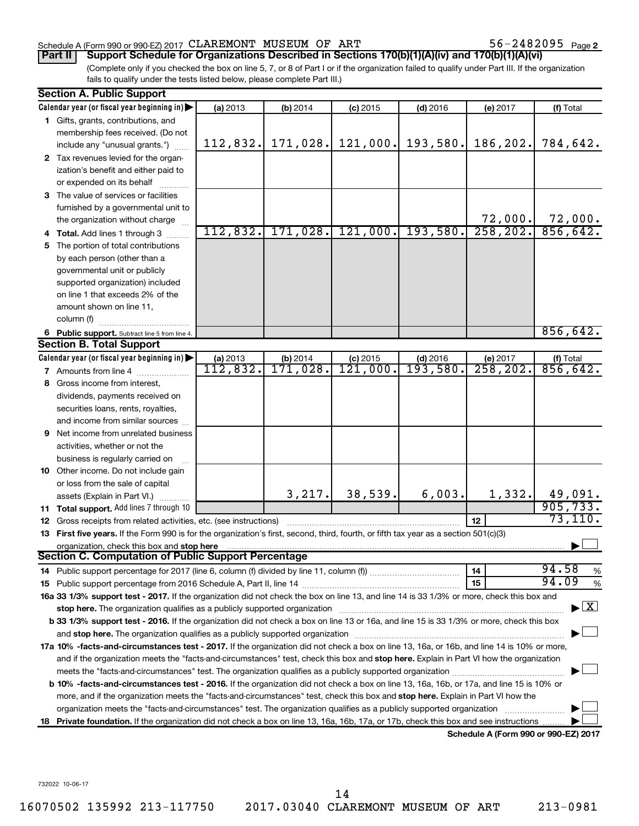### Schedule A (Form 990 or 990-EZ) 2017  $\mathtt{CLAREMONT}$  MUSEUM OF ART  $56-2482095$  Page

56-2482095 Page 2

(Complete only if you checked the box on line 5, 7, or 8 of Part I or if the organization failed to qualify under Part III. If the organization fails to qualify under the tests listed below, please complete Part III.) **Part II Support Schedule for Organizations Described in Sections 170(b)(1)(A)(iv) and 170(b)(1)(A)(vi)**

|     | <b>Section A. Public Support</b>                                                                                                           |          |                              |            |            |           |                                          |
|-----|--------------------------------------------------------------------------------------------------------------------------------------------|----------|------------------------------|------------|------------|-----------|------------------------------------------|
|     | Calendar year (or fiscal year beginning in)                                                                                                | (a) 2013 | (b) 2014                     | $(c)$ 2015 | $(d)$ 2016 | (e) 2017  | (f) Total                                |
|     | 1 Gifts, grants, contributions, and                                                                                                        |          |                              |            |            |           |                                          |
|     | membership fees received. (Do not                                                                                                          |          |                              |            |            |           |                                          |
|     | include any "unusual grants.")                                                                                                             | 112,832. | 171,028.                     | 121,000.   | 193,580.   | 186,202.  | 784,642.                                 |
|     | 2 Tax revenues levied for the organ-                                                                                                       |          |                              |            |            |           |                                          |
|     | ization's benefit and either paid to                                                                                                       |          |                              |            |            |           |                                          |
|     | or expended on its behalf                                                                                                                  |          |                              |            |            |           |                                          |
|     | 3 The value of services or facilities                                                                                                      |          |                              |            |            |           |                                          |
|     | furnished by a governmental unit to                                                                                                        |          |                              |            |            |           |                                          |
|     | the organization without charge                                                                                                            |          |                              |            |            | 72,000.   | $\frac{72,000}{856,642}$                 |
|     | Total. Add lines 1 through 3                                                                                                               |          | $112,832.$ 171,028. 121,000. |            | 193,580.   | 258, 202. |                                          |
| 5.  | The portion of total contributions                                                                                                         |          |                              |            |            |           |                                          |
|     | by each person (other than a                                                                                                               |          |                              |            |            |           |                                          |
|     | governmental unit or publicly                                                                                                              |          |                              |            |            |           |                                          |
|     | supported organization) included                                                                                                           |          |                              |            |            |           |                                          |
|     | on line 1 that exceeds 2% of the                                                                                                           |          |                              |            |            |           |                                          |
|     | amount shown on line 11,                                                                                                                   |          |                              |            |            |           |                                          |
|     | column (f)                                                                                                                                 |          |                              |            |            |           |                                          |
|     | 6 Public support. Subtract line 5 from line 4.                                                                                             |          |                              |            |            |           | 856, 642.                                |
|     | <b>Section B. Total Support</b>                                                                                                            |          |                              |            |            |           |                                          |
|     | Calendar year (or fiscal year beginning in)                                                                                                | (a) 2013 |                              | $(c)$ 2015 | $(d)$ 2016 | (e) 2017  | (f) Total                                |
|     | <b>7</b> Amounts from line 4                                                                                                               | 112,832. | (b) $2014$<br>$171, 028$ .   | 121,000.   | 193,580.   | 258, 202. | 856, 642.                                |
| 8.  | Gross income from interest,                                                                                                                |          |                              |            |            |           |                                          |
|     | dividends, payments received on                                                                                                            |          |                              |            |            |           |                                          |
|     | securities loans, rents, royalties,                                                                                                        |          |                              |            |            |           |                                          |
|     | and income from similar sources                                                                                                            |          |                              |            |            |           |                                          |
| 9   | Net income from unrelated business                                                                                                         |          |                              |            |            |           |                                          |
|     | activities, whether or not the                                                                                                             |          |                              |            |            |           |                                          |
|     | business is regularly carried on                                                                                                           |          |                              |            |            |           |                                          |
|     | 10 Other income. Do not include gain                                                                                                       |          |                              |            |            |           |                                          |
|     | or loss from the sale of capital                                                                                                           |          |                              |            |            |           |                                          |
|     | assets (Explain in Part VI.)                                                                                                               |          | 3,217.                       | 38,539.    | 6,003.     | 1,332.    |                                          |
|     | 11 Total support. Add lines 7 through 10                                                                                                   |          |                              |            |            |           | $\frac{49,091}{905,733}$                 |
| 12  | Gross receipts from related activities, etc. (see instructions)                                                                            |          |                              |            |            | 12        | 73, 110.                                 |
| 13  | First five years. If the Form 990 is for the organization's first, second, third, fourth, or fifth tax year as a section 501(c)(3)         |          |                              |            |            |           |                                          |
|     | organization, check this box and stop here                                                                                                 |          |                              |            |            |           |                                          |
|     | <b>Section C. Computation of Public Support Percentage</b>                                                                                 |          |                              |            |            |           |                                          |
|     |                                                                                                                                            |          |                              |            |            | 14        | 94.58<br>%                               |
|     |                                                                                                                                            |          |                              |            |            | 15        | 94.09<br>%                               |
|     | 16a 33 1/3% support test - 2017. If the organization did not check the box on line 13, and line 14 is 33 1/3% or more, check this box and  |          |                              |            |            |           |                                          |
|     | stop here. The organization qualifies as a publicly supported organization matching manufacture and content to                             |          |                              |            |            |           | $\blacktriangleright$ $\boxed{\text{X}}$ |
|     | b 33 1/3% support test - 2016. If the organization did not check a box on line 13 or 16a, and line 15 is 33 1/3% or more, check this box   |          |                              |            |            |           |                                          |
|     |                                                                                                                                            |          |                              |            |            |           |                                          |
|     | 17a 10% -facts-and-circumstances test - 2017. If the organization did not check a box on line 13, 16a, or 16b, and line 14 is 10% or more, |          |                              |            |            |           |                                          |
|     | and if the organization meets the "facts-and-circumstances" test, check this box and stop here. Explain in Part VI how the organization    |          |                              |            |            |           |                                          |
|     |                                                                                                                                            |          |                              |            |            |           |                                          |
|     | b 10% -facts-and-circumstances test - 2016. If the organization did not check a box on line 13, 16a, 16b, or 17a, and line 15 is 10% or    |          |                              |            |            |           |                                          |
|     | more, and if the organization meets the "facts-and-circumstances" test, check this box and stop here. Explain in Part VI how the           |          |                              |            |            |           |                                          |
|     | organization meets the "facts-and-circumstances" test. The organization qualifies as a publicly supported organization                     |          |                              |            |            |           |                                          |
|     | Private foundation. If the organization did not check a box on line 13, 16a, 16b, 17a, or 17b, check this box and see instructions         |          |                              |            |            |           |                                          |
| 18. |                                                                                                                                            |          |                              |            |            |           | $\Lambda$ (Faum 000 av 000 EZ) of        |

**Schedule A (Form 990 or 990-EZ) 2017**

732022 10-06-17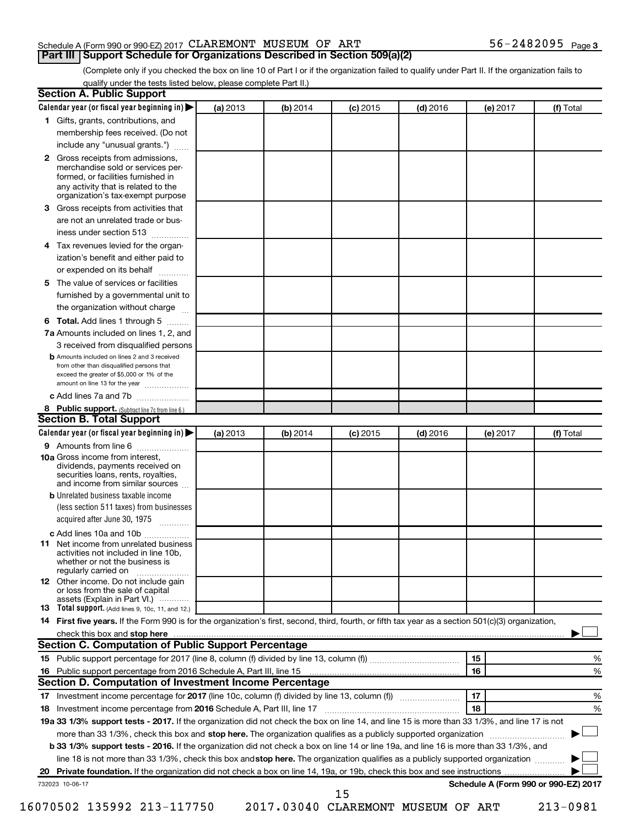### Schedule A (Form 990 or 990-EZ) 2017  $\mathtt{CLAREMONT}$  MUSEUM OF ART  $56-2482095$  Page

(Complete only if you checked the box on line 10 of Part I or if the organization failed to qualify under Part II. If the organization fails to **Part III Support Schedule for Organizations Described in Section 509(a)(2)** 

qualify under the tests listed below, please complete Part II.)

| 3.<br>4<br>5.<br>6<br>11 | 1 Gifts, grants, contributions, and<br>membership fees received. (Do not<br>include any "unusual grants.")<br>2 Gross receipts from admissions,<br>merchandise sold or services per-<br>formed, or facilities furnished in<br>any activity that is related to the<br>organization's tax-exempt purpose<br>Gross receipts from activities that<br>are not an unrelated trade or bus-<br>iness under section 513<br>Tax revenues levied for the organ-<br>ization's benefit and either paid to<br>or expended on its behalf<br>.<br>The value of services or facilities<br>furnished by a governmental unit to<br>the organization without charge<br>Total. Add lines 1 through 5<br>7a Amounts included on lines 1, 2, and<br>3 received from disqualified persons<br><b>b</b> Amounts included on lines 2 and 3 received<br>from other than disqualified persons that<br>exceed the greater of \$5,000 or 1% of the<br>amount on line 13 for the year<br>c Add lines 7a and 7b<br>8 Public support. (Subtract line 7c from line 6.)<br><b>Section B. Total Support</b><br>Calendar year (or fiscal year beginning in)<br><b>9</b> Amounts from line 6 | (a) 2013 |          |            |            |          |           |
|--------------------------|-------------------------------------------------------------------------------------------------------------------------------------------------------------------------------------------------------------------------------------------------------------------------------------------------------------------------------------------------------------------------------------------------------------------------------------------------------------------------------------------------------------------------------------------------------------------------------------------------------------------------------------------------------------------------------------------------------------------------------------------------------------------------------------------------------------------------------------------------------------------------------------------------------------------------------------------------------------------------------------------------------------------------------------------------------------------------------------------------------------------------------------------------------|----------|----------|------------|------------|----------|-----------|
|                          |                                                                                                                                                                                                                                                                                                                                                                                                                                                                                                                                                                                                                                                                                                                                                                                                                                                                                                                                                                                                                                                                                                                                                       |          |          |            |            |          |           |
|                          |                                                                                                                                                                                                                                                                                                                                                                                                                                                                                                                                                                                                                                                                                                                                                                                                                                                                                                                                                                                                                                                                                                                                                       |          |          |            |            |          |           |
|                          |                                                                                                                                                                                                                                                                                                                                                                                                                                                                                                                                                                                                                                                                                                                                                                                                                                                                                                                                                                                                                                                                                                                                                       |          |          |            |            |          |           |
|                          |                                                                                                                                                                                                                                                                                                                                                                                                                                                                                                                                                                                                                                                                                                                                                                                                                                                                                                                                                                                                                                                                                                                                                       |          |          |            |            |          |           |
|                          |                                                                                                                                                                                                                                                                                                                                                                                                                                                                                                                                                                                                                                                                                                                                                                                                                                                                                                                                                                                                                                                                                                                                                       |          |          |            |            |          |           |
|                          |                                                                                                                                                                                                                                                                                                                                                                                                                                                                                                                                                                                                                                                                                                                                                                                                                                                                                                                                                                                                                                                                                                                                                       |          |          |            |            |          |           |
|                          |                                                                                                                                                                                                                                                                                                                                                                                                                                                                                                                                                                                                                                                                                                                                                                                                                                                                                                                                                                                                                                                                                                                                                       |          |          |            |            |          |           |
|                          |                                                                                                                                                                                                                                                                                                                                                                                                                                                                                                                                                                                                                                                                                                                                                                                                                                                                                                                                                                                                                                                                                                                                                       |          |          |            |            |          |           |
|                          |                                                                                                                                                                                                                                                                                                                                                                                                                                                                                                                                                                                                                                                                                                                                                                                                                                                                                                                                                                                                                                                                                                                                                       |          |          |            |            |          |           |
|                          |                                                                                                                                                                                                                                                                                                                                                                                                                                                                                                                                                                                                                                                                                                                                                                                                                                                                                                                                                                                                                                                                                                                                                       |          |          |            |            |          |           |
|                          |                                                                                                                                                                                                                                                                                                                                                                                                                                                                                                                                                                                                                                                                                                                                                                                                                                                                                                                                                                                                                                                                                                                                                       |          |          |            |            |          |           |
|                          |                                                                                                                                                                                                                                                                                                                                                                                                                                                                                                                                                                                                                                                                                                                                                                                                                                                                                                                                                                                                                                                                                                                                                       |          |          |            |            |          |           |
|                          |                                                                                                                                                                                                                                                                                                                                                                                                                                                                                                                                                                                                                                                                                                                                                                                                                                                                                                                                                                                                                                                                                                                                                       |          |          |            |            |          |           |
|                          |                                                                                                                                                                                                                                                                                                                                                                                                                                                                                                                                                                                                                                                                                                                                                                                                                                                                                                                                                                                                                                                                                                                                                       |          |          |            |            |          |           |
|                          |                                                                                                                                                                                                                                                                                                                                                                                                                                                                                                                                                                                                                                                                                                                                                                                                                                                                                                                                                                                                                                                                                                                                                       |          |          |            |            |          |           |
|                          |                                                                                                                                                                                                                                                                                                                                                                                                                                                                                                                                                                                                                                                                                                                                                                                                                                                                                                                                                                                                                                                                                                                                                       |          |          |            |            |          |           |
|                          |                                                                                                                                                                                                                                                                                                                                                                                                                                                                                                                                                                                                                                                                                                                                                                                                                                                                                                                                                                                                                                                                                                                                                       |          |          |            |            |          |           |
|                          |                                                                                                                                                                                                                                                                                                                                                                                                                                                                                                                                                                                                                                                                                                                                                                                                                                                                                                                                                                                                                                                                                                                                                       |          |          |            |            |          |           |
|                          |                                                                                                                                                                                                                                                                                                                                                                                                                                                                                                                                                                                                                                                                                                                                                                                                                                                                                                                                                                                                                                                                                                                                                       |          |          |            |            |          |           |
|                          |                                                                                                                                                                                                                                                                                                                                                                                                                                                                                                                                                                                                                                                                                                                                                                                                                                                                                                                                                                                                                                                                                                                                                       |          | (b) 2014 | $(c)$ 2015 | $(d)$ 2016 | (e) 2017 | (f) Total |
|                          |                                                                                                                                                                                                                                                                                                                                                                                                                                                                                                                                                                                                                                                                                                                                                                                                                                                                                                                                                                                                                                                                                                                                                       |          |          |            |            |          |           |
|                          | <b>10a</b> Gross income from interest,<br>dividends, payments received on<br>securities loans, rents, royalties,<br>and income from similar sources                                                                                                                                                                                                                                                                                                                                                                                                                                                                                                                                                                                                                                                                                                                                                                                                                                                                                                                                                                                                   |          |          |            |            |          |           |
|                          | <b>b</b> Unrelated business taxable income                                                                                                                                                                                                                                                                                                                                                                                                                                                                                                                                                                                                                                                                                                                                                                                                                                                                                                                                                                                                                                                                                                            |          |          |            |            |          |           |
|                          | (less section 511 taxes) from businesses<br>acquired after June 30, 1975 [[11, 11, 11, 11]                                                                                                                                                                                                                                                                                                                                                                                                                                                                                                                                                                                                                                                                                                                                                                                                                                                                                                                                                                                                                                                            |          |          |            |            |          |           |
|                          | c Add lines 10a and 10b                                                                                                                                                                                                                                                                                                                                                                                                                                                                                                                                                                                                                                                                                                                                                                                                                                                                                                                                                                                                                                                                                                                               |          |          |            |            |          |           |
|                          | Net income from unrelated business<br>activities not included in line 10b.<br>whether or not the business is<br>regularly carried on                                                                                                                                                                                                                                                                                                                                                                                                                                                                                                                                                                                                                                                                                                                                                                                                                                                                                                                                                                                                                  |          |          |            |            |          |           |
|                          | <b>12</b> Other income. Do not include gain<br>or loss from the sale of capital<br>assets (Explain in Part VI.)                                                                                                                                                                                                                                                                                                                                                                                                                                                                                                                                                                                                                                                                                                                                                                                                                                                                                                                                                                                                                                       |          |          |            |            |          |           |
|                          | <b>13</b> Total support. (Add lines 9, 10c, 11, and 12.)                                                                                                                                                                                                                                                                                                                                                                                                                                                                                                                                                                                                                                                                                                                                                                                                                                                                                                                                                                                                                                                                                              |          |          |            |            |          |           |
|                          | 14 First five years. If the Form 990 is for the organization's first, second, third, fourth, or fifth tax year as a section 501(c)(3) organization,                                                                                                                                                                                                                                                                                                                                                                                                                                                                                                                                                                                                                                                                                                                                                                                                                                                                                                                                                                                                   |          |          |            |            |          |           |
|                          |                                                                                                                                                                                                                                                                                                                                                                                                                                                                                                                                                                                                                                                                                                                                                                                                                                                                                                                                                                                                                                                                                                                                                       |          |          |            |            |          |           |
|                          | Section C. Computation of Public Support Percentage                                                                                                                                                                                                                                                                                                                                                                                                                                                                                                                                                                                                                                                                                                                                                                                                                                                                                                                                                                                                                                                                                                   |          |          |            |            |          |           |
|                          |                                                                                                                                                                                                                                                                                                                                                                                                                                                                                                                                                                                                                                                                                                                                                                                                                                                                                                                                                                                                                                                                                                                                                       |          |          |            |            | 15       | %         |
|                          |                                                                                                                                                                                                                                                                                                                                                                                                                                                                                                                                                                                                                                                                                                                                                                                                                                                                                                                                                                                                                                                                                                                                                       |          |          |            |            | 16       | %         |
|                          | Section D. Computation of Investment Income Percentage                                                                                                                                                                                                                                                                                                                                                                                                                                                                                                                                                                                                                                                                                                                                                                                                                                                                                                                                                                                                                                                                                                |          |          |            |            |          |           |
|                          |                                                                                                                                                                                                                                                                                                                                                                                                                                                                                                                                                                                                                                                                                                                                                                                                                                                                                                                                                                                                                                                                                                                                                       |          |          |            |            | 17       | %         |
|                          |                                                                                                                                                                                                                                                                                                                                                                                                                                                                                                                                                                                                                                                                                                                                                                                                                                                                                                                                                                                                                                                                                                                                                       |          |          |            |            | 18       | %         |
|                          |                                                                                                                                                                                                                                                                                                                                                                                                                                                                                                                                                                                                                                                                                                                                                                                                                                                                                                                                                                                                                                                                                                                                                       |          |          |            |            |          |           |
|                          | 18 Investment income percentage from 2016 Schedule A, Part III, line 17                                                                                                                                                                                                                                                                                                                                                                                                                                                                                                                                                                                                                                                                                                                                                                                                                                                                                                                                                                                                                                                                               |          |          |            |            |          |           |
|                          | 19a 33 1/3% support tests - 2017. If the organization did not check the box on line 14, and line 15 is more than 33 1/3%, and line 17 is not                                                                                                                                                                                                                                                                                                                                                                                                                                                                                                                                                                                                                                                                                                                                                                                                                                                                                                                                                                                                          |          |          |            |            |          |           |
|                          | more than 33 1/3%, check this box and stop here. The organization qualifies as a publicly supported organization <i>marroummanness</i>                                                                                                                                                                                                                                                                                                                                                                                                                                                                                                                                                                                                                                                                                                                                                                                                                                                                                                                                                                                                                |          |          |            |            |          |           |
|                          | b 33 1/3% support tests - 2016. If the organization did not check a box on line 14 or line 19a, and line 16 is more than 33 1/3%, and                                                                                                                                                                                                                                                                                                                                                                                                                                                                                                                                                                                                                                                                                                                                                                                                                                                                                                                                                                                                                 |          |          |            |            |          |           |
| 732023 10-06-17          | line 18 is not more than 33 1/3%, check this box and stop here. The organization qualifies as a publicly supported organization                                                                                                                                                                                                                                                                                                                                                                                                                                                                                                                                                                                                                                                                                                                                                                                                                                                                                                                                                                                                                       |          |          |            |            |          |           |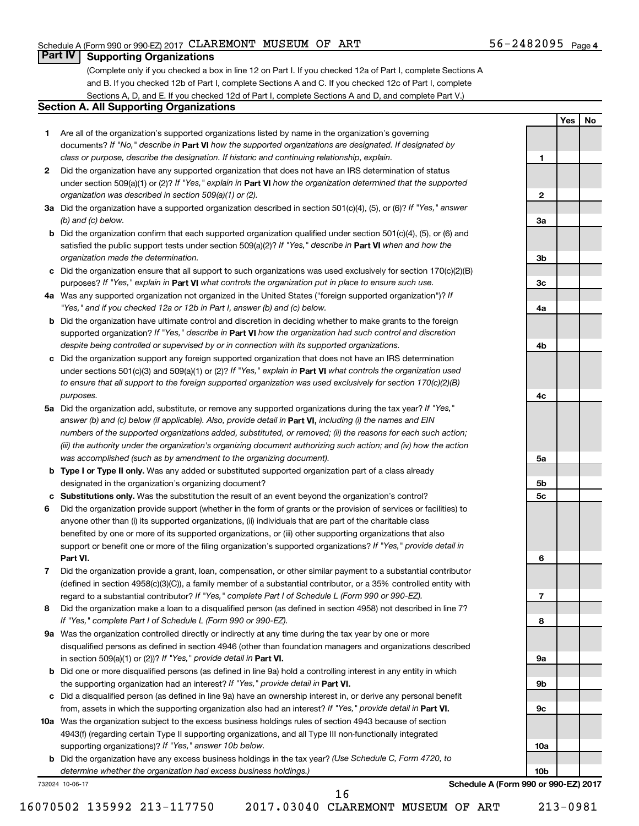**1**

**2**

**3a**

**3b**

**3c**

**4a**

**4b**

**4c**

**5a**

**5b 5c**

**6**

**7**

**8**

**9a**

**9b**

**9c**

**10a**

**10b**

**Yes No**

### **Part IV Supporting Organizations**

(Complete only if you checked a box in line 12 on Part I. If you checked 12a of Part I, complete Sections A and B. If you checked 12b of Part I, complete Sections A and C. If you checked 12c of Part I, complete Sections A, D, and E. If you checked 12d of Part I, complete Sections A and D, and complete Part V.)

### **Section A. All Supporting Organizations**

- **1** Are all of the organization's supported organizations listed by name in the organization's governing documents? If "No," describe in Part VI how the supported organizations are designated. If designated by *class or purpose, describe the designation. If historic and continuing relationship, explain.*
- **2** Did the organization have any supported organization that does not have an IRS determination of status under section 509(a)(1) or (2)? If "Yes," explain in Part **VI** how the organization determined that the supported *organization was described in section 509(a)(1) or (2).*
- **3a** Did the organization have a supported organization described in section 501(c)(4), (5), or (6)? If "Yes," answer *(b) and (c) below.*
- **b** Did the organization confirm that each supported organization qualified under section 501(c)(4), (5), or (6) and satisfied the public support tests under section 509(a)(2)? If "Yes," describe in Part VI when and how the *organization made the determination.*
- **c** Did the organization ensure that all support to such organizations was used exclusively for section 170(c)(2)(B) purposes? If "Yes," explain in Part VI what controls the organization put in place to ensure such use.
- **4 a** *If* Was any supported organization not organized in the United States ("foreign supported organization")? *"Yes," and if you checked 12a or 12b in Part I, answer (b) and (c) below.*
- **b** Did the organization have ultimate control and discretion in deciding whether to make grants to the foreign supported organization? If "Yes," describe in Part VI how the organization had such control and discretion *despite being controlled or supervised by or in connection with its supported organizations.*
- **c** Did the organization support any foreign supported organization that does not have an IRS determination under sections 501(c)(3) and 509(a)(1) or (2)? If "Yes," explain in Part VI what controls the organization used *to ensure that all support to the foreign supported organization was used exclusively for section 170(c)(2)(B) purposes.*
- **5a** Did the organization add, substitute, or remove any supported organizations during the tax year? If "Yes," answer (b) and (c) below (if applicable). Also, provide detail in **Part VI,** including (i) the names and EIN *numbers of the supported organizations added, substituted, or removed; (ii) the reasons for each such action; (iii) the authority under the organization's organizing document authorizing such action; and (iv) how the action was accomplished (such as by amendment to the organizing document).*
- **b** Type I or Type II only. Was any added or substituted supported organization part of a class already designated in the organization's organizing document?
- **c Substitutions only.**  Was the substitution the result of an event beyond the organization's control?
- **6** Did the organization provide support (whether in the form of grants or the provision of services or facilities) to **Part VI.** support or benefit one or more of the filing organization's supported organizations? If "Yes," provide detail in anyone other than (i) its supported organizations, (ii) individuals that are part of the charitable class benefited by one or more of its supported organizations, or (iii) other supporting organizations that also
- **7** Did the organization provide a grant, loan, compensation, or other similar payment to a substantial contributor regard to a substantial contributor? If "Yes," complete Part I of Schedule L (Form 990 or 990-EZ). (defined in section 4958(c)(3)(C)), a family member of a substantial contributor, or a 35% controlled entity with
- **8** Did the organization make a loan to a disqualified person (as defined in section 4958) not described in line 7? *If "Yes," complete Part I of Schedule L (Form 990 or 990-EZ).*
- **9 a** Was the organization controlled directly or indirectly at any time during the tax year by one or more in section 509(a)(1) or (2))? If "Yes," provide detail in **Part VI.** disqualified persons as defined in section 4946 (other than foundation managers and organizations described
- **b** Did one or more disqualified persons (as defined in line 9a) hold a controlling interest in any entity in which the supporting organization had an interest? If "Yes," provide detail in Part VI.
- **c** Did a disqualified person (as defined in line 9a) have an ownership interest in, or derive any personal benefit from, assets in which the supporting organization also had an interest? If "Yes," provide detail in Part VI.
- **10 a** Was the organization subject to the excess business holdings rules of section 4943 because of section supporting organizations)? If "Yes," answer 10b below. 4943(f) (regarding certain Type II supporting organizations, and all Type III non-functionally integrated
	- **b** Did the organization have any excess business holdings in the tax year? (Use Schedule C, Form 4720, to *determine whether the organization had excess business holdings.)*

732024 10-06-17

**Schedule A (Form 990 or 990-EZ) 2017**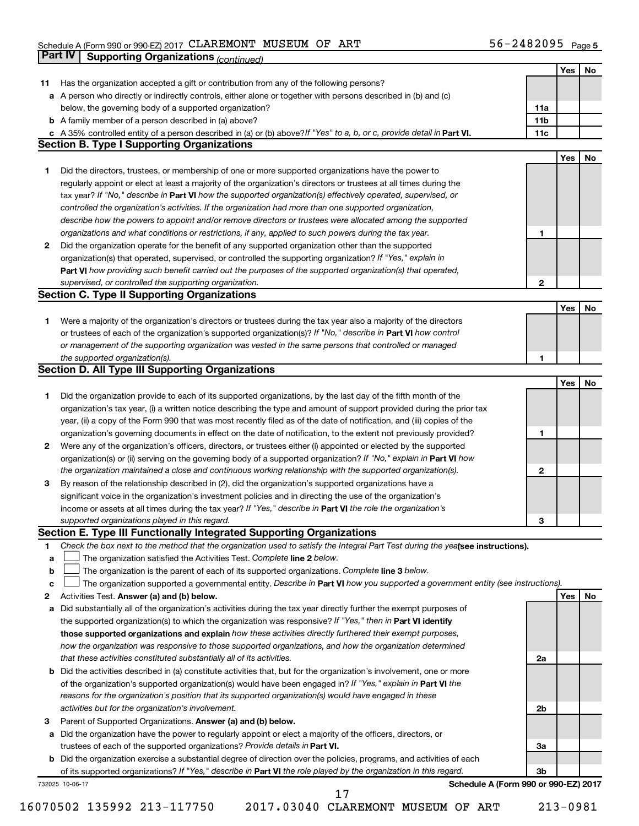#### Schedule A (Form 990 or 990-EZ) 2017 CLAREMON'L' MUSEUM OF ART' 5 b = Z 4 8 Z U 9 5 Page CLAREMONT MUSEUM OF ART 56-2482095

|    | <b>Part IV</b>  | <b>Supporting Organizations (continued)</b>                                                                                     |                 |     |    |
|----|-----------------|---------------------------------------------------------------------------------------------------------------------------------|-----------------|-----|----|
|    |                 |                                                                                                                                 |                 | Yes | No |
| 11 |                 | Has the organization accepted a gift or contribution from any of the following persons?                                         |                 |     |    |
| а  |                 | A person who directly or indirectly controls, either alone or together with persons described in (b) and (c)                    |                 |     |    |
|    |                 | below, the governing body of a supported organization?                                                                          | 11a             |     |    |
|    |                 | <b>b</b> A family member of a person described in (a) above?                                                                    | 11 <sub>b</sub> |     |    |
|    |                 | c A 35% controlled entity of a person described in (a) or (b) above? If "Yes" to a, b, or c, provide detail in Part VI.         | 11c             |     |    |
|    |                 | <b>Section B. Type I Supporting Organizations</b>                                                                               |                 |     |    |
|    |                 |                                                                                                                                 |                 | Yes | No |
| 1. |                 | Did the directors, trustees, or membership of one or more supported organizations have the power to                             |                 |     |    |
|    |                 | regularly appoint or elect at least a majority of the organization's directors or trustees at all times during the              |                 |     |    |
|    |                 | tax year? If "No," describe in Part VI how the supported organization(s) effectively operated, supervised, or                   |                 |     |    |
|    |                 | controlled the organization's activities. If the organization had more than one supported organization,                         |                 |     |    |
|    |                 | describe how the powers to appoint and/or remove directors or trustees were allocated among the supported                       |                 |     |    |
|    |                 | organizations and what conditions or restrictions, if any, applied to such powers during the tax year.                          | 1               |     |    |
| 2  |                 | Did the organization operate for the benefit of any supported organization other than the supported                             |                 |     |    |
|    |                 | organization(s) that operated, supervised, or controlled the supporting organization? If "Yes," explain in                      |                 |     |    |
|    |                 | Part VI how providing such benefit carried out the purposes of the supported organization(s) that operated,                     |                 |     |    |
|    |                 | supervised, or controlled the supporting organization.                                                                          | $\mathbf{2}$    |     |    |
|    |                 | <b>Section C. Type II Supporting Organizations</b>                                                                              |                 |     |    |
|    |                 |                                                                                                                                 |                 | Yes | No |
| 1. |                 | Were a majority of the organization's directors or trustees during the tax year also a majority of the directors                |                 |     |    |
|    |                 | or trustees of each of the organization's supported organization(s)? If "No," describe in Part VI how control                   |                 |     |    |
|    |                 | or management of the supporting organization was vested in the same persons that controlled or managed                          |                 |     |    |
|    |                 | the supported organization(s).                                                                                                  | 1               |     |    |
|    |                 | <b>Section D. All Type III Supporting Organizations</b>                                                                         |                 |     |    |
|    |                 |                                                                                                                                 |                 | Yes | No |
| 1  |                 | Did the organization provide to each of its supported organizations, by the last day of the fifth month of the                  |                 |     |    |
|    |                 | organization's tax year, (i) a written notice describing the type and amount of support provided during the prior tax           |                 |     |    |
|    |                 | year, (ii) a copy of the Form 990 that was most recently filed as of the date of notification, and (iii) copies of the          |                 |     |    |
|    |                 | organization's governing documents in effect on the date of notification, to the extent not previously provided?                | 1               |     |    |
| 2  |                 | Were any of the organization's officers, directors, or trustees either (i) appointed or elected by the supported                |                 |     |    |
|    |                 | organization(s) or (ii) serving on the governing body of a supported organization? If "No," explain in Part VI how              |                 |     |    |
|    |                 | the organization maintained a close and continuous working relationship with the supported organization(s).                     | $\mathbf{2}$    |     |    |
| 3  |                 | By reason of the relationship described in (2), did the organization's supported organizations have a                           |                 |     |    |
|    |                 | significant voice in the organization's investment policies and in directing the use of the organization's                      |                 |     |    |
|    |                 | income or assets at all times during the tax year? If "Yes," describe in Part VI the role the organization's                    |                 |     |    |
|    |                 | supported organizations played in this regard.                                                                                  | з               |     |    |
|    |                 | Section E. Type III Functionally Integrated Supporting Organizations                                                            |                 |     |    |
| 1  |                 | Check the box next to the method that the organization used to satisfy the Integral Part Test during the yealsee instructions). |                 |     |    |
| a  |                 | The organization satisfied the Activities Test. Complete line 2 below.                                                          |                 |     |    |
| b  |                 | The organization is the parent of each of its supported organizations. Complete line 3 below.                                   |                 |     |    |
| c  |                 | The organization supported a governmental entity. Describe in Part VI how you supported a government entity (see instructions). |                 |     |    |
| 2  |                 | Activities Test. Answer (a) and (b) below.                                                                                      |                 | Yes | No |
| а  |                 | Did substantially all of the organization's activities during the tax year directly further the exempt purposes of              |                 |     |    |
|    |                 | the supported organization(s) to which the organization was responsive? If "Yes," then in Part VI identify                      |                 |     |    |
|    |                 | those supported organizations and explain how these activities directly furthered their exempt purposes,                        |                 |     |    |
|    |                 | how the organization was responsive to those supported organizations, and how the organization determined                       |                 |     |    |
|    |                 | that these activities constituted substantially all of its activities.                                                          | 2a              |     |    |
| b  |                 | Did the activities described in (a) constitute activities that, but for the organization's involvement, one or more             |                 |     |    |
|    |                 | of the organization's supported organization(s) would have been engaged in? If "Yes," explain in Part VI the                    |                 |     |    |
|    |                 | reasons for the organization's position that its supported organization(s) would have engaged in these                          |                 |     |    |
|    |                 | activities but for the organization's involvement.                                                                              | 2b              |     |    |
| з  |                 | Parent of Supported Organizations. Answer (a) and (b) below.                                                                    |                 |     |    |
| а  |                 | Did the organization have the power to regularly appoint or elect a majority of the officers, directors, or                     |                 |     |    |
|    |                 | trustees of each of the supported organizations? Provide details in Part VI.                                                    | За              |     |    |
|    |                 | <b>b</b> Did the organization exercise a substantial degree of direction over the policies, programs, and activities of each    |                 |     |    |
|    |                 | of its supported organizations? If "Yes," describe in Part VI the role played by the organization in this regard.               | 3b              |     |    |
|    | 732025 10-06-17 | Schedule A (Form 990 or 990-EZ) 2017<br>17                                                                                      |                 |     |    |
|    |                 |                                                                                                                                 |                 |     |    |

16070502 135992 213-117750 2017.03040 CLAREMONT MUSEUM OF ART 213-0981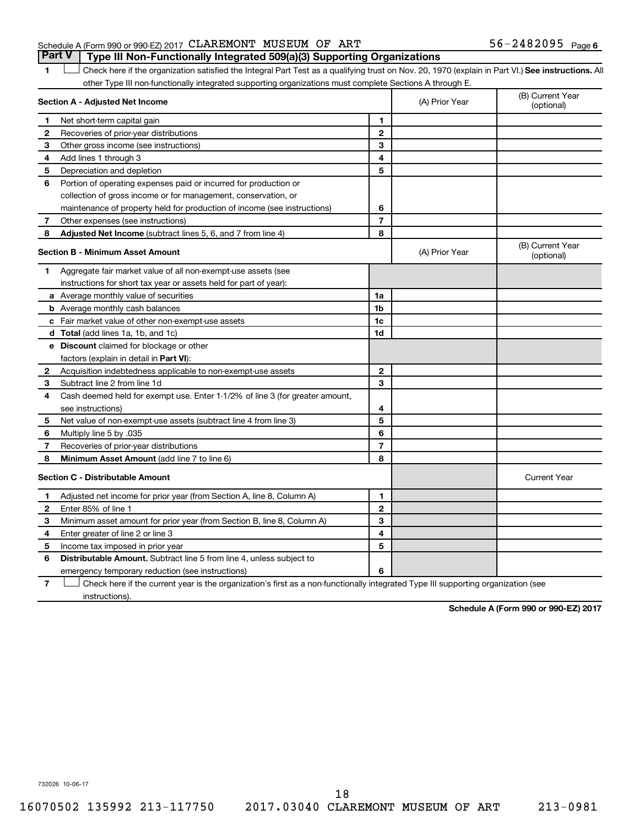### Schedule A (Form 990 or 990-EZ) 2017  $\mathtt{CLAREMONT}$  MUSEUM OF ART  $56-2482095$  Page **Part V Type III Non-Functionally Integrated 509(a)(3) Supporting Organizations**

1 **Letter See instructions.** All Check here if the organization satisfied the Integral Part Test as a qualifying trust on Nov. 20, 1970 (explain in Part VI.) See instructions. All other Type III non-functionally integrated supporting organizations must complete Sections A through E.

|   | Section A - Adjusted Net Income                                              |                | (A) Prior Year | (B) Current Year<br>(optional) |
|---|------------------------------------------------------------------------------|----------------|----------------|--------------------------------|
| 1 | Net short-term capital gain                                                  | 1              |                |                                |
| 2 | Recoveries of prior-year distributions                                       | $\overline{2}$ |                |                                |
| 3 | Other gross income (see instructions)                                        | 3              |                |                                |
| 4 | Add lines 1 through 3                                                        | 4              |                |                                |
| 5 | Depreciation and depletion                                                   | 5              |                |                                |
| 6 | Portion of operating expenses paid or incurred for production or             |                |                |                                |
|   | collection of gross income or for management, conservation, or               |                |                |                                |
|   | maintenance of property held for production of income (see instructions)     | 6              |                |                                |
| 7 | Other expenses (see instructions)                                            | $\overline{7}$ |                |                                |
| 8 | Adjusted Net Income (subtract lines 5, 6, and 7 from line 4)                 | 8              |                |                                |
|   | <b>Section B - Minimum Asset Amount</b>                                      |                | (A) Prior Year | (B) Current Year<br>(optional) |
| 1 | Aggregate fair market value of all non-exempt-use assets (see                |                |                |                                |
|   | instructions for short tax year or assets held for part of year):            |                |                |                                |
|   | a Average monthly value of securities                                        | 1a             |                |                                |
|   | <b>b</b> Average monthly cash balances                                       | 1 <sub>b</sub> |                |                                |
|   | c Fair market value of other non-exempt-use assets                           | 1c             |                |                                |
|   | d Total (add lines 1a, 1b, and 1c)                                           | 1d             |                |                                |
|   | <b>e</b> Discount claimed for blockage or other                              |                |                |                                |
|   | factors (explain in detail in Part VI):                                      |                |                |                                |
| 2 | Acquisition indebtedness applicable to non-exempt-use assets                 | $\mathbf{2}$   |                |                                |
| З | Subtract line 2 from line 1d                                                 | 3              |                |                                |
| 4 | Cash deemed held for exempt use. Enter 1-1/2% of line 3 (for greater amount, |                |                |                                |
|   | see instructions)                                                            | 4              |                |                                |
| 5 | Net value of non-exempt-use assets (subtract line 4 from line 3)             | 5              |                |                                |
| 6 | Multiply line 5 by .035                                                      | 6              |                |                                |
| 7 | Recoveries of prior-year distributions                                       | $\overline{7}$ |                |                                |
| 8 | Minimum Asset Amount (add line 7 to line 6)                                  | 8              |                |                                |
|   | <b>Section C - Distributable Amount</b>                                      |                |                | <b>Current Year</b>            |
| 1 | Adjusted net income for prior year (from Section A, line 8, Column A)        | 1              |                |                                |
| 2 | Enter 85% of line 1                                                          | $\mathbf{2}$   |                |                                |
| З | Minimum asset amount for prior year (from Section B, line 8, Column A)       | 3              |                |                                |
| 4 | Enter greater of line 2 or line 3                                            | 4              |                |                                |
| 5 | Income tax imposed in prior year                                             | 5              |                |                                |
| 6 | <b>Distributable Amount.</b> Subtract line 5 from line 4, unless subject to  |                |                |                                |
|   | emergency temporary reduction (see instructions)                             | 6              |                |                                |
|   |                                                                              |                |                |                                |

**7** Check here if the current year is the organization's first as a non-functionally integrated Type III supporting organization (see † instructions).

**Schedule A (Form 990 or 990-EZ) 2017**

732026 10-06-17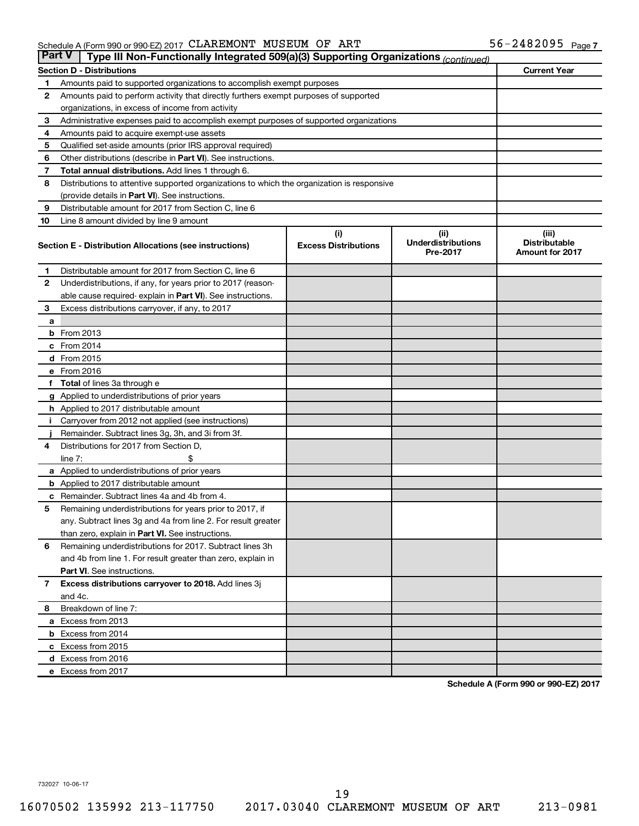| <b>Part V</b> | Type III Non-Functionally Integrated 509(a)(3) Supporting Organizations (continued)        |                             |                                       |                                                |  |
|---------------|--------------------------------------------------------------------------------------------|-----------------------------|---------------------------------------|------------------------------------------------|--|
|               | <b>Section D - Distributions</b>                                                           |                             |                                       | <b>Current Year</b>                            |  |
| 1             | Amounts paid to supported organizations to accomplish exempt purposes                      |                             |                                       |                                                |  |
| $\mathbf{2}$  | Amounts paid to perform activity that directly furthers exempt purposes of supported       |                             |                                       |                                                |  |
|               | organizations, in excess of income from activity                                           |                             |                                       |                                                |  |
| 3             | Administrative expenses paid to accomplish exempt purposes of supported organizations      |                             |                                       |                                                |  |
| 4             | Amounts paid to acquire exempt-use assets                                                  |                             |                                       |                                                |  |
| 5             | Qualified set-aside amounts (prior IRS approval required)                                  |                             |                                       |                                                |  |
| 6             | Other distributions (describe in <b>Part VI</b> ). See instructions.                       |                             |                                       |                                                |  |
| 7             | Total annual distributions. Add lines 1 through 6.                                         |                             |                                       |                                                |  |
| 8             | Distributions to attentive supported organizations to which the organization is responsive |                             |                                       |                                                |  |
|               | (provide details in Part VI). See instructions.                                            |                             |                                       |                                                |  |
| 9             | Distributable amount for 2017 from Section C, line 6                                       |                             |                                       |                                                |  |
| 10            | Line 8 amount divided by line 9 amount                                                     |                             |                                       |                                                |  |
|               |                                                                                            | (i)                         | (ii)                                  | (iii)                                          |  |
|               | Section E - Distribution Allocations (see instructions)                                    | <b>Excess Distributions</b> | <b>Underdistributions</b><br>Pre-2017 | <b>Distributable</b><br><b>Amount for 2017</b> |  |
| 1             | Distributable amount for 2017 from Section C, line 6                                       |                             |                                       |                                                |  |
| $\mathbf{2}$  | Underdistributions, if any, for years prior to 2017 (reason-                               |                             |                                       |                                                |  |
|               | able cause required- explain in Part VI). See instructions.                                |                             |                                       |                                                |  |
| 3             | Excess distributions carryover, if any, to 2017                                            |                             |                                       |                                                |  |
| a             |                                                                                            |                             |                                       |                                                |  |
|               | <b>b</b> From 2013                                                                         |                             |                                       |                                                |  |
|               | c From 2014                                                                                |                             |                                       |                                                |  |
|               | d From 2015                                                                                |                             |                                       |                                                |  |
|               | e From 2016                                                                                |                             |                                       |                                                |  |
|               | f Total of lines 3a through e                                                              |                             |                                       |                                                |  |
|               | <b>g</b> Applied to underdistributions of prior years                                      |                             |                                       |                                                |  |
|               | <b>h</b> Applied to 2017 distributable amount                                              |                             |                                       |                                                |  |
| Ť.            | Carryover from 2012 not applied (see instructions)                                         |                             |                                       |                                                |  |
|               | Remainder. Subtract lines 3g, 3h, and 3i from 3f.                                          |                             |                                       |                                                |  |
| 4             | Distributions for 2017 from Section D,                                                     |                             |                                       |                                                |  |
|               | line $7:$                                                                                  |                             |                                       |                                                |  |
|               | a Applied to underdistributions of prior years                                             |                             |                                       |                                                |  |
|               | <b>b</b> Applied to 2017 distributable amount                                              |                             |                                       |                                                |  |
| c             | Remainder. Subtract lines 4a and 4b from 4.                                                |                             |                                       |                                                |  |
| 5             | Remaining underdistributions for years prior to 2017, if                                   |                             |                                       |                                                |  |
|               | any. Subtract lines 3g and 4a from line 2. For result greater                              |                             |                                       |                                                |  |
|               | than zero, explain in Part VI. See instructions.                                           |                             |                                       |                                                |  |
| 6             | Remaining underdistributions for 2017. Subtract lines 3h                                   |                             |                                       |                                                |  |
|               | and 4b from line 1. For result greater than zero, explain in                               |                             |                                       |                                                |  |
|               | <b>Part VI.</b> See instructions.                                                          |                             |                                       |                                                |  |
| $\mathbf{7}$  | Excess distributions carryover to 2018. Add lines 3j                                       |                             |                                       |                                                |  |
|               | and 4c.                                                                                    |                             |                                       |                                                |  |
| 8             | Breakdown of line 7:                                                                       |                             |                                       |                                                |  |
|               | a Excess from 2013                                                                         |                             |                                       |                                                |  |
|               | <b>b</b> Excess from 2014                                                                  |                             |                                       |                                                |  |
|               | c Excess from 2015                                                                         |                             |                                       |                                                |  |
|               | d Excess from 2016                                                                         |                             |                                       |                                                |  |
|               | e Excess from 2017                                                                         |                             |                                       |                                                |  |

**Schedule A (Form 990 or 990-EZ) 2017**

732027 10-06-17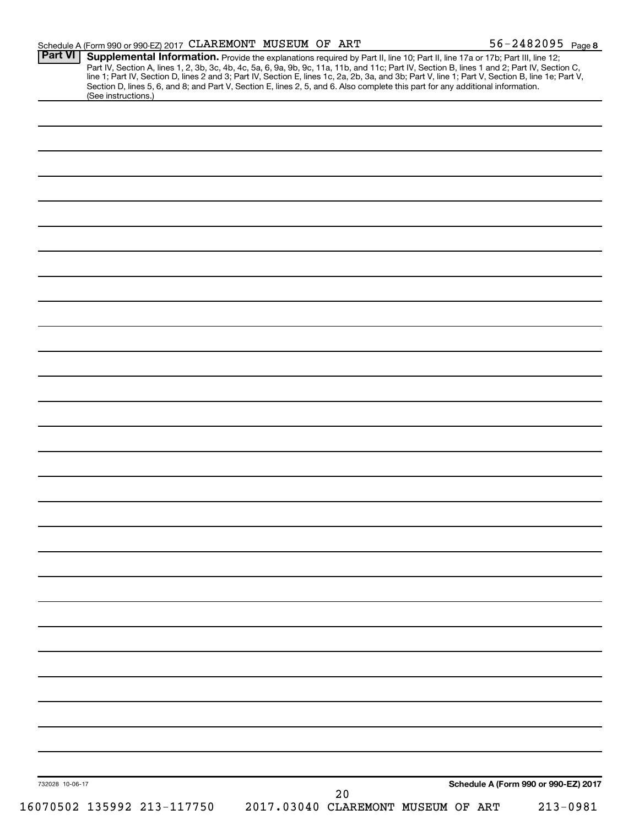|                 | Schedule A (Form 990 or 990-EZ) 2017 CLAREMONT MUSEUM OF ART                                                                                                                                                                                                                                                                                                                                                                                                                                                                                                                                |    |                                    | 56-2482095 Page 8                    |
|-----------------|---------------------------------------------------------------------------------------------------------------------------------------------------------------------------------------------------------------------------------------------------------------------------------------------------------------------------------------------------------------------------------------------------------------------------------------------------------------------------------------------------------------------------------------------------------------------------------------------|----|------------------------------------|--------------------------------------|
| <b>Part VI</b>  | Supplemental Information. Provide the explanations required by Part II, line 10; Part II, line 17a or 17b; Part III, line 12;<br>Part IV, Section A, lines 1, 2, 3b, 3c, 4b, 4c, 5a, 6, 9a, 9b, 9c, 11a, 11b, and 11c; Part IV, Section B, lines 1 and 2; Part IV, Section C,<br>line 1; Part IV, Section D, lines 2 and 3; Part IV, Section E, lines 1c, 2a, 2b, 3a, and 3b; Part V, line 1; Part V, Section B, line 1e; Part V,<br>Section D, lines 5, 6, and 8; and Part V, Section E, lines 2, 5, and 6. Also complete this part for any additional information.<br>(See instructions.) |    |                                    |                                      |
|                 |                                                                                                                                                                                                                                                                                                                                                                                                                                                                                                                                                                                             |    |                                    |                                      |
|                 |                                                                                                                                                                                                                                                                                                                                                                                                                                                                                                                                                                                             |    |                                    |                                      |
|                 |                                                                                                                                                                                                                                                                                                                                                                                                                                                                                                                                                                                             |    |                                    |                                      |
|                 |                                                                                                                                                                                                                                                                                                                                                                                                                                                                                                                                                                                             |    |                                    |                                      |
|                 |                                                                                                                                                                                                                                                                                                                                                                                                                                                                                                                                                                                             |    |                                    |                                      |
|                 |                                                                                                                                                                                                                                                                                                                                                                                                                                                                                                                                                                                             |    |                                    |                                      |
|                 |                                                                                                                                                                                                                                                                                                                                                                                                                                                                                                                                                                                             |    |                                    |                                      |
|                 |                                                                                                                                                                                                                                                                                                                                                                                                                                                                                                                                                                                             |    |                                    |                                      |
|                 |                                                                                                                                                                                                                                                                                                                                                                                                                                                                                                                                                                                             |    |                                    |                                      |
|                 |                                                                                                                                                                                                                                                                                                                                                                                                                                                                                                                                                                                             |    |                                    |                                      |
|                 |                                                                                                                                                                                                                                                                                                                                                                                                                                                                                                                                                                                             |    |                                    |                                      |
|                 |                                                                                                                                                                                                                                                                                                                                                                                                                                                                                                                                                                                             |    |                                    |                                      |
|                 |                                                                                                                                                                                                                                                                                                                                                                                                                                                                                                                                                                                             |    |                                    |                                      |
|                 |                                                                                                                                                                                                                                                                                                                                                                                                                                                                                                                                                                                             |    |                                    |                                      |
|                 |                                                                                                                                                                                                                                                                                                                                                                                                                                                                                                                                                                                             |    |                                    |                                      |
|                 |                                                                                                                                                                                                                                                                                                                                                                                                                                                                                                                                                                                             |    |                                    |                                      |
|                 |                                                                                                                                                                                                                                                                                                                                                                                                                                                                                                                                                                                             |    |                                    |                                      |
|                 |                                                                                                                                                                                                                                                                                                                                                                                                                                                                                                                                                                                             |    |                                    |                                      |
|                 |                                                                                                                                                                                                                                                                                                                                                                                                                                                                                                                                                                                             |    |                                    |                                      |
|                 |                                                                                                                                                                                                                                                                                                                                                                                                                                                                                                                                                                                             |    |                                    |                                      |
|                 |                                                                                                                                                                                                                                                                                                                                                                                                                                                                                                                                                                                             |    |                                    |                                      |
|                 |                                                                                                                                                                                                                                                                                                                                                                                                                                                                                                                                                                                             |    |                                    |                                      |
|                 |                                                                                                                                                                                                                                                                                                                                                                                                                                                                                                                                                                                             |    |                                    |                                      |
|                 |                                                                                                                                                                                                                                                                                                                                                                                                                                                                                                                                                                                             |    |                                    |                                      |
|                 |                                                                                                                                                                                                                                                                                                                                                                                                                                                                                                                                                                                             |    |                                    |                                      |
|                 |                                                                                                                                                                                                                                                                                                                                                                                                                                                                                                                                                                                             |    |                                    |                                      |
|                 |                                                                                                                                                                                                                                                                                                                                                                                                                                                                                                                                                                                             |    |                                    |                                      |
|                 |                                                                                                                                                                                                                                                                                                                                                                                                                                                                                                                                                                                             |    |                                    |                                      |
|                 |                                                                                                                                                                                                                                                                                                                                                                                                                                                                                                                                                                                             |    |                                    |                                      |
|                 |                                                                                                                                                                                                                                                                                                                                                                                                                                                                                                                                                                                             |    |                                    |                                      |
|                 |                                                                                                                                                                                                                                                                                                                                                                                                                                                                                                                                                                                             |    |                                    |                                      |
|                 |                                                                                                                                                                                                                                                                                                                                                                                                                                                                                                                                                                                             |    |                                    |                                      |
| 732028 10-06-17 |                                                                                                                                                                                                                                                                                                                                                                                                                                                                                                                                                                                             | 20 |                                    | Schedule A (Form 990 or 990-EZ) 2017 |
|                 | 16070502 135992 213-117750                                                                                                                                                                                                                                                                                                                                                                                                                                                                                                                                                                  |    | 2017.03040 CLAREMONT MUSEUM OF ART | $213 - 0981$                         |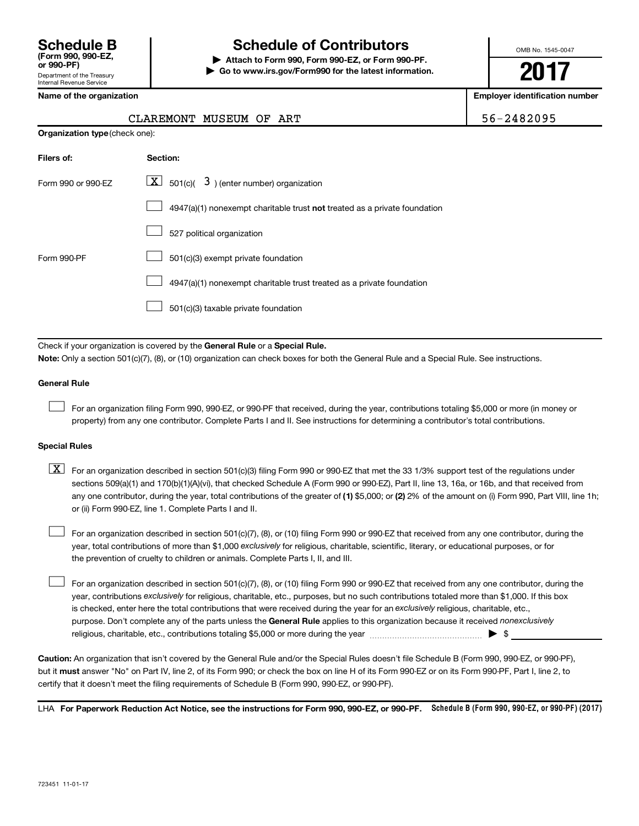## **Schedule B Schedule of Contributors**

**or 990-PF) | Attach to Form 990, Form 990-EZ, or Form 990-PF. | Go to www.irs.gov/Form990 for the latest information.** OMB No. 1545-0047

**2017**

**Name of the organization Employer identification number**

|  | ٠ | $\sim$<br>Λ |
|--|---|-------------|

| CLAREMONT MUSEUM OF ART | 56-2482095 |  |
|-------------------------|------------|--|
|-------------------------|------------|--|

| <b>Organization type (check one):</b> |                                                                                    |  |
|---------------------------------------|------------------------------------------------------------------------------------|--|
| Filers of:                            | Section:                                                                           |  |
| Form 990 or 990-FZ                    | $\lfloor \mathbf{X} \rfloor$ 501(c)( 3) (enter number) organization                |  |
|                                       | $4947(a)(1)$ nonexempt charitable trust <b>not</b> treated as a private foundation |  |
|                                       | 527 political organization                                                         |  |
| Form 990-PF                           | 501(c)(3) exempt private foundation                                                |  |
|                                       | 4947(a)(1) nonexempt charitable trust treated as a private foundation              |  |
|                                       |                                                                                    |  |

 $\boxed{\phantom{0}}$  501(c)(3) taxable private foundation

Check if your organization is covered by the General Rule or a Special Rule.

**Note:**  Only a section 501(c)(7), (8), or (10) organization can check boxes for both the General Rule and a Special Rule. See instructions.

### **General Rule**

 $\Box$ 

For an organization filing Form 990, 990-EZ, or 990-PF that received, during the year, contributions totaling \$5,000 or more (in money or property) from any one contributor. Complete Parts I and II. See instructions for determining a contributor's total contributions.

### **Special Rules**

any one contributor, during the year, total contributions of the greater of (1) \$5,000; or (2) 2% of the amount on (i) Form 990, Part VIII, line 1h;  $\boxed{\text{X}}$  For an organization described in section 501(c)(3) filing Form 990 or 990-EZ that met the 33 1/3% support test of the regulations under sections 509(a)(1) and 170(b)(1)(A)(vi), that checked Schedule A (Form 990 or 990-EZ), Part II, line 13, 16a, or 16b, and that received from or (ii) Form 990-EZ, line 1. Complete Parts I and II.

year, total contributions of more than \$1,000 *exclusively* for religious, charitable, scientific, literary, or educational purposes, or for For an organization described in section 501(c)(7), (8), or (10) filing Form 990 or 990-EZ that received from any one contributor, during the the prevention of cruelty to children or animals. Complete Parts I, II, and III.  $\Box$ 

purpose. Don't complete any of the parts unless the General Rule applies to this organization because it received nonexclusively year, contributions exclusively for religious, charitable, etc., purposes, but no such contributions totaled more than \$1,000. If this box is checked, enter here the total contributions that were received during the year for an exclusively religious, charitable, etc., For an organization described in section 501(c)(7), (8), or (10) filing Form 990 or 990-EZ that received from any one contributor, during the religious, charitable, etc., contributions totaling \$5,000 or more during the year  $\ldots$  $\ldots$  $\ldots$  $\ldots$  $\ldots$  $\ldots$  $\Box$ 

**Caution:**  An organization that isn't covered by the General Rule and/or the Special Rules doesn't file Schedule B (Form 990, 990-EZ, or 990-PF),  **must** but it answer "No" on Part IV, line 2, of its Form 990; or check the box on line H of its Form 990-EZ or on its Form 990-PF, Part I, line 2, to certify that it doesn't meet the filing requirements of Schedule B (Form 990, 990-EZ, or 990-PF).

LHA For Paperwork Reduction Act Notice, see the instructions for Form 990, 990-EZ, or 990-PF. Schedule B (Form 990, 990-EZ, or 990-PF) (2017)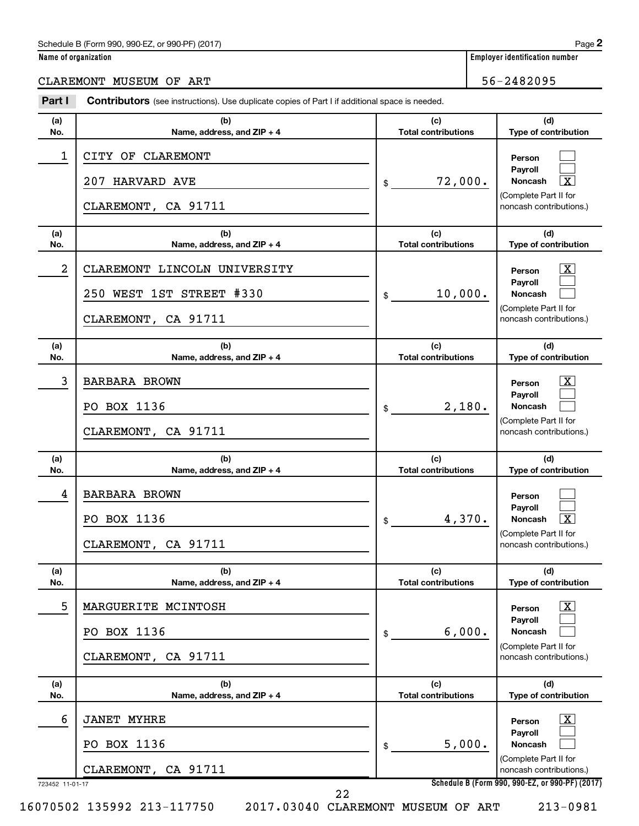### Schedule B (Form 990, 990-EZ, or 990-PF) (2017)

| Name of organization |  |  |
|----------------------|--|--|
|                      |  |  |

CLAREMONT MUSEUM OF ART 56-2482095

| Part I          | <b>Contributors</b> (see instructions). Use duplicate copies of Part I if additional space is needed. |                                   |                                                                                                     |
|-----------------|-------------------------------------------------------------------------------------------------------|-----------------------------------|-----------------------------------------------------------------------------------------------------|
| (a)             | (b)                                                                                                   | (c)                               | (d)                                                                                                 |
| No.<br>1        | Name, address, and ZIP + 4<br>CITY OF CLAREMONT                                                       | <b>Total contributions</b>        | Type of contribution<br>Person                                                                      |
|                 | 207 HARVARD AVE                                                                                       | 72,000.<br>\$                     | Payroll<br>$\overline{\mathbf{x}}$<br>Noncash                                                       |
|                 | CLAREMONT, CA 91711                                                                                   |                                   | (Complete Part II for<br>noncash contributions.)                                                    |
| (a)<br>No.      | (b)<br>Name, address, and ZIP + 4                                                                     | (c)<br><b>Total contributions</b> | (d)<br>Type of contribution                                                                         |
| 2               | CLAREMONT LINCOLN UNIVERSITY                                                                          |                                   | $\mathbf{X}$<br>Person                                                                              |
|                 | 250 WEST 1ST STREET #330                                                                              | 10,000.<br>\$                     | Payroll<br><b>Noncash</b>                                                                           |
|                 | CLAREMONT, CA 91711                                                                                   |                                   | (Complete Part II for<br>noncash contributions.)                                                    |
| (a)<br>No.      | (b)<br>Name, address, and ZIP + 4                                                                     | (c)<br><b>Total contributions</b> | (d)<br>Type of contribution                                                                         |
| 3               | <b>BARBARA BROWN</b>                                                                                  |                                   | $\overline{\mathbf{X}}$<br>Person                                                                   |
|                 | PO BOX 1136                                                                                           | 2,180.<br>\$                      | Payroll<br><b>Noncash</b>                                                                           |
|                 | CLAREMONT, CA 91711                                                                                   |                                   | (Complete Part II for<br>noncash contributions.)                                                    |
|                 |                                                                                                       |                                   |                                                                                                     |
| (a)<br>No.      | (b)<br>Name, address, and ZIP + 4                                                                     | (c)<br><b>Total contributions</b> | (d)<br>Type of contribution                                                                         |
| 4               | <b>BARBARA BROWN</b>                                                                                  |                                   | Person                                                                                              |
|                 | PO BOX 1136                                                                                           | 4,370.<br>\$                      | Payroll<br>$\overline{\mathbf{X}}$<br>Noncash                                                       |
|                 | CLAREMONT, CA 91711                                                                                   |                                   | (Complete Part II for<br>noncash contributions.)                                                    |
| (a)<br>No.      | (b)<br>Name, address, and ZIP + 4                                                                     | (c)<br><b>Total contributions</b> | (d)<br>Type of contribution                                                                         |
| 5               | MARGUERITE MCINTOSH                                                                                   |                                   | X<br>Person                                                                                         |
|                 | PO BOX 1136                                                                                           | 6,000.<br>\$                      | Payroll<br><b>Noncash</b>                                                                           |
|                 | CLAREMONT, CA 91711                                                                                   |                                   | (Complete Part II for<br>noncash contributions.)                                                    |
| (a)<br>No.      | (b)<br>Name, address, and ZIP + 4                                                                     | (c)<br><b>Total contributions</b> | (d)<br>Type of contribution                                                                         |
| 6               | <b>JANET MYHRE</b>                                                                                    |                                   | х<br>Person                                                                                         |
|                 | PO BOX 1136                                                                                           | 5,000.<br>\$                      | Payroll<br><b>Noncash</b>                                                                           |
| 723452 11-01-17 | CLAREMONT, CA 91711                                                                                   |                                   | (Complete Part II for<br>noncash contributions.)<br>Schedule B (Form 990, 990-EZ, or 990-PF) (2017) |

16070502 135992 213-117750 2017.03040 CLAREMONT MUSEUM OF ART 213-0981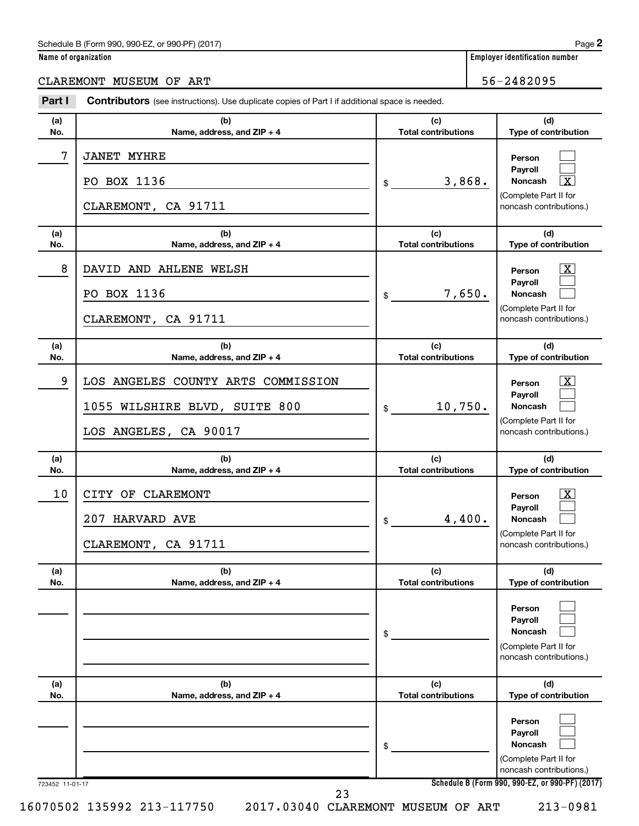### Schedule B (Form 990, 990-EZ, or 990-PF) (2017)

|  | Name of organization |  |
|--|----------------------|--|
|  |                      |  |

CLAREMONT MUSEUM OF ART **1990 CLAREMONT MUSEUM** OF ART

#### 723452 11-01-17 **Schedule B (Form 990, 990-EZ, or 990-PF) (2017) (a) No. (b) Name, address, and ZIP + 4 (c) Total contributions (d) Type of contribution Person Payroll Noncash (a) No. (b) Name, address, and ZIP + 4 (c) Total contributions (d) Type of contribution Person Payroll Noncash (a) No. (b) Name, address, and ZIP + 4 (c) Total contributions (d) Type of contribution Person Payroll Noncash (a) No. (b) Name, address, and ZIP + 4 (c) Total contributions (d) Type of contribution Person Payroll Noncash (a) No. (b) Name, address, and ZIP + 4 (c) Total contributions (d) Type of contribution Person Payroll Noncash (a) No. (b) Name, address, and ZIP + 4 (c) Total contributions (d) Type of contribution Person Payroll Noncash Part I** Contributors (see instructions). Use duplicate copies of Part I if additional space is needed. \$ (Complete Part II for noncash contributions.) \$ (Complete Part II for noncash contributions.) \$ (Complete Part II for noncash contributions.) \$ (Complete Part II for noncash contributions.) \$ (Complete Part II for noncash contributions.) \$ (Complete Part II for noncash contributions.)  $\Box$  $\Box$ †  $\overline{\mathbf{X}}$  $\Box$  $\Box$  $\boxed{\textbf{X}}$  $\Box$  $\Box$  $\boxed{\textbf{X}}$  $\Box$  $\Box$  $\Box$  $\Box$  $\Box$  $\Box$  $\Box$  $\Box$ 7 JANET MYHRE PO BOX 1136  $\frac{1}{3}$  3,868. CLAREMONT, CA 91711 8 | DAVID AND AHLENE WELSH PO BOX 1136  $\frac{1}{3}$  7,650. CLAREMONT, CA 91711 9 LOS ANGELES COUNTY ARTS COMMISSION X  $1055$  WILSHIRE BLVD, SUITE  $800$   $\vert \text{\tiny{\text{$s$}}}$   $10$ ,750. LOS ANGELES, CA 90017 10 | CITY OF CLAREMONT  $207$  HARVARD AVE  $\begin{array}{ccc} 207 & 4,400. \end{array}$ CLAREMONT, CA 91711 16070502 135992 213-117750 2017.03040 CLAREMONT MUSEUM OF ART 213-0981 23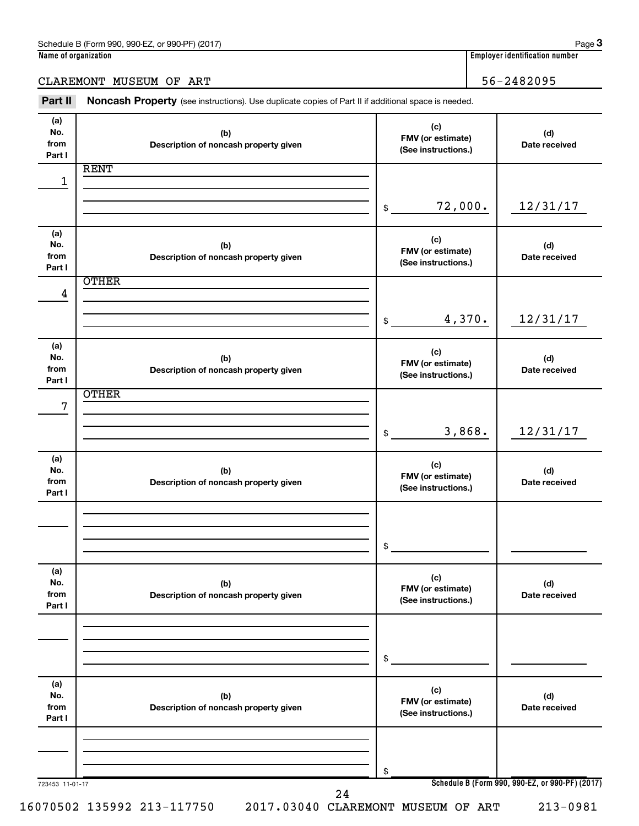CLAREMONT MUSEUM OF ART 36-2482095

Part II Noncash Property (see instructions). Use duplicate copies of Part II if additional space is needed.

| (a)        |                                       | (c)                      |               |
|------------|---------------------------------------|--------------------------|---------------|
| No.        | (b)                                   | FMV (or estimate)        | (d)           |
| from       | Description of noncash property given | (See instructions.)      | Date received |
| Part I     |                                       |                          |               |
|            | <b>RENT</b>                           |                          |               |
| 1          |                                       |                          |               |
|            |                                       |                          |               |
|            |                                       | 72,000.<br>\$            | 12/31/17      |
|            |                                       |                          |               |
| (a)        |                                       |                          |               |
| No.        | (b)                                   | (c)<br>FMV (or estimate) | (d)           |
| from       | Description of noncash property given | (See instructions.)      | Date received |
| Part I     |                                       |                          |               |
|            | <b>OTHER</b>                          |                          |               |
| 4          |                                       |                          |               |
|            |                                       |                          |               |
|            |                                       | 4,370.<br>\$             | 12/31/17      |
|            |                                       |                          |               |
| (a)        |                                       |                          |               |
| No.        | (b)                                   | (c)                      | (d)           |
| from       | Description of noncash property given | FMV (or estimate)        | Date received |
| Part I     |                                       | (See instructions.)      |               |
|            | <b>OTHER</b>                          |                          |               |
| $\sqrt{ }$ |                                       |                          |               |
|            |                                       |                          |               |
|            |                                       | 3,868.<br>\$             | 12/31/17      |
|            |                                       |                          |               |
| (a)        |                                       |                          |               |
| No.        | (b)                                   | (c)                      | (d)           |
| from       | Description of noncash property given | FMV (or estimate)        | Date received |
| Part I     |                                       | (See instructions.)      |               |
|            |                                       |                          |               |
|            |                                       |                          |               |
|            |                                       |                          |               |
|            |                                       | \$                       |               |
|            |                                       |                          |               |
| (a)        |                                       |                          |               |
| No.        | (b)                                   | (c)                      | (d)           |
| from       | Description of noncash property given | FMV (or estimate)        | Date received |
| Part I     |                                       | (See instructions.)      |               |
|            |                                       |                          |               |
|            |                                       |                          |               |
|            |                                       |                          |               |
|            |                                       | \$                       |               |
|            |                                       |                          |               |
| (a)        |                                       |                          |               |
| No.        | (b)                                   | (c)                      | (d)           |
| from       | Description of noncash property given | FMV (or estimate)        | Date received |
| Part I     |                                       | (See instructions.)      |               |
|            |                                       |                          |               |
|            |                                       |                          |               |
|            |                                       |                          |               |
|            |                                       | \$                       |               |
|            |                                       |                          |               |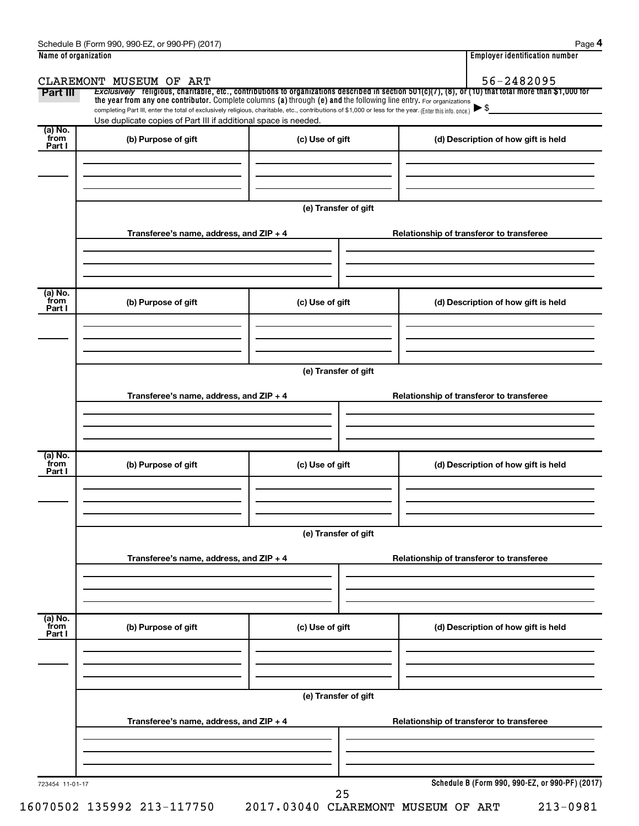| Name of organization      |                                                                                                                                                                                                                             |                      | <b>Employer identification number</b>                                                                                                                               |
|---------------------------|-----------------------------------------------------------------------------------------------------------------------------------------------------------------------------------------------------------------------------|----------------------|---------------------------------------------------------------------------------------------------------------------------------------------------------------------|
| Part III                  | CLAREMONT MUSEUM OF ART<br>the year from any one contributor. Complete columns (a) through (e) and the following line entry. For organizations                                                                              |                      | 56-2482095<br>Exclusively religious, charitable, etc., contributions to organizations described in section 501(c)(7), (8), or (10) that total more than \$1,000 for |
|                           | completing Part III, enter the total of exclusively religious, charitable, etc., contributions of \$1,000 or less for the year. (Enter this info. once.)<br>Use duplicate copies of Part III if additional space is needed. |                      |                                                                                                                                                                     |
| (a) No.<br>from<br>Part I | (b) Purpose of gift                                                                                                                                                                                                         | (c) Use of gift      | (d) Description of how gift is held                                                                                                                                 |
|                           |                                                                                                                                                                                                                             | (e) Transfer of gift |                                                                                                                                                                     |
|                           | Transferee's name, address, and ZIP + 4                                                                                                                                                                                     |                      | Relationship of transferor to transferee                                                                                                                            |
| (a) No.<br>from<br>Part I | (b) Purpose of gift                                                                                                                                                                                                         | (c) Use of gift      | (d) Description of how gift is held                                                                                                                                 |
|                           |                                                                                                                                                                                                                             | (e) Transfer of gift |                                                                                                                                                                     |
|                           | Transferee's name, address, and ZIP + 4                                                                                                                                                                                     |                      | Relationship of transferor to transferee                                                                                                                            |
| (a) No.<br>from<br>Part I | (b) Purpose of gift                                                                                                                                                                                                         | (c) Use of gift      | (d) Description of how gift is held                                                                                                                                 |
|                           | Transferee's name, address, and ZIP + 4                                                                                                                                                                                     | (e) Transfer of gift | Relationship of transferor to transferee                                                                                                                            |
| (a) No.<br>from<br>Part I | (b) Purpose of gift                                                                                                                                                                                                         | (c) Use of gift      | (d) Description of how gift is held                                                                                                                                 |
|                           |                                                                                                                                                                                                                             | (e) Transfer of gift |                                                                                                                                                                     |
|                           | Transferee's name, address, and ZIP + 4                                                                                                                                                                                     |                      | Relationship of transferor to transferee                                                                                                                            |
| 723454 11-01-17           |                                                                                                                                                                                                                             | 25                   | Schedule B (Form 990, 990-EZ, or 990-PF) (2017)                                                                                                                     |

16070502 135992 213-117750 2017.03040 CLAREMONT MUSEUM OF ART 213-0981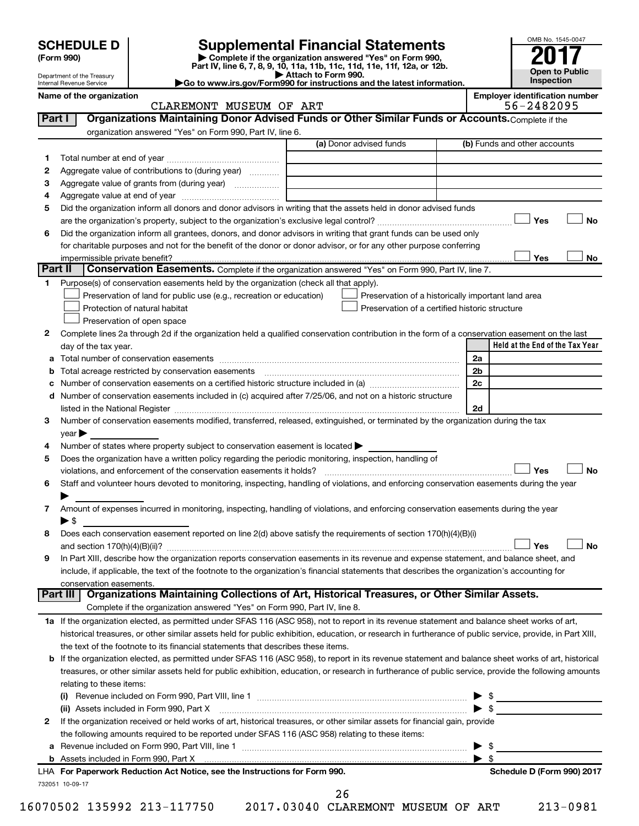| (Form 990) |
|------------|
|            |

## **SCHEDULE D Supplemental Financial Statements**<br> **Form 990 2017**<br> **Part IV** line 6.7.8.9.10, 11a, 11b, 11d, 11d, 11d, 11d, 11d, 12a, 0r, 12b

**(Form 990) | Complete if the organization answered "Yes" on Form 990, Part IV, line 6, 7, 8, 9, 10, 11a, 11b, 11c, 11d, 11e, 11f, 12a, or 12b.**

**| Attach to Form 990. |Go to www.irs.gov/Form990 for instructions and the latest information.**



Department of the Treasury Internal Revenue Service

Name of the organization<br>CLAREMONT MUSEUM OF ART 56-2482095 CLAREMONT MUSEUM OF ART

| Part I  | Organizations Maintaining Donor Advised Funds or Other Similar Funds or Accounts. Complete if the                                                         |                                                    |                              |                                 |
|---------|-----------------------------------------------------------------------------------------------------------------------------------------------------------|----------------------------------------------------|------------------------------|---------------------------------|
|         | organization answered "Yes" on Form 990, Part IV, line 6.                                                                                                 |                                                    |                              |                                 |
|         |                                                                                                                                                           | (a) Donor advised funds                            |                              | (b) Funds and other accounts    |
| 1       |                                                                                                                                                           |                                                    |                              |                                 |
| 2       | Aggregate value of contributions to (during year)                                                                                                         |                                                    |                              |                                 |
| З       | Aggregate value of grants from (during year)                                                                                                              |                                                    |                              |                                 |
| 4       |                                                                                                                                                           |                                                    |                              |                                 |
| 5       | Did the organization inform all donors and donor advisors in writing that the assets held in donor advised funds                                          |                                                    |                              |                                 |
|         |                                                                                                                                                           |                                                    |                              | Yes<br>No                       |
| 6       | Did the organization inform all grantees, donors, and donor advisors in writing that grant funds can be used only                                         |                                                    |                              |                                 |
|         | for charitable purposes and not for the benefit of the donor or donor advisor, or for any other purpose conferring                                        |                                                    |                              |                                 |
| Part II | impermissible private benefit?<br>Conservation Easements. Complete if the organization answered "Yes" on Form 990, Part IV, line 7.                       |                                                    |                              | Yes<br>No                       |
| 1       | Purpose(s) of conservation easements held by the organization (check all that apply).                                                                     |                                                    |                              |                                 |
|         | Preservation of land for public use (e.g., recreation or education)                                                                                       | Preservation of a historically important land area |                              |                                 |
|         | Protection of natural habitat                                                                                                                             | Preservation of a certified historic structure     |                              |                                 |
|         | Preservation of open space                                                                                                                                |                                                    |                              |                                 |
| 2       | Complete lines 2a through 2d if the organization held a qualified conservation contribution in the form of a conservation easement on the last            |                                                    |                              |                                 |
|         | day of the tax year.                                                                                                                                      |                                                    |                              | Held at the End of the Tax Year |
| а       |                                                                                                                                                           |                                                    | 2a                           |                                 |
|         |                                                                                                                                                           |                                                    | 2 <sub>b</sub>               |                                 |
|         | Number of conservation easements on a certified historic structure included in (a) manufacture included in (a)                                            |                                                    | 2c                           |                                 |
| d       | Number of conservation easements included in (c) acquired after 7/25/06, and not on a historic structure                                                  |                                                    |                              |                                 |
|         |                                                                                                                                                           |                                                    | 2d                           |                                 |
| 3       | Number of conservation easements modified, transferred, released, extinguished, or terminated by the organization during the tax                          |                                                    |                              |                                 |
|         | year                                                                                                                                                      |                                                    |                              |                                 |
| 4       | Number of states where property subject to conservation easement is located >                                                                             |                                                    |                              |                                 |
| 5       | Does the organization have a written policy regarding the periodic monitoring, inspection, handling of                                                    |                                                    |                              |                                 |
|         | violations, and enforcement of the conservation easements it holds?                                                                                       |                                                    |                              | Yes<br>No                       |
| 6       | Staff and volunteer hours devoted to monitoring, inspecting, handling of violations, and enforcing conservation easements during the year                 |                                                    |                              |                                 |
|         |                                                                                                                                                           |                                                    |                              |                                 |
| 7       | Amount of expenses incurred in monitoring, inspecting, handling of violations, and enforcing conservation easements during the year                       |                                                    |                              |                                 |
|         | $\blacktriangleright$ s                                                                                                                                   |                                                    |                              |                                 |
| 8       | Does each conservation easement reported on line 2(d) above satisfy the requirements of section 170(h)(4)(B)(i)                                           |                                                    |                              |                                 |
|         |                                                                                                                                                           |                                                    |                              | <b>No</b><br>Yes                |
| 9       | In Part XIII, describe how the organization reports conservation easements in its revenue and expense statement, and balance sheet, and                   |                                                    |                              |                                 |
|         | include, if applicable, the text of the footnote to the organization's financial statements that describes the organization's accounting for              |                                                    |                              |                                 |
|         | conservation easements.                                                                                                                                   |                                                    |                              |                                 |
|         | Organizations Maintaining Collections of Art, Historical Treasures, or Other Similar Assets.<br>Part III                                                  |                                                    |                              |                                 |
|         | Complete if the organization answered "Yes" on Form 990, Part IV, line 8.                                                                                 |                                                    |                              |                                 |
|         | 1a If the organization elected, as permitted under SFAS 116 (ASC 958), not to report in its revenue statement and balance sheet works of art,             |                                                    |                              |                                 |
|         | historical treasures, or other similar assets held for public exhibition, education, or research in furtherance of public service, provide, in Part XIII, |                                                    |                              |                                 |
|         | the text of the footnote to its financial statements that describes these items.                                                                          |                                                    |                              |                                 |
| b       | If the organization elected, as permitted under SFAS 116 (ASC 958), to report in its revenue statement and balance sheet works of art, historical         |                                                    |                              |                                 |
|         | treasures, or other similar assets held for public exhibition, education, or research in furtherance of public service, provide the following amounts     |                                                    |                              |                                 |
|         | relating to these items:                                                                                                                                  |                                                    |                              |                                 |
|         |                                                                                                                                                           |                                                    |                              | $\frac{1}{2}$                   |
|         | (ii) Assets included in Form 990, Part X                                                                                                                  |                                                    |                              | $\triangleright$ \$             |
| 2       | If the organization received or held works of art, historical treasures, or other similar assets for financial gain, provide                              |                                                    |                              |                                 |
|         | the following amounts required to be reported under SFAS 116 (ASC 958) relating to these items:                                                           |                                                    |                              |                                 |
| а       |                                                                                                                                                           |                                                    | ▶<br>$\blacktriangleright$ s | -\$                             |
|         | LHA For Paperwork Reduction Act Notice, see the Instructions for Form 990.                                                                                |                                                    |                              | Schedule D (Form 990) 2017      |
|         | 732051 10-09-17                                                                                                                                           |                                                    |                              |                                 |
|         |                                                                                                                                                           | 26                                                 |                              |                                 |

16070502 135992 213-117750 2017.03040 CLAREMONT MUSEUM OF ART 213-0981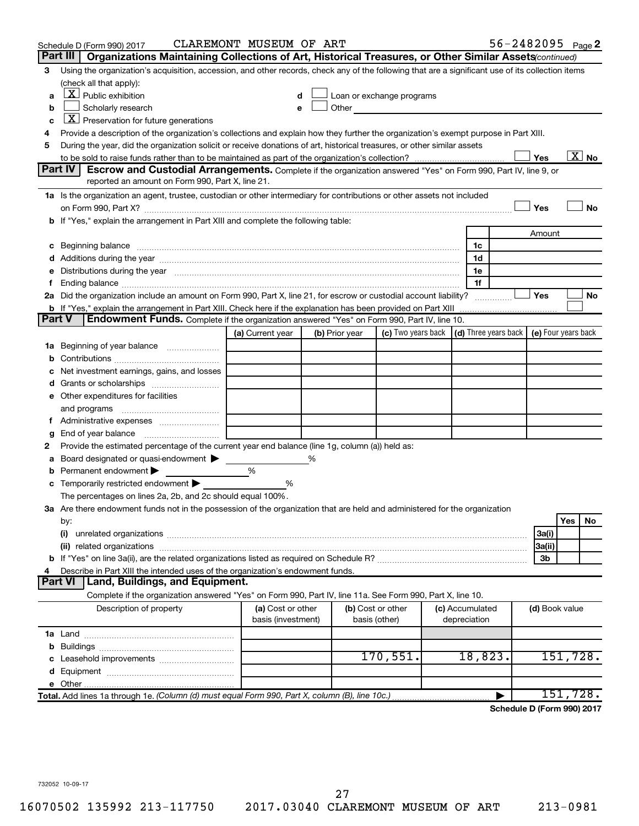|               | Schedule D (Form 990) 2017             |                                                                                                                                                                                                                                | CLAREMONT MUSEUM OF ART                 |   |                |                                                                             |                                 | $56 - 2482095$ Page 2             |                |          |                          |
|---------------|----------------------------------------|--------------------------------------------------------------------------------------------------------------------------------------------------------------------------------------------------------------------------------|-----------------------------------------|---|----------------|-----------------------------------------------------------------------------|---------------------------------|-----------------------------------|----------------|----------|--------------------------|
|               | Part III                               | Organizations Maintaining Collections of Art, Historical Treasures, or Other Similar Assets (continued)                                                                                                                        |                                         |   |                |                                                                             |                                 |                                   |                |          |                          |
| З             |                                        | Using the organization's acquisition, accession, and other records, check any of the following that are a significant use of its collection items                                                                              |                                         |   |                |                                                                             |                                 |                                   |                |          |                          |
|               | (check all that apply):                |                                                                                                                                                                                                                                |                                         |   |                |                                                                             |                                 |                                   |                |          |                          |
| a             | $\boxed{\textbf{X}}$ Public exhibition |                                                                                                                                                                                                                                |                                         |   |                | Loan or exchange programs                                                   |                                 |                                   |                |          |                          |
| b             | Scholarly research                     |                                                                                                                                                                                                                                |                                         |   | Other          |                                                                             |                                 |                                   |                |          |                          |
| c             |                                        | $\boxed{\mathbf{X}}$ Preservation for future generations                                                                                                                                                                       |                                         |   |                |                                                                             |                                 |                                   |                |          |                          |
| 4             |                                        | Provide a description of the organization's collections and explain how they further the organization's exempt purpose in Part XIII.                                                                                           |                                         |   |                |                                                                             |                                 |                                   |                |          |                          |
| 5             |                                        | During the year, did the organization solicit or receive donations of art, historical treasures, or other similar assets                                                                                                       |                                         |   |                |                                                                             |                                 |                                   |                |          | $\overline{\text{X}}$ No |
|               | Part IV                                | <b>Escrow and Custodial Arrangements.</b> Complete if the organization answered "Yes" on Form 990, Part IV, line 9, or                                                                                                         |                                         |   |                |                                                                             |                                 |                                   | Yes            |          |                          |
|               |                                        | reported an amount on Form 990, Part X, line 21.                                                                                                                                                                               |                                         |   |                |                                                                             |                                 |                                   |                |          |                          |
|               |                                        | 1a Is the organization an agent, trustee, custodian or other intermediary for contributions or other assets not included                                                                                                       |                                         |   |                |                                                                             |                                 |                                   |                |          |                          |
|               |                                        |                                                                                                                                                                                                                                |                                         |   |                |                                                                             |                                 |                                   | Yes            |          | <b>No</b>                |
|               |                                        | b If "Yes," explain the arrangement in Part XIII and complete the following table:                                                                                                                                             |                                         |   |                |                                                                             |                                 |                                   |                |          |                          |
|               |                                        |                                                                                                                                                                                                                                |                                         |   |                |                                                                             |                                 |                                   | Amount         |          |                          |
|               |                                        | c Beginning balance measurements and the contract of the contract of the contract of the contract of the contract of the contract of the contract of the contract of the contract of the contract of the contract of the contr |                                         |   |                |                                                                             | 1c                              |                                   |                |          |                          |
|               |                                        |                                                                                                                                                                                                                                |                                         |   |                |                                                                             | 1d                              |                                   |                |          |                          |
|               |                                        | e Distributions during the year manufactured and continuum control of the control of the control of the state of the control of the control of the control of the control of the control of the control of the control of the  |                                         |   |                |                                                                             | 1e                              |                                   |                |          |                          |
| f.            |                                        |                                                                                                                                                                                                                                |                                         |   |                |                                                                             | 1f                              |                                   |                |          |                          |
|               |                                        | 2a Did the organization include an amount on Form 990, Part X, line 21, for escrow or custodial account liability?                                                                                                             |                                         |   |                |                                                                             |                                 |                                   | Yes            |          | No                       |
|               |                                        | <b>b</b> If "Yes," explain the arrangement in Part XIII. Check here if the explanation has been provided on Part XIII                                                                                                          |                                         |   |                |                                                                             |                                 |                                   |                |          |                          |
| <b>Part V</b> |                                        | <b>Endowment Funds.</b> Complete if the organization answered "Yes" on Form 990, Part IV, line 10.                                                                                                                             |                                         |   |                |                                                                             |                                 |                                   |                |          |                          |
|               |                                        |                                                                                                                                                                                                                                | (a) Current year                        |   | (b) Prior year | (c) Two years back $\vert$ (d) Three years back $\vert$ (e) Four years back |                                 |                                   |                |          |                          |
|               |                                        | <b>1a</b> Beginning of year balance                                                                                                                                                                                            |                                         |   |                |                                                                             |                                 |                                   |                |          |                          |
| b             |                                        |                                                                                                                                                                                                                                |                                         |   |                |                                                                             |                                 |                                   |                |          |                          |
|               |                                        | Net investment earnings, gains, and losses                                                                                                                                                                                     |                                         |   |                |                                                                             |                                 |                                   |                |          |                          |
|               |                                        |                                                                                                                                                                                                                                |                                         |   |                |                                                                             |                                 |                                   |                |          |                          |
|               | e Other expenditures for facilities    |                                                                                                                                                                                                                                |                                         |   |                |                                                                             |                                 |                                   |                |          |                          |
|               | and programs                           |                                                                                                                                                                                                                                |                                         |   |                |                                                                             |                                 |                                   |                |          |                          |
|               |                                        |                                                                                                                                                                                                                                |                                         |   |                |                                                                             |                                 |                                   |                |          |                          |
| g             |                                        | Provide the estimated percentage of the current year end balance (line 1g, column (a)) held as:                                                                                                                                |                                         |   |                |                                                                             |                                 |                                   |                |          |                          |
| 2<br>а        |                                        | Board designated or quasi-endowment                                                                                                                                                                                            |                                         | % |                |                                                                             |                                 |                                   |                |          |                          |
| b             | Permanent endowment                    |                                                                                                                                                                                                                                | %                                       |   |                |                                                                             |                                 |                                   |                |          |                          |
|               |                                        | <b>c</b> Temporarily restricted endowment $\blacktriangleright$                                                                                                                                                                | %                                       |   |                |                                                                             |                                 |                                   |                |          |                          |
|               |                                        | The percentages on lines 2a, 2b, and 2c should equal 100%.                                                                                                                                                                     |                                         |   |                |                                                                             |                                 |                                   |                |          |                          |
|               |                                        | 3a Are there endowment funds not in the possession of the organization that are held and administered for the organization                                                                                                     |                                         |   |                |                                                                             |                                 |                                   |                |          |                          |
|               | by:                                    |                                                                                                                                                                                                                                |                                         |   |                |                                                                             |                                 |                                   |                | Yes      | No                       |
|               | (i)                                    |                                                                                                                                                                                                                                |                                         |   |                |                                                                             |                                 |                                   | 3a(i)          |          |                          |
|               |                                        |                                                                                                                                                                                                                                |                                         |   |                |                                                                             |                                 |                                   | 3a(ii)         |          |                          |
|               |                                        |                                                                                                                                                                                                                                |                                         |   |                |                                                                             |                                 |                                   | 3b             |          |                          |
| 4             |                                        | Describe in Part XIII the intended uses of the organization's endowment funds.                                                                                                                                                 |                                         |   |                |                                                                             |                                 |                                   |                |          |                          |
|               | <b>Part VI</b>                         | <b>Land, Buildings, and Equipment.</b>                                                                                                                                                                                         |                                         |   |                |                                                                             |                                 |                                   |                |          |                          |
|               |                                        | Complete if the organization answered "Yes" on Form 990, Part IV, line 11a. See Form 990, Part X, line 10.                                                                                                                     |                                         |   |                |                                                                             |                                 |                                   |                |          |                          |
|               |                                        | Description of property                                                                                                                                                                                                        | (a) Cost or other<br>basis (investment) |   |                | (b) Cost or other<br>basis (other)                                          | (c) Accumulated<br>depreciation |                                   | (d) Book value |          |                          |
|               |                                        |                                                                                                                                                                                                                                |                                         |   |                |                                                                             |                                 |                                   |                |          |                          |
|               |                                        |                                                                                                                                                                                                                                |                                         |   |                |                                                                             |                                 |                                   |                |          |                          |
|               |                                        |                                                                                                                                                                                                                                |                                         |   |                | 170,551.                                                                    | 18,823.                         |                                   |                | 151,728. |                          |
|               |                                        |                                                                                                                                                                                                                                |                                         |   |                |                                                                             |                                 |                                   |                |          |                          |
|               |                                        |                                                                                                                                                                                                                                |                                         |   |                |                                                                             |                                 |                                   |                |          |                          |
|               |                                        | Total. Add lines 1a through 1e. (Column (d) must equal Form 990, Part X, column (B), line 10c.)                                                                                                                                |                                         |   |                |                                                                             |                                 | <b>Cohodulo D (Form 000) 2017</b> |                | 151,728. |                          |

**Schedule D (Form 990) 2017**

732052 10-09-17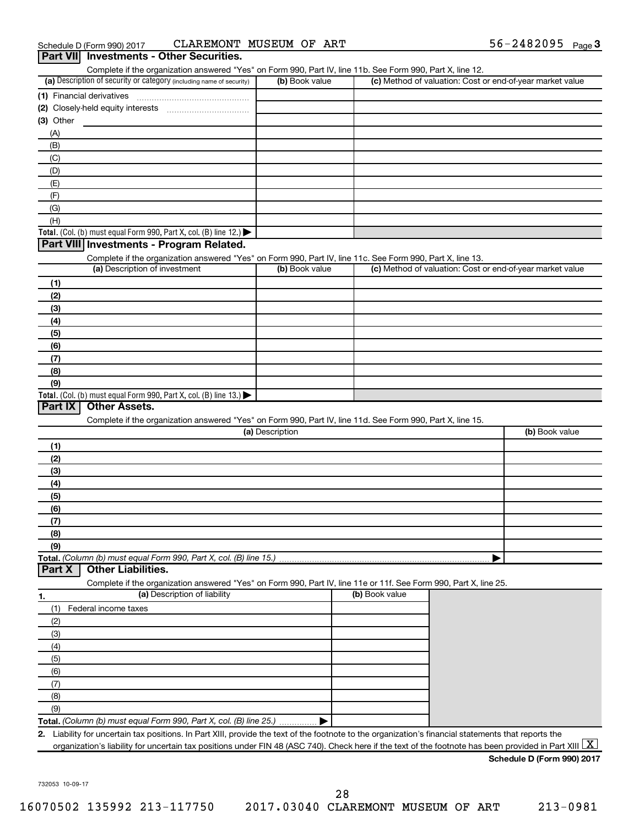| (a) Description of security or category (including name of security)                                              | (b) Book value  |                |                                                           | (c) Method of valuation: Cost or end-of-year market value |
|-------------------------------------------------------------------------------------------------------------------|-----------------|----------------|-----------------------------------------------------------|-----------------------------------------------------------|
|                                                                                                                   |                 |                |                                                           |                                                           |
|                                                                                                                   |                 |                |                                                           |                                                           |
| $(3)$ Other                                                                                                       |                 |                |                                                           |                                                           |
| (A)                                                                                                               |                 |                |                                                           |                                                           |
| (B)                                                                                                               |                 |                |                                                           |                                                           |
| (C)                                                                                                               |                 |                |                                                           |                                                           |
| (D)                                                                                                               |                 |                |                                                           |                                                           |
| (E)                                                                                                               |                 |                |                                                           |                                                           |
| (F)                                                                                                               |                 |                |                                                           |                                                           |
| (G)                                                                                                               |                 |                |                                                           |                                                           |
| (H)                                                                                                               |                 |                |                                                           |                                                           |
| Total. (Col. (b) must equal Form 990, Part X, col. (B) line 12.) $\blacktriangleright$                            |                 |                |                                                           |                                                           |
| Part VIII Investments - Program Related.                                                                          |                 |                |                                                           |                                                           |
| Complete if the organization answered "Yes" on Form 990, Part IV, line 11c. See Form 990, Part X, line 13.        |                 |                |                                                           |                                                           |
| (a) Description of investment                                                                                     | (b) Book value  |                | (c) Method of valuation: Cost or end-of-year market value |                                                           |
| (1)                                                                                                               |                 |                |                                                           |                                                           |
| (2)                                                                                                               |                 |                |                                                           |                                                           |
| (3)                                                                                                               |                 |                |                                                           |                                                           |
| (4)                                                                                                               |                 |                |                                                           |                                                           |
| (5)                                                                                                               |                 |                |                                                           |                                                           |
| (6)                                                                                                               |                 |                |                                                           |                                                           |
| (7)                                                                                                               |                 |                |                                                           |                                                           |
| (8)                                                                                                               |                 |                |                                                           |                                                           |
| (9)                                                                                                               |                 |                |                                                           |                                                           |
|                                                                                                                   |                 |                |                                                           |                                                           |
| Total. (Col. (b) must equal Form 990, Part X, col. (B) line $13.$ )                                               |                 |                |                                                           |                                                           |
| Part IX<br><b>Other Assets.</b>                                                                                   |                 |                |                                                           |                                                           |
| Complete if the organization answered "Yes" on Form 990, Part IV, line 11d. See Form 990, Part X, line 15.        |                 |                |                                                           |                                                           |
|                                                                                                                   | (a) Description |                |                                                           |                                                           |
| (1)                                                                                                               |                 |                |                                                           |                                                           |
| (2)                                                                                                               |                 |                |                                                           | (b) Book value                                            |
| (3)                                                                                                               |                 |                |                                                           |                                                           |
| (4)                                                                                                               |                 |                |                                                           |                                                           |
| (5)                                                                                                               |                 |                |                                                           |                                                           |
| (6)                                                                                                               |                 |                |                                                           |                                                           |
| (7)                                                                                                               |                 |                |                                                           |                                                           |
| (8)                                                                                                               |                 |                |                                                           |                                                           |
| (9)                                                                                                               |                 |                |                                                           |                                                           |
| Total. (Column (b) must equal Form 990, Part X, col. (B) line 15.)                                                |                 |                |                                                           |                                                           |
| Part X<br><b>Other Liabilities.</b>                                                                               |                 |                |                                                           |                                                           |
| Complete if the organization answered "Yes" on Form 990, Part IV, line 11e or 11f. See Form 990, Part X, line 25. |                 |                |                                                           |                                                           |
| (a) Description of liability<br>1.                                                                                |                 | (b) Book value |                                                           |                                                           |
| (1)<br>Federal income taxes                                                                                       |                 |                |                                                           |                                                           |
| (2)                                                                                                               |                 |                |                                                           |                                                           |
| (3)                                                                                                               |                 |                |                                                           |                                                           |
| (4)                                                                                                               |                 |                |                                                           |                                                           |
| (5)                                                                                                               |                 |                |                                                           |                                                           |
| (6)                                                                                                               |                 |                |                                                           |                                                           |
|                                                                                                                   |                 |                |                                                           |                                                           |
| (7)                                                                                                               |                 |                |                                                           |                                                           |
| (8)<br>(9)                                                                                                        |                 |                |                                                           |                                                           |

732053 10-09-17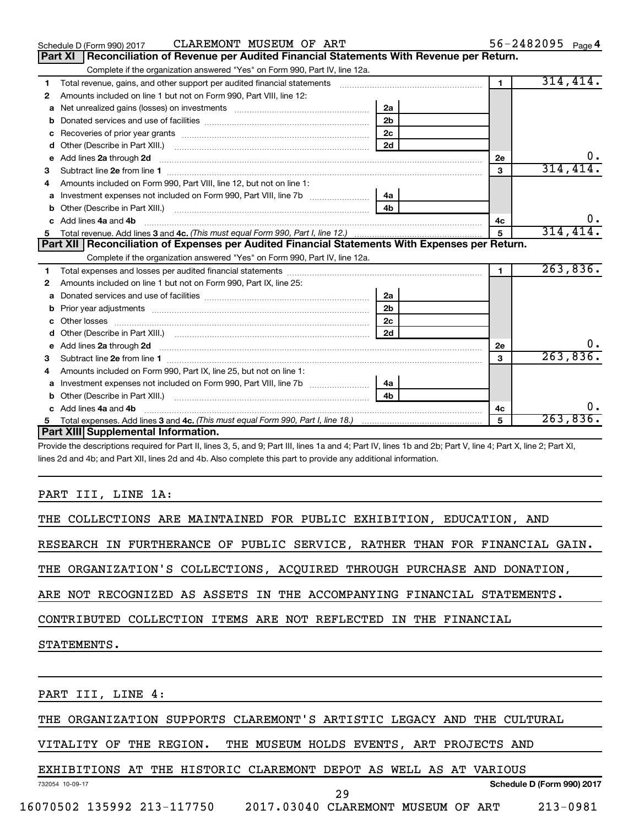|    | CLAREMONT MUSEUM OF ART<br>Schedule D (Form 990) 2017                                                                                                                                                                                                  |                |                | 56-2482095 $_{Page 4}$ |
|----|--------------------------------------------------------------------------------------------------------------------------------------------------------------------------------------------------------------------------------------------------------|----------------|----------------|------------------------|
|    | Reconciliation of Revenue per Audited Financial Statements With Revenue per Return.<br>Part XI                                                                                                                                                         |                |                |                        |
|    | Complete if the organization answered "Yes" on Form 990, Part IV, line 12a.                                                                                                                                                                            |                |                |                        |
| 1  | Total revenue, gains, and other support per audited financial statements [11] [11] Total revenue, [21] Total revenue of the support per audited financial statements                                                                                   |                | $\blacksquare$ | 314, 414.              |
| 2  | Amounts included on line 1 but not on Form 990, Part VIII, line 12:                                                                                                                                                                                    |                |                |                        |
| a  | Net unrealized gains (losses) on investments [111] [12] matter and the unrealized gains (losses) on investments                                                                                                                                        | 2a             |                |                        |
|    |                                                                                                                                                                                                                                                        | 2 <sub>b</sub> |                |                        |
| с  | Recoveries of prior year grants [11,111] [11] Recoveries of prior year grants [11] [11] Recoveries of prior year grants [11] [11] [11] $\frac{1}{2}$ [11] $\frac{1}{2}$ [11] $\frac{1}{2}$ [11] $\frac{1}{2}$ [11] $\frac{1}{2}$ [11] $\frac{1}{2}$ [1 | 2 <sub>c</sub> |                |                        |
| d  |                                                                                                                                                                                                                                                        | 2d             |                |                        |
| е  | Add lines 2a through 2d <b>continuum continuum contract and all the contract and all the contract and all the contract and all the contract of the contract of the contract of the contract of the contract of the contract of t</b>                   |                | <b>2e</b>      | 0.                     |
| з  |                                                                                                                                                                                                                                                        |                | 3              | 314, 414.              |
| 4  | Amounts included on Form 990. Part VIII. line 12, but not on line 1:                                                                                                                                                                                   |                |                |                        |
| a  |                                                                                                                                                                                                                                                        | 4a             |                |                        |
| b  |                                                                                                                                                                                                                                                        | 4 <sub>b</sub> |                |                        |
| c. | Add lines 4a and 4b                                                                                                                                                                                                                                    |                | 4с             | $0$ .                  |
| 5  |                                                                                                                                                                                                                                                        |                | 5              | 314, 414.              |
|    |                                                                                                                                                                                                                                                        |                |                |                        |
|    | Part XII   Reconciliation of Expenses per Audited Financial Statements With Expenses per Return.                                                                                                                                                       |                |                |                        |
|    | Complete if the organization answered "Yes" on Form 990, Part IV, line 12a.                                                                                                                                                                            |                |                |                        |
| 1  |                                                                                                                                                                                                                                                        |                | $\mathbf{1}$   | 263,836.               |
| 2  | Amounts included on line 1 but not on Form 990, Part IX, line 25:                                                                                                                                                                                      |                |                |                        |
| a  |                                                                                                                                                                                                                                                        | 2a             |                |                        |
| b  |                                                                                                                                                                                                                                                        | 2 <sub>b</sub> |                |                        |
| с  |                                                                                                                                                                                                                                                        | 2 <sub>c</sub> |                |                        |
| d  |                                                                                                                                                                                                                                                        | 2d             |                |                        |
| е  | Add lines 2a through 2d <b>must be a constructed as the constant of the constant of the constant of the construction</b>                                                                                                                               |                | <b>2e</b>      | ο.                     |
| 3  |                                                                                                                                                                                                                                                        |                | 3              | 263,836.               |
| 4  | Amounts included on Form 990, Part IX, line 25, but not on line 1:                                                                                                                                                                                     |                |                |                        |
| а  |                                                                                                                                                                                                                                                        | 4a             |                |                        |
| b  |                                                                                                                                                                                                                                                        | 4b             |                |                        |
|    | Add lines 4a and 4b                                                                                                                                                                                                                                    |                | 4с             | 0.                     |
|    | Part XIII Supplemental Information.                                                                                                                                                                                                                    |                | 5              | 263,836.               |

Provide the descriptions required for Part II, lines 3, 5, and 9; Part III, lines 1a and 4; Part IV, lines 1b and 2b; Part V, line 4; Part X, line 2; Part XI, lines 2d and 4b; and Part XII, lines 2d and 4b. Also complete this part to provide any additional information.

### PART III, LINE 1A:

| THE COLLECTIONS ARE MAINTAINED FOR PUBLIC EXHIBITION, EDUCATION, AND       |
|----------------------------------------------------------------------------|
| RESEARCH IN FURTHERANCE OF PUBLIC SERVICE, RATHER THAN FOR FINANCIAL GAIN. |
| THE ORGANIZATION'S COLLECTIONS, ACQUIRED THROUGH PURCHASE AND DONATION,    |
| ARE NOT RECOGNIZED AS ASSETS IN THE ACCOMPANYING FINANCIAL STATEMENTS.     |
| CONTRIBUTED COLLECTION ITEMS ARE NOT REFLECTED IN THE FINANCIAL            |
| STATEMENTS.                                                                |
|                                                                            |
| PART III, LINE 4:                                                          |
| THE ORGANIZATION SUPPORTS CLAREMONT'S ARTISTIC LEGACY AND THE CULTURAL     |
| VITALITY OF THE REGION. THE MUSEUM HOLDS EVENTS, ART PROJECTS AND          |

EXHIBITIONS AT THE HISTORIC CLAREMONT DEPOT AS WELL AS AT VARIOUS

732054 10-09-17 **Schedule D (Form 990) 2017** 16070502 135992 213-117750 2017.03040 CLAREMONT MUSEUM OF ART 213-0981 29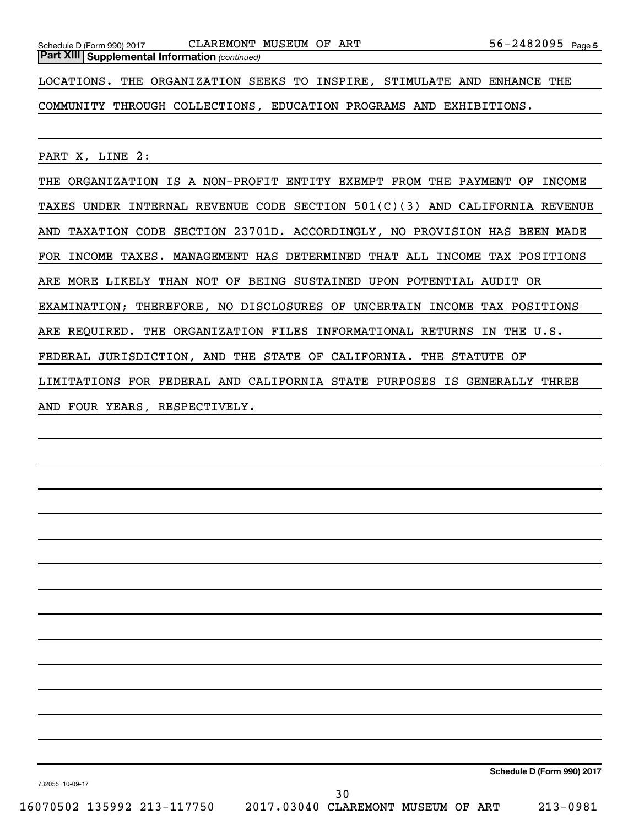*(continued)* **Part XIII Supplemental Information** 

LOCATIONS. THE ORGANIZATION SEEKS TO INSPIRE, STIMULATE AND ENHANCE THE

COMMUNITY THROUGH COLLECTIONS, EDUCATION PROGRAMS AND EXHIBITIONS.

PART X, LINE 2:

THE ORGANIZATION IS A NON-PROFIT ENTITY EXEMPT FROM THE PAYMENT OF INCOME TAXES UNDER INTERNAL REVENUE CODE SECTION 501(C)(3) AND CALIFORNIA REVENUE AND TAXATION CODE SECTION 23701D. ACCORDINGLY, NO PROVISION HAS BEEN MADE FOR INCOME TAXES. MANAGEMENT HAS DETERMINED THAT ALL INCOME TAX POSITIONS ARE MORE LIKELY THAN NOT OF BEING SUSTAINED UPON POTENTIAL AUDIT OR EXAMINATION; THEREFORE, NO DISCLOSURES OF UNCERTAIN INCOME TAX POSITIONS ARE REQUIRED. THE ORGANIZATION FILES INFORMATIONAL RETURNS IN THE U.S. FEDERAL JURISDICTION, AND THE STATE OF CALIFORNIA. THE STATUTE OF LIMITATIONS FOR FEDERAL AND CALIFORNIA STATE PURPOSES IS GENERALLY THREE AND FOUR YEARS, RESPECTIVELY.

**Schedule D (Form 990) 2017**

732055 10-09-17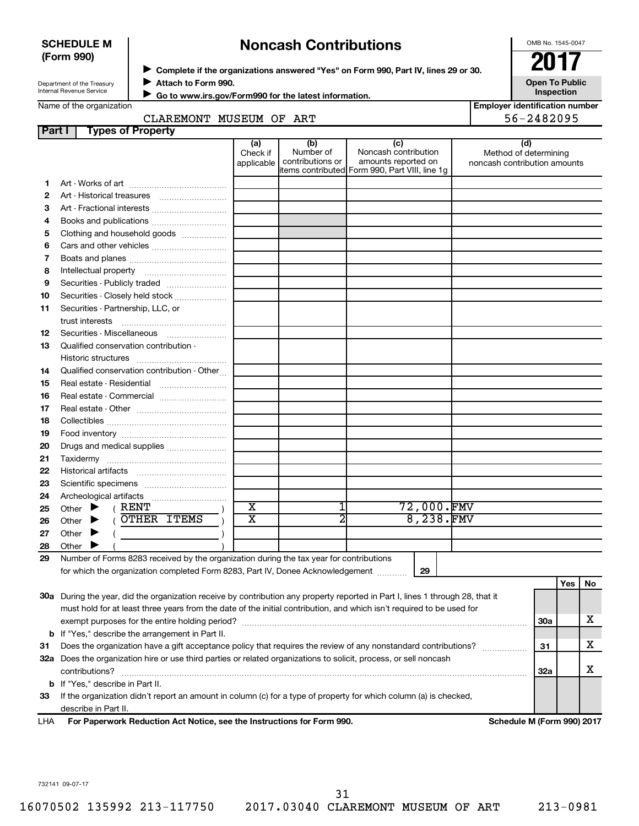| <b>SCHEDULE M</b> |  |
|-------------------|--|
| (Form 990)        |  |

## ◆ Complete if the organizations answered "Yes" on Form 990, Part IV, lines 29 or 30.<br>▶ Complete if the organizations answered "Yes" on Form 990, Part IV, lines 29 or 30. **Noncash Contributions**

OMB No. 1545-0047

| Department of the Treasury |
|----------------------------|
| Internal Revenue Service   |

**Attach to Form 990.** J

**Open To Public Inspection**

Name of the organization

 **Go to www.irs.gov/Form990 for the latest information.** J

| <b>Employer identification number</b> |
|---------------------------------------|
| 56-2482095                            |

| CLAREMONT MUSEUM OF ART |  | 56-2482095 |
|-------------------------|--|------------|
| operty'                 |  |            |

| Part I | <b>Types of Property</b>                                                                                                       |                               |                                      |                                                                                                      |                                                              |            |     |     |
|--------|--------------------------------------------------------------------------------------------------------------------------------|-------------------------------|--------------------------------------|------------------------------------------------------------------------------------------------------|--------------------------------------------------------------|------------|-----|-----|
|        |                                                                                                                                | (a)<br>Check if<br>applicable | (b)<br>Number of<br>contributions or | (c)<br>Noncash contribution<br>amounts reported on<br>items contributed Form 990, Part VIII, line 1g | (d)<br>Method of determining<br>noncash contribution amounts |            |     |     |
| 1.     |                                                                                                                                |                               |                                      |                                                                                                      |                                                              |            |     |     |
| 2      |                                                                                                                                |                               |                                      |                                                                                                      |                                                              |            |     |     |
| З      | Art - Fractional interests                                                                                                     |                               |                                      |                                                                                                      |                                                              |            |     |     |
| 4      |                                                                                                                                |                               |                                      |                                                                                                      |                                                              |            |     |     |
| 5      | Clothing and household goods                                                                                                   |                               |                                      |                                                                                                      |                                                              |            |     |     |
| 6      |                                                                                                                                |                               |                                      |                                                                                                      |                                                              |            |     |     |
| 7      |                                                                                                                                |                               |                                      |                                                                                                      |                                                              |            |     |     |
| 8      |                                                                                                                                |                               |                                      |                                                                                                      |                                                              |            |     |     |
| 9      | Securities - Publicly traded                                                                                                   |                               |                                      |                                                                                                      |                                                              |            |     |     |
| 10     | Securities - Closely held stock                                                                                                |                               |                                      |                                                                                                      |                                                              |            |     |     |
| 11     | Securities - Partnership, LLC, or                                                                                              |                               |                                      |                                                                                                      |                                                              |            |     |     |
|        | trust interests                                                                                                                |                               |                                      |                                                                                                      |                                                              |            |     |     |
| 12     |                                                                                                                                |                               |                                      |                                                                                                      |                                                              |            |     |     |
| 13     | Qualified conservation contribution -                                                                                          |                               |                                      |                                                                                                      |                                                              |            |     |     |
|        |                                                                                                                                |                               |                                      |                                                                                                      |                                                              |            |     |     |
| 14     | Qualified conservation contribution - Other                                                                                    |                               |                                      |                                                                                                      |                                                              |            |     |     |
| 15     |                                                                                                                                |                               |                                      |                                                                                                      |                                                              |            |     |     |
| 16     | Real estate - Commercial                                                                                                       |                               |                                      |                                                                                                      |                                                              |            |     |     |
| 17     |                                                                                                                                |                               |                                      |                                                                                                      |                                                              |            |     |     |
| 18     |                                                                                                                                |                               |                                      |                                                                                                      |                                                              |            |     |     |
| 19     |                                                                                                                                |                               |                                      |                                                                                                      |                                                              |            |     |     |
| 20     | Drugs and medical supplies                                                                                                     |                               |                                      |                                                                                                      |                                                              |            |     |     |
| 21     |                                                                                                                                |                               |                                      |                                                                                                      |                                                              |            |     |     |
| 22     |                                                                                                                                |                               |                                      |                                                                                                      |                                                              |            |     |     |
| 23     |                                                                                                                                |                               |                                      |                                                                                                      |                                                              |            |     |     |
| 24     |                                                                                                                                |                               |                                      |                                                                                                      |                                                              |            |     |     |
| 25     | ( RENT<br>Other $\blacktriangleright$                                                                                          | $\overline{\mathbf{x}}$       |                                      | 72,000.FMV                                                                                           |                                                              |            |     |     |
| 26     | OTHER ITEMS<br>Other $\blacktriangleright$                                                                                     | $\overline{\text{x}}$         | 2                                    | 8,238.FMV                                                                                            |                                                              |            |     |     |
| 27     | Other $\blacktriangleright$                                                                                                    |                               |                                      |                                                                                                      |                                                              |            |     |     |
| 28     | Other $\blacktriangleright$                                                                                                    |                               |                                      |                                                                                                      |                                                              |            |     |     |
| 29     | Number of Forms 8283 received by the organization during the tax year for contributions                                        |                               |                                      |                                                                                                      |                                                              |            |     |     |
|        | for which the organization completed Form 8283, Part IV, Donee Acknowledgement                                                 |                               |                                      | 29                                                                                                   |                                                              |            |     |     |
|        |                                                                                                                                |                               |                                      |                                                                                                      |                                                              |            | Yes | No. |
|        | 30a During the year, did the organization receive by contribution any property reported in Part I, lines 1 through 28, that it |                               |                                      |                                                                                                      |                                                              |            |     |     |
|        | must hold for at least three years from the date of the initial contribution, and which isn't required to be used for          |                               |                                      |                                                                                                      |                                                              |            |     |     |
|        |                                                                                                                                |                               |                                      |                                                                                                      |                                                              | <b>30a</b> |     | x   |
|        | <b>b</b> If "Yes," describe the arrangement in Part II.                                                                        |                               |                                      |                                                                                                      |                                                              |            |     |     |
| 31     | Does the organization have a gift acceptance policy that requires the review of any nonstandard contributions?                 |                               |                                      |                                                                                                      |                                                              | 31         |     | x   |
|        | 32a Does the organization hire or use third parties or related organizations to solicit, process, or sell noncash              |                               |                                      |                                                                                                      |                                                              |            |     |     |
|        | contributions?                                                                                                                 |                               |                                      |                                                                                                      |                                                              | 32a        |     | х   |
|        | <b>b</b> If "Yes," describe in Part II.                                                                                        |                               |                                      |                                                                                                      |                                                              |            |     |     |
| 33     | If the organization didn't report an amount in column (c) for a type of property for which column (a) is checked,              |                               |                                      |                                                                                                      |                                                              |            |     |     |
|        | describe in Part II.                                                                                                           |                               |                                      |                                                                                                      |                                                              |            |     |     |

**For Paperwork Reduction Act Notice, see the Instructions for Form 990. Schedule M (Form 990) 2017** LHA

732141 09-07-17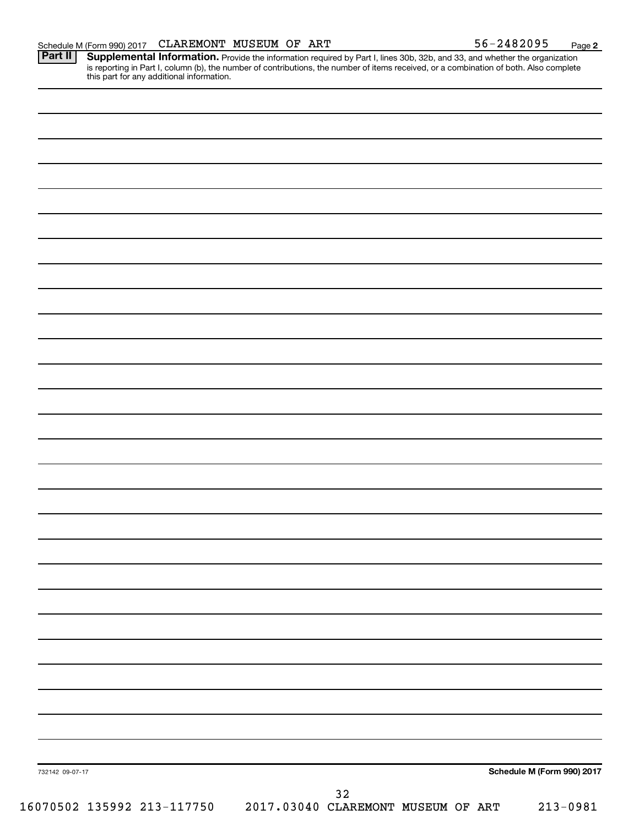Provide the information required by Part I, lines 30b, 32b, and 33, and whether the organization is reporting in Part I, column (b), the number of contributions, the number of items received, or a combination of both. Also complete this part for any additional information. **Part II Supplemental Information.** 

| 732142 09-07-17 |  |        |                                                               | Schedule M (Form 990) 2017 |
|-----------------|--|--------|---------------------------------------------------------------|----------------------------|
|                 |  | $3\,2$ | 16070502 135992 213-117750 2017.03040 CLAREMONT MUSEUM OF ART |                            |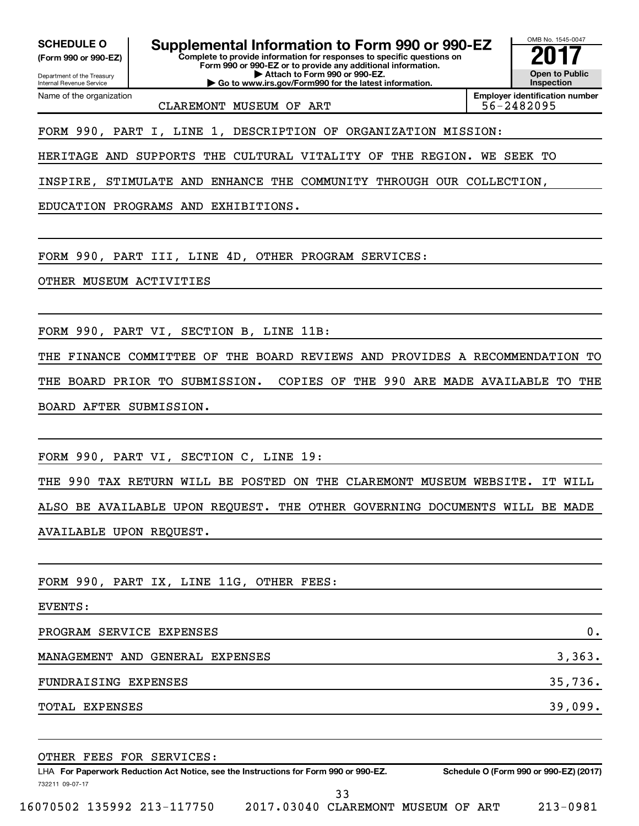**(Form 990 or 990-EZ)**

Department of the Treasury Internal Revenue Service Name of the organization

**Complete to provide information for responses to specific questions on Form 990 or 990-EZ or to provide any additional information. | Attach to Form 990 or 990-EZ. SCHEDULE O Supplemental Information to Form 990 or 990-EZ** <br>(Form 990 or 990-EZ) Complete to provide information for responses to specific questions on

**| Go to www.irs.gov/Form990 for the latest information.**

CLAREMONT MUSEUM OF ART 56-2482095

FORM 990, PART I, LINE 1, DESCRIPTION OF ORGANIZATION MISSION:

HERITAGE AND SUPPORTS THE CULTURAL VITALITY OF THE REGION. WE SEEK TO

INSPIRE, STIMULATE AND ENHANCE THE COMMUNITY THROUGH OUR COLLECTION,

EDUCATION PROGRAMS AND EXHIBITIONS.

FORM 990, PART III, LINE 4D, OTHER PROGRAM SERVICES:

OTHER MUSEUM ACTIVITIES

FORM 990, PART VI, SECTION B, LINE 11B:

THE FINANCE COMMITTEE OF THE BOARD REVIEWS AND PROVIDES A RECOMMENDATION TO THE BOARD PRIOR TO SUBMISSION. COPIES OF THE 990 ARE MADE AVAILABLE TO THE BOARD AFTER SUBMISSION.

FORM 990, PART VI, SECTION C, LINE 19:

THE 990 TAX RETURN WILL BE POSTED ON THE CLAREMONT MUSEUM WEBSITE. IT WILL ALSO BE AVAILABLE UPON REQUEST. THE OTHER GOVERNING DOCUMENTS WILL BE MADE AVAILABLE UPON REQUEST.

FORM 990, PART IX, LINE 11G, OTHER FEES:

EVENTS:

PROGRAM SERVICE EXPENSES 0.

MANAGEMENT AND GENERAL EXPENSES 3,363.

FUNDRAISING EXPENSES 35,736.

TOTAL EXPENSES 39,099.

732211 09-07-17 LHA For Paperwork Reduction Act Notice, see the Instructions for Form 990 or 990-EZ. Schedule O (Form 990 or 990-EZ) (2017) OTHER FEES FOR SERVICES: 33

16070502 135992 213-117750 2017.03040 CLAREMONT MUSEUM OF ART 213-0981

OMB No. 1545-0047

**Open to Public Inspection**

**Employer identification number**